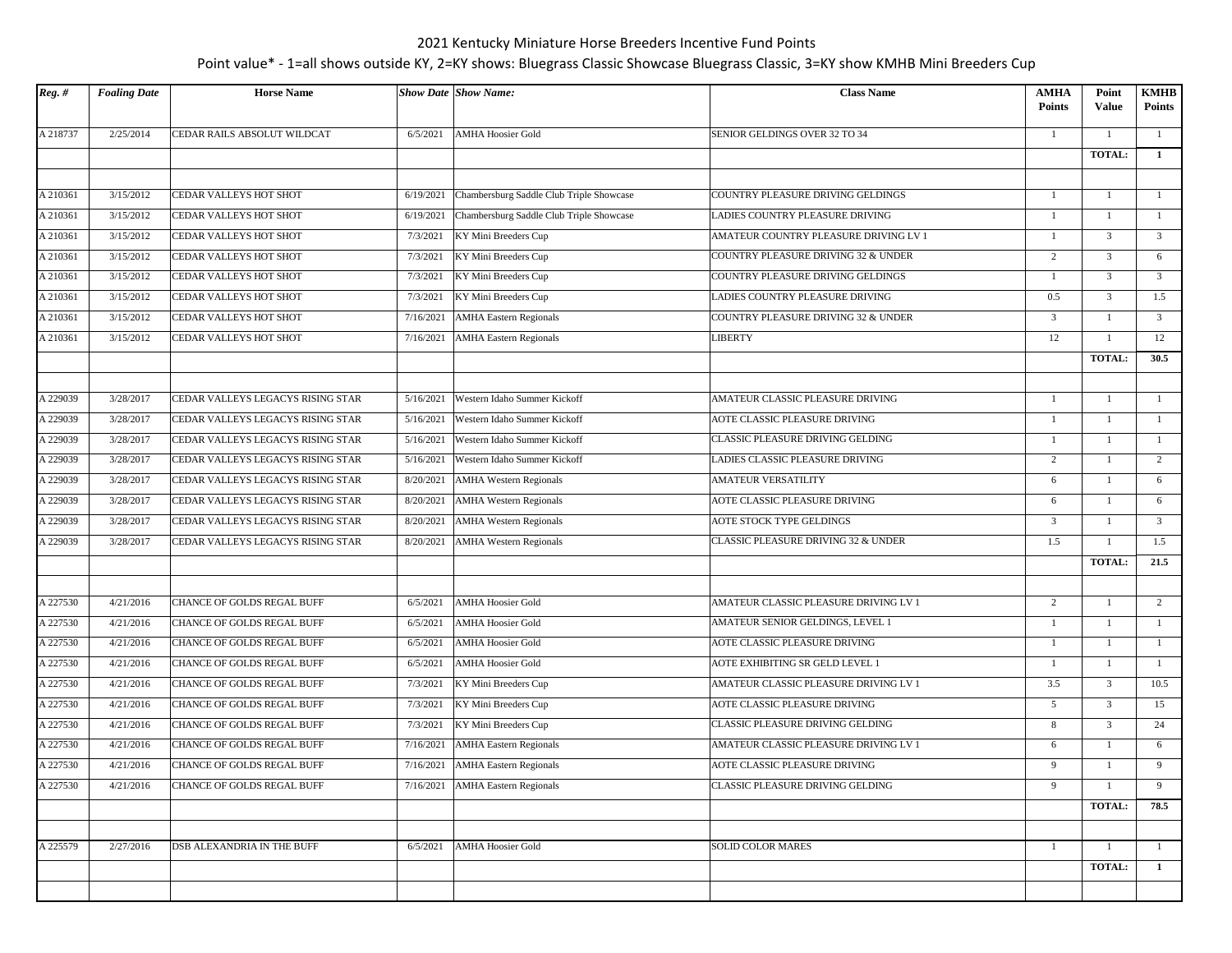| $Reg.$ # | <b>Foaling Date</b> | <b>Horse Name</b>                 |           | <b>Show Date Show Name:</b>              | <b>Class Name</b>                     | AMHA<br><b>Points</b> | Point<br><b>Value</b> | <b>KMHB</b><br><b>Points</b> |
|----------|---------------------|-----------------------------------|-----------|------------------------------------------|---------------------------------------|-----------------------|-----------------------|------------------------------|
| A 218737 | 2/25/2014           | CEDAR RAILS ABSOLUT WILDCAT       | 6/5/2021  | <b>AMHA Hoosier Gold</b>                 | SENIOR GELDINGS OVER 32 TO 34         | -1                    | $\mathbf{1}$          | $\mathbf{1}$                 |
|          |                     |                                   |           |                                          |                                       |                       | <b>TOTAL:</b>         | $\mathbf{1}$                 |
|          |                     |                                   |           |                                          |                                       |                       |                       |                              |
| A 210361 | 3/15/2012           | CEDAR VALLEYS HOT SHOT            | 6/19/2021 | Chambersburg Saddle Club Triple Showcase | COUNTRY PLEASURE DRIVING GELDINGS     | -1                    | 1                     | -1                           |
| A 210361 | 3/15/2012           | CEDAR VALLEYS HOT SHOT            | 6/19/2021 | Chambersburg Saddle Club Triple Showcase | LADIES COUNTRY PLEASURE DRIVING       | $\mathbf{1}$          | 1                     | $\mathbf{1}$                 |
| A 210361 | 3/15/2012           | CEDAR VALLEYS HOT SHOT            | 7/3/2021  | KY Mini Breeders Cup                     | AMATEUR COUNTRY PLEASURE DRIVING LV 1 | $\mathbf{1}$          | $\overline{3}$        | $\overline{3}$               |
| A 210361 | 3/15/2012           | CEDAR VALLEYS HOT SHOT            | 7/3/2021  | KY Mini Breeders Cup                     | COUNTRY PLEASURE DRIVING 32 & UNDER   | 2                     | 3                     | 6                            |
| A 210361 | 3/15/2012           | CEDAR VALLEYS HOT SHOT            | 7/3/2021  | KY Mini Breeders Cup                     | COUNTRY PLEASURE DRIVING GELDINGS     | -1                    | $\mathfrak{Z}$        | $\overline{3}$               |
| A 210361 | 3/15/2012           | CEDAR VALLEYS HOT SHOT            | 7/3/2021  | KY Mini Breeders Cup                     | LADIES COUNTRY PLEASURE DRIVING       | 0.5                   | $\mathfrak{Z}$        | 1.5                          |
| A 210361 | 3/15/2012           | CEDAR VALLEYS HOT SHOT            | 7/16/2021 | <b>AMHA Eastern Regionals</b>            | COUNTRY PLEASURE DRIVING 32 & UNDER   | $\overline{3}$        | 1                     | $\mathfrak{Z}$               |
| A 210361 | 3/15/2012           | CEDAR VALLEYS HOT SHOT            | 7/16/2021 | <b>AMHA Eastern Regionals</b>            | <b>LIBERTY</b>                        | 12                    | -1                    | 12                           |
|          |                     |                                   |           |                                          |                                       |                       | TOTAL:                | 30.5                         |
| A 229039 | 3/28/2017           | CEDAR VALLEYS LEGACYS RISING STAR | 5/16/2021 | Western Idaho Summer Kickoff             | AMATEUR CLASSIC PLEASURE DRIVING      | -1                    | -1                    | $\mathbf{1}$                 |
| A 229039 | 3/28/2017           | CEDAR VALLEYS LEGACYS RISING STAR | 5/16/2021 | Western Idaho Summer Kickoff             | AOTE CLASSIC PLEASURE DRIVING         | $\overline{1}$        | $\mathbf{1}$          | -1                           |
| A 229039 | 3/28/2017           | CEDAR VALLEYS LEGACYS RISING STAR | 5/16/2021 | Western Idaho Summer Kickoff             | CLASSIC PLEASURE DRIVING GELDING      | $\mathbf{1}$          | $\mathbf{1}$          | $\mathbf{1}$                 |
| A 229039 | 3/28/2017           | CEDAR VALLEYS LEGACYS RISING STAR | 5/16/2021 | Western Idaho Summer Kickoff             | LADIES CLASSIC PLEASURE DRIVING       | 2                     | 1                     | $\overline{2}$               |
| A 229039 | 3/28/2017           | CEDAR VALLEYS LEGACYS RISING STAR | 8/20/2021 | <b>AMHA Western Regionals</b>            | <b>AMATEUR VERSATILITY</b>            | 6                     | $\mathbf{1}$          | 6                            |
| A 229039 | 3/28/2017           | CEDAR VALLEYS LEGACYS RISING STAR | 8/20/2021 | <b>AMHA Western Regionals</b>            | AOTE CLASSIC PLEASURE DRIVING         | 6                     | 1                     | 6                            |
| A 229039 | 3/28/2017           | CEDAR VALLEYS LEGACYS RISING STAR | 8/20/2021 | <b>AMHA Western Regionals</b>            | AOTE STOCK TYPE GELDINGS              | $\overline{3}$        | $\mathbf{1}$          | $\overline{3}$               |
| A 229039 | 3/28/2017           | CEDAR VALLEYS LEGACYS RISING STAR | 8/20/2021 | <b>AMHA Western Regionals</b>            | CLASSIC PLEASURE DRIVING 32 & UNDER   | 1.5                   | -1                    | 1.5                          |
|          |                     |                                   |           |                                          |                                       |                       | TOTAL:                | 21.5                         |
|          |                     |                                   |           |                                          |                                       |                       |                       |                              |
| A 227530 | 4/21/2016           | CHANCE OF GOLDS REGAL BUFF        | 6/5/2021  | <b>AMHA Hoosier Gold</b>                 | AMATEUR CLASSIC PLEASURE DRIVING LV 1 | 2                     | 1                     | 2                            |
| A 227530 | 4/21/2016           | CHANCE OF GOLDS REGAL BUFF        | 6/5/2021  | <b>AMHA Hoosier Gold</b>                 | AMATEUR SENIOR GELDINGS, LEVEL 1      | $\mathbf{1}$          | -1                    | $\mathbf{1}$                 |
| A 227530 | 4/21/2016           | CHANCE OF GOLDS REGAL BUFF        | 6/5/2021  | <b>AMHA Hoosier Gold</b>                 | AOTE CLASSIC PLEASURE DRIVING         | -1                    | $\mathbf{1}$          | -1                           |
| A 227530 | 4/21/2016           | CHANCE OF GOLDS REGAL BUFF        | 6/5/2021  | <b>AMHA Hoosier Gold</b>                 | AOTE EXHIBITING SR GELD LEVEL 1       | $\mathbf{1}$          | $\mathbf{1}$          | $\mathbf{1}$                 |
| A 227530 | 4/21/2016           | CHANCE OF GOLDS REGAL BUFF        | 7/3/2021  | KY Mini Breeders Cup                     | AMATEUR CLASSIC PLEASURE DRIVING LV 1 | 3.5                   | $\mathfrak{Z}$        | 10.5                         |
| A 227530 | 4/21/2016           | CHANCE OF GOLDS REGAL BUFF        | 7/3/2021  | KY Mini Breeders Cup                     | AOTE CLASSIC PLEASURE DRIVING         | 5                     | 3                     | 15                           |
| A 227530 | 4/21/2016           | CHANCE OF GOLDS REGAL BUFF        | 7/3/2021  | KY Mini Breeders Cup                     | CLASSIC PLEASURE DRIVING GELDING      | 8                     | $\mathfrak{Z}$        | 24                           |
| A 227530 | 4/21/2016           | CHANCE OF GOLDS REGAL BUFF        | 7/16/2021 | <b>AMHA Eastern Regionals</b>            | AMATEUR CLASSIC PLEASURE DRIVING LV 1 | 6                     | 1                     | 6                            |
| A 227530 | 4/21/2016           | CHANCE OF GOLDS REGAL BUFF        | 7/16/2021 | <b>AMHA Eastern Regionals</b>            | AOTE CLASSIC PLEASURE DRIVING         | 9                     | $\mathbf{1}$          | 9                            |
| A 227530 | 4/21/2016           | CHANCE OF GOLDS REGAL BUFF        |           | 7/16/2021   AMHA Eastern Regionals       | CLASSIC PLEASURE DRIVING GELDING      | 9                     | $\mathbf{1}$          | 9                            |
|          |                     |                                   |           |                                          |                                       |                       | <b>TOTAL:</b>         | 78.5                         |
|          |                     |                                   |           |                                          |                                       |                       |                       |                              |
| A 225579 | 2/27/2016           | DSB ALEXANDRIA IN THE BUFF        | 6/5/2021  | <b>AMHA Hoosier Gold</b>                 | <b>SOLID COLOR MARES</b>              | -1                    | $\overline{1}$        | $\mathbf{1}$                 |
|          |                     |                                   |           |                                          |                                       |                       | <b>TOTAL:</b>         | $\mathbf{1}$                 |
|          |                     |                                   |           |                                          |                                       |                       |                       |                              |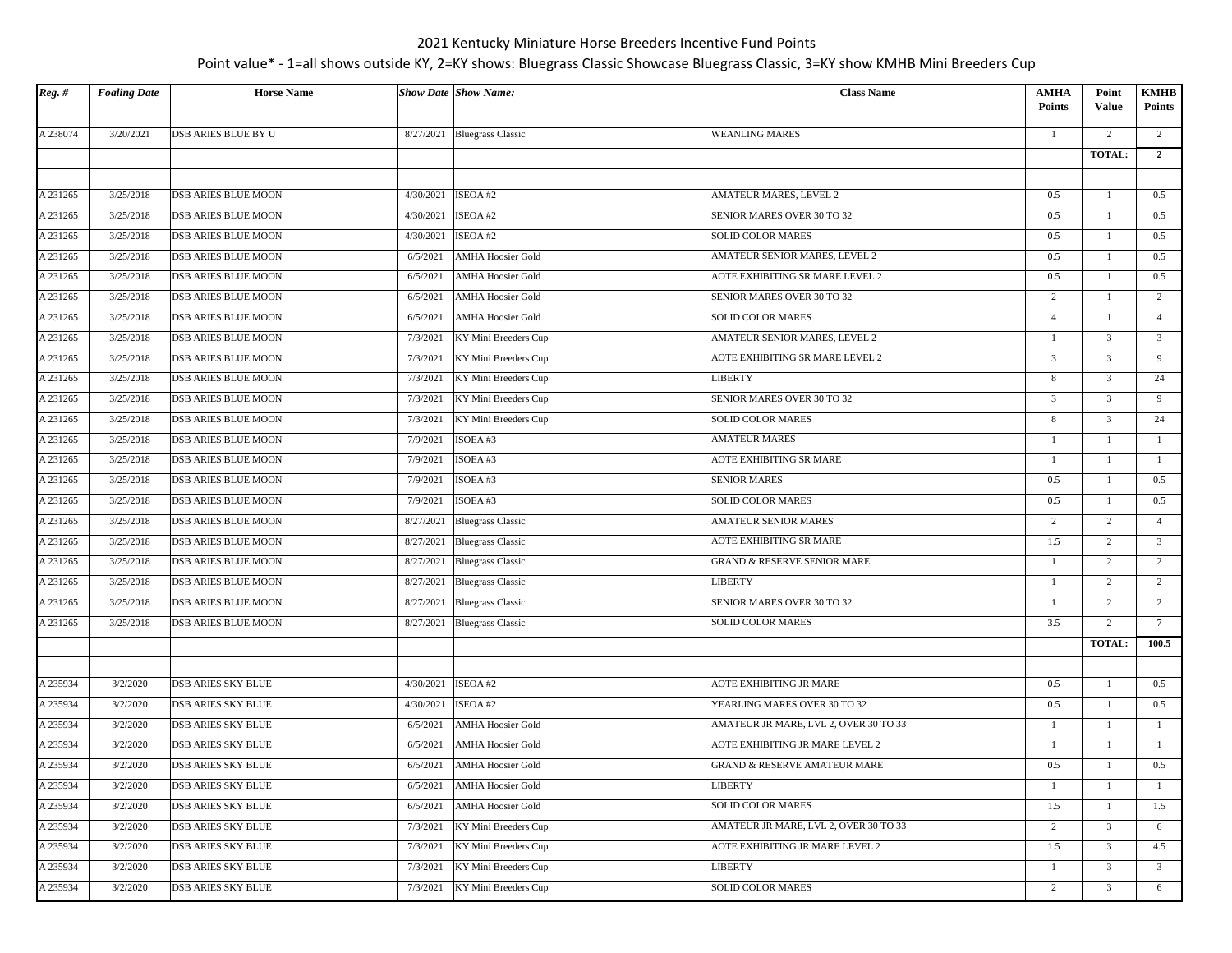| $Reg.$ # | <b>Foaling Date</b> | <b>Horse Name</b>          |           | <b>Show Date Show Name:</b> | <b>Class Name</b>                       | <b>AMHA</b><br>Points | Point<br><b>Value</b> | <b>KMHB</b><br><b>Points</b> |
|----------|---------------------|----------------------------|-----------|-----------------------------|-----------------------------------------|-----------------------|-----------------------|------------------------------|
| A 238074 | 3/20/2021           | DSB ARIES BLUE BY U        |           | 8/27/2021 Bluegrass Classic | <b>WEANLING MARES</b>                   | -1                    | 2                     | 2                            |
|          |                     |                            |           |                             |                                         |                       | TOTAL:                | $\overline{2}$               |
|          |                     |                            |           |                             |                                         |                       |                       |                              |
| A 231265 | 3/25/2018           | <b>DSB ARIES BLUE MOON</b> | 4/30/2021 | ISEOA#2                     | AMATEUR MARES, LEVEL 2                  | 0.5                   | $\overline{1}$        | 0.5                          |
| A 231265 | 3/25/2018           | <b>DSB ARIES BLUE MOON</b> | 4/30/2021 | ISEOA#2                     | SENIOR MARES OVER 30 TO 32              | 0.5                   | 1                     | 0.5                          |
| A 231265 | 3/25/2018           | <b>DSB ARIES BLUE MOON</b> | 4/30/2021 | ISEOA#2                     | <b>SOLID COLOR MARES</b>                | 0.5                   | $\mathbf{1}$          | 0.5                          |
| A 231265 | 3/25/2018           | <b>DSB ARIES BLUE MOON</b> | 6/5/2021  | <b>AMHA Hoosier Gold</b>    | AMATEUR SENIOR MARES, LEVEL 2           | 0.5                   | $\overline{1}$        | 0.5                          |
| A 231265 | 3/25/2018           | <b>DSB ARIES BLUE MOON</b> | 6/5/2021  | <b>AMHA Hoosier Gold</b>    | AOTE EXHIBITING SR MARE LEVEL 2         | 0.5                   | 1                     | 0.5                          |
| A 231265 | 3/25/2018           | <b>DSB ARIES BLUE MOON</b> | 6/5/2021  | <b>AMHA Hoosier Gold</b>    | SENIOR MARES OVER 30 TO 32              | $\overline{2}$        | -1                    | 2                            |
| A 231265 | 3/25/2018           | DSB ARIES BLUE MOON        | 6/5/2021  | <b>AMHA Hoosier Gold</b>    | <b>SOLID COLOR MARES</b>                | $\overline{4}$        | $\mathbf{1}$          | $\overline{4}$               |
| A 231265 | 3/25/2018           | DSB ARIES BLUE MOON        | 7/3/2021  | KY Mini Breeders Cup        | AMATEUR SENIOR MARES, LEVEL 2           | $\mathbf{1}$          | $\mathfrak{Z}$        | $\overline{3}$               |
| A 231265 | 3/25/2018           | <b>DSB ARIES BLUE MOON</b> | 7/3/2021  | KY Mini Breeders Cup        | AOTE EXHIBITING SR MARE LEVEL 2         | $\mathfrak{Z}$        | $\overline{3}$        | 9                            |
| A 231265 | 3/25/2018           | <b>DSB ARIES BLUE MOON</b> | 7/3/2021  | KY Mini Breeders Cup        | <b>LIBERTY</b>                          | 8                     | $\mathfrak{Z}$        | 24                           |
| A 231265 | 3/25/2018           | DSB ARIES BLUE MOON        | 7/3/2021  | KY Mini Breeders Cup        | SENIOR MARES OVER 30 TO 32              | $\mathfrak{Z}$        | $\mathfrak{Z}$        | 9                            |
| A 231265 | 3/25/2018           | <b>DSB ARIES BLUE MOON</b> | 7/3/2021  | KY Mini Breeders Cup        | <b>SOLID COLOR MARES</b>                | 8                     | 3                     | 24                           |
| A 231265 | 3/25/2018           | <b>DSB ARIES BLUE MOON</b> | 7/9/2021  | ISOEA #3                    | <b>AMATEUR MARES</b>                    | $\mathbf{1}$          | $\overline{1}$        | 1                            |
| A 231265 | 3/25/2018           | <b>DSB ARIES BLUE MOON</b> | 7/9/2021  | ISOEA #3                    | <b>AOTE EXHIBITING SR MARE</b>          | $\mathbf{1}$          | 1                     | -1                           |
| A 231265 | 3/25/2018           | <b>DSB ARIES BLUE MOON</b> | 7/9/2021  | ISOEA #3                    | <b>SENIOR MARES</b>                     | 0.5                   | $\overline{1}$        | 0.5                          |
| A 231265 | 3/25/2018           | <b>DSB ARIES BLUE MOON</b> | 7/9/2021  | ISOEA#3                     | <b>SOLID COLOR MARES</b>                | 0.5                   | 1                     | 0.5                          |
| A 231265 | 3/25/2018           | <b>DSB ARIES BLUE MOON</b> | 8/27/2021 | <b>Bluegrass Classic</b>    | <b>AMATEUR SENIOR MARES</b>             | $\overline{2}$        | $\overline{2}$        | $\overline{4}$               |
| A 231265 | 3/25/2018           | DSB ARIES BLUE MOON        | 8/27/2021 | <b>Bluegrass Classic</b>    | AOTE EXHIBITING SR MARE                 | 1.5                   | 2                     | $\overline{3}$               |
| A 231265 | 3/25/2018           | DSB ARIES BLUE MOON        |           | 8/27/2021 Bluegrass Classic | <b>GRAND &amp; RESERVE SENIOR MARE</b>  | $\mathbf{1}$          | $\overline{2}$        | $\overline{2}$               |
| A 231265 | 3/25/2018           | <b>DSB ARIES BLUE MOON</b> |           | 8/27/2021 Bluegrass Classic | <b>LIBERTY</b>                          | -1                    | 2                     | 2                            |
| A 231265 | 3/25/2018           | <b>DSB ARIES BLUE MOON</b> |           | 8/27/2021 Bluegrass Classic | SENIOR MARES OVER 30 TO 32              | 1                     | 2                     | 2                            |
| A 231265 | 3/25/2018           | <b>DSB ARIES BLUE MOON</b> |           | 8/27/2021 Bluegrass Classic | <b>SOLID COLOR MARES</b>                | 3.5                   | $\overline{2}$        | $7\phantom{.0}$              |
|          |                     |                            |           |                             |                                         |                       | <b>TOTAL:</b>         | 100.5                        |
|          |                     |                            |           |                             |                                         |                       |                       |                              |
| A 235934 | 3/2/2020            | <b>DSB ARIES SKY BLUE</b>  | 4/30/2021 | ISEOA#2                     | AOTE EXHIBITING JR MARE                 | 0.5                   | 1                     | 0.5                          |
| A 235934 | 3/2/2020            | <b>DSB ARIES SKY BLUE</b>  | 4/30/2021 | ISEOA #2                    | YEARLING MARES OVER 30 TO 32            | 0.5                   | -1                    | 0.5                          |
| A 235934 | 3/2/2020            | DSB ARIES SKY BLUE         | 6/5/2021  | <b>AMHA Hoosier Gold</b>    | AMATEUR JR MARE, LVL 2, OVER 30 TO 33   | 1                     | $\overline{1}$        | -1                           |
| A 235934 | 3/2/2020            | <b>DSB ARIES SKY BLUE</b>  | 6/5/2021  | <b>AMHA Hoosier Gold</b>    | AOTE EXHIBITING JR MARE LEVEL 2         | 1                     | -1                    | -1                           |
| A 235934 | 3/2/2020            | <b>DSB ARIES SKY BLUE</b>  | 6/5/2021  | <b>AMHA Hoosier Gold</b>    | <b>GRAND &amp; RESERVE AMATEUR MARE</b> | 0.5                   | $\mathbf{1}$          | 0.5                          |
| A 235934 | 3/2/2020            | DSB ARIES SKY BLUE         | 6/5/2021  | <b>AMHA Hoosier Gold</b>    | <b>LIBERTY</b>                          | -1                    | $\mathbf{1}$          |                              |
| A 235934 | 3/2/2020            | <b>DSB ARIES SKY BLUE</b>  | 6/5/2021  | <b>AMHA Hoosier Gold</b>    | <b>SOLID COLOR MARES</b>                | 1.5                   | -1                    | 1.5                          |
| A 235934 | 3/2/2020            | <b>DSB ARIES SKY BLUE</b>  | 7/3/2021  | KY Mini Breeders Cup        | AMATEUR JR MARE, LVL 2, OVER 30 TO 33   | $\overline{2}$        | 3                     | 6                            |
| A 235934 | 3/2/2020            | DSB ARIES SKY BLUE         | 7/3/2021  | KY Mini Breeders Cup        | AOTE EXHIBITING JR MARE LEVEL 2         | 1.5                   | $\mathfrak{Z}$        | 4.5                          |
| A 235934 | 3/2/2020            | DSB ARIES SKY BLUE         | 7/3/2021  | KY Mini Breeders Cup        | <b>LIBERTY</b>                          | 1                     | 3                     | $\overline{3}$               |
| A 235934 | 3/2/2020            | <b>DSB ARIES SKY BLUE</b>  | 7/3/2021  | KY Mini Breeders Cup        | SOLID COLOR MARES                       | $\overline{2}$        | $\mathfrak{Z}$        | 6                            |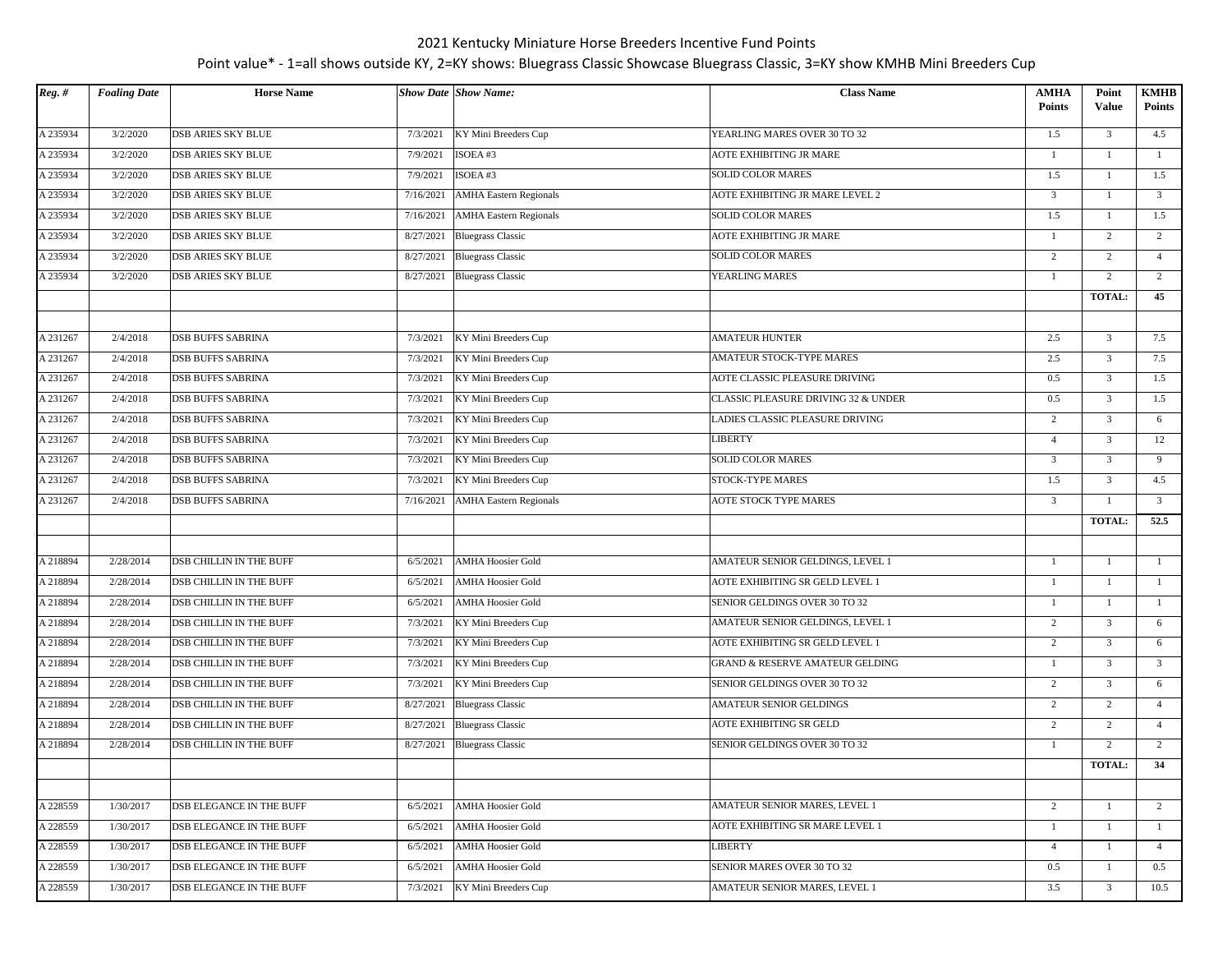| $Reg.$ # | <b>Foaling Date</b> | <b>Horse Name</b>               |           | <b>Show Date Show Name:</b>        | <b>Class Name</b>                          | <b>AMHA</b><br><b>Points</b> | Point<br><b>Value</b> | <b>KMHB</b><br><b>Points</b> |
|----------|---------------------|---------------------------------|-----------|------------------------------------|--------------------------------------------|------------------------------|-----------------------|------------------------------|
| A 235934 | 3/2/2020            | <b>DSB ARIES SKY BLUE</b>       | 7/3/2021  | KY Mini Breeders Cup               | YEARLING MARES OVER 30 TO 32               | 1.5                          | $\overline{3}$        | 4.5                          |
| A 235934 | 3/2/2020            | <b>DSB ARIES SKY BLUE</b>       | 7/9/2021  | ISOEA#3                            | AOTE EXHIBITING JR MARE                    | $\mathbf{1}$                 | $\mathbf{1}$          | $\mathbf{1}$                 |
| A 235934 | 3/2/2020            | <b>DSB ARIES SKY BLUE</b>       | 7/9/2021  | ISOEA#3                            | <b>SOLID COLOR MARES</b>                   | 1.5                          | 1                     | 1.5                          |
| A 235934 | 3/2/2020            | <b>DSB ARIES SKY BLUE</b>       | 7/16/2021 | <b>AMHA Eastern Regionals</b>      | <b>AOTE EXHIBITING JR MARE LEVEL 2</b>     | 3                            | $\mathbf{1}$          | $\overline{\mathbf{3}}$      |
| A 235934 | 3/2/2020            | <b>DSB ARIES SKY BLUE</b>       | 7/16/2021 | <b>AMHA Eastern Regionals</b>      | SOLID COLOR MARES                          | 1.5                          | 1                     | 1.5                          |
| A 235934 | 3/2/2020            | <b>DSB ARIES SKY BLUE</b>       | 8/27/2021 | <b>Bluegrass Classic</b>           | <b>AOTE EXHIBITING JR MARE</b>             | $\mathbf{1}$                 | 2                     | 2                            |
| A 235934 | 3/2/2020            | <b>DSB ARIES SKY BLUE</b>       | 8/27/2021 | <b>Bluegrass Classic</b>           | <b>SOLID COLOR MARES</b>                   | $\overline{2}$               | 2                     | $\overline{4}$               |
| A 235934 | 3/2/2020            | <b>DSB ARIES SKY BLUE</b>       |           | 8/27/2021 Bluegrass Classic        | YEARLING MARES                             | $\overline{1}$               | 2                     | 2                            |
|          |                     |                                 |           |                                    |                                            |                              | TOTAL:                | 45                           |
|          |                     |                                 |           |                                    |                                            |                              |                       |                              |
| A 231267 | 2/4/2018            | <b>DSB BUFFS SABRINA</b>        | 7/3/2021  | KY Mini Breeders Cup               | <b>AMATEUR HUNTER</b>                      | 2.5                          | $\overline{3}$        | 7.5                          |
| A 231267 | 2/4/2018            | <b>DSB BUFFS SABRINA</b>        | 7/3/2021  | KY Mini Breeders Cup               | AMATEUR STOCK-TYPE MARES                   | 2.5                          | $\overline{3}$        | 7.5                          |
| A 231267 | 2/4/2018            | <b>DSB BUFFS SABRINA</b>        | 7/3/2021  | KY Mini Breeders Cup               | AOTE CLASSIC PLEASURE DRIVING              | 0.5                          | $\mathfrak{Z}$        | 1.5                          |
| A 231267 | 2/4/2018            | <b>DSB BUFFS SABRINA</b>        | 7/3/2021  | KY Mini Breeders Cup               | CLASSIC PLEASURE DRIVING 32 & UNDER        | 0.5                          | $\overline{3}$        | 1.5                          |
| A 231267 | 2/4/2018            | <b>DSB BUFFS SABRINA</b>        | 7/3/2021  | KY Mini Breeders Cup               | LADIES CLASSIC PLEASURE DRIVING            | $\overline{2}$               | $\overline{3}$        | 6                            |
| A 231267 | 2/4/2018            | <b>DSB BUFFS SABRINA</b>        | 7/3/2021  | KY Mini Breeders Cup               | <b>LIBERTY</b>                             | $\overline{4}$               | $\overline{3}$        | 12                           |
| A 231267 | 2/4/2018            | <b>DSB BUFFS SABRINA</b>        | 7/3/2021  | KY Mini Breeders Cup               | <b>SOLID COLOR MARES</b>                   | 3                            | $\overline{3}$        | 9                            |
| A 231267 | 2/4/2018            | <b>DSB BUFFS SABRINA</b>        | 7/3/2021  | KY Mini Breeders Cup               | STOCK-TYPE MARES                           | 1.5                          | $\overline{3}$        | 4.5                          |
| A 231267 | 2/4/2018            | <b>DSB BUFFS SABRINA</b>        |           | 7/16/2021   AMHA Eastern Regionals | AOTE STOCK TYPE MARES                      | 3                            | 1                     | $\overline{3}$               |
|          |                     |                                 |           |                                    |                                            |                              | TOTAL:                | 52.5                         |
|          |                     |                                 |           |                                    |                                            |                              |                       |                              |
| A 218894 | 2/28/2014           | <b>DSB CHILLIN IN THE BUFF</b>  | 6/5/2021  | <b>AMHA Hoosier Gold</b>           | AMATEUR SENIOR GELDINGS, LEVEL 1           | 1                            | $\mathbf{1}$          | -1                           |
| A 218894 | 2/28/2014           | <b>DSB CHILLIN IN THE BUFF</b>  | 6/5/2021  | <b>AMHA Hoosier Gold</b>           | AOTE EXHIBITING SR GELD LEVEL I            | -1                           | 1                     | -1                           |
| A 218894 | 2/28/2014           | <b>DSB CHILLIN IN THE BUFF</b>  | 6/5/2021  | <b>AMHA Hoosier Gold</b>           | SENIOR GELDINGS OVER 30 TO 32              | -1                           | 1                     | 1                            |
| A 218894 | 2/28/2014           | DSB CHILLIN IN THE BUFF         | 7/3/2021  | KY Mini Breeders Cup               | AMATEUR SENIOR GELDINGS, LEVEL 1           | $\overline{2}$               | $\overline{3}$        | 6                            |
| A 218894 | 2/28/2014           | DSB CHILLIN IN THE BUFF         | 7/3/2021  | KY Mini Breeders Cup               | AOTE EXHIBITING SR GELD LEVEL I            | $\overline{2}$               | $\overline{3}$        | 6                            |
| A 218894 | 2/28/2014           | <b>DSB CHILLIN IN THE BUFF</b>  | 7/3/2021  | KY Mini Breeders Cup               | <b>GRAND &amp; RESERVE AMATEUR GELDING</b> | 1                            | $\overline{3}$        | $\overline{3}$               |
| A 218894 | 2/28/2014           | <b>DSB CHILLIN IN THE BUFF</b>  | 7/3/2021  | KY Mini Breeders Cup               | SENIOR GELDINGS OVER 30 TO 32              | $\overline{2}$               | $\overline{3}$        | 6                            |
| A 218894 | 2/28/2014           | <b>DSB CHILLIN IN THE BUFF</b>  | 8/27/2021 | <b>Bluegrass Classic</b>           | <b>AMATEUR SENIOR GELDINGS</b>             | $\overline{2}$               | $\overline{2}$        | $\overline{4}$               |
| A 218894 | 2/28/2014           | <b>DSB CHILLIN IN THE BUFF</b>  |           | 8/27/2021 Bluegrass Classic        | AOTE EXHIBITING SR GELD                    | $\overline{2}$               | 2                     | $\overline{4}$               |
| A 218894 | 2/28/2014           | <b>DSB CHILLIN IN THE BUFF</b>  | 8/27/2021 | <b>Bluegrass Classic</b>           | SENIOR GELDINGS OVER 30 TO 32              | -1                           | 2                     | 2                            |
|          |                     |                                 |           |                                    |                                            |                              | <b>TOTAL:</b>         | 34                           |
|          |                     |                                 |           |                                    |                                            |                              |                       |                              |
| A 228559 | 1/30/2017           | DSB ELEGANCE IN THE BUFF        | 6/5/2021  | <b>AMHA Hoosier Gold</b>           | AMATEUR SENIOR MARES, LEVEL 1              | 2                            | 1                     | 2                            |
| A 228559 | 1/30/2017           | DSB ELEGANCE IN THE BUFF        | 6/5/2021  | <b>AMHA Hoosier Gold</b>           | AOTE EXHIBITING SR MARE LEVEL 1            | $\mathbf{1}$                 | 1                     | -1                           |
| A 228559 | 1/30/2017           | DSB ELEGANCE IN THE BUFF        | 6/5/2021  | <b>AMHA Hoosier Gold</b>           | LIBERTY                                    | $\overline{4}$               | 1                     | $\overline{4}$               |
| A 228559 | 1/30/2017           | DSB ELEGANCE IN THE BUFF        | 6/5/2021  | AMHA Hoosier Gold                  | SENIOR MARES OVER 30 TO 32                 | 0.5                          | $\mathbf{1}$          | 0.5                          |
| A 228559 | 1/30/2017           | <b>DSB ELEGANCE IN THE BUFF</b> | 7/3/2021  | KY Mini Breeders Cup               | AMATEUR SENIOR MARES, LEVEL 1              | 3.5                          | $\overline{3}$        | 10.5                         |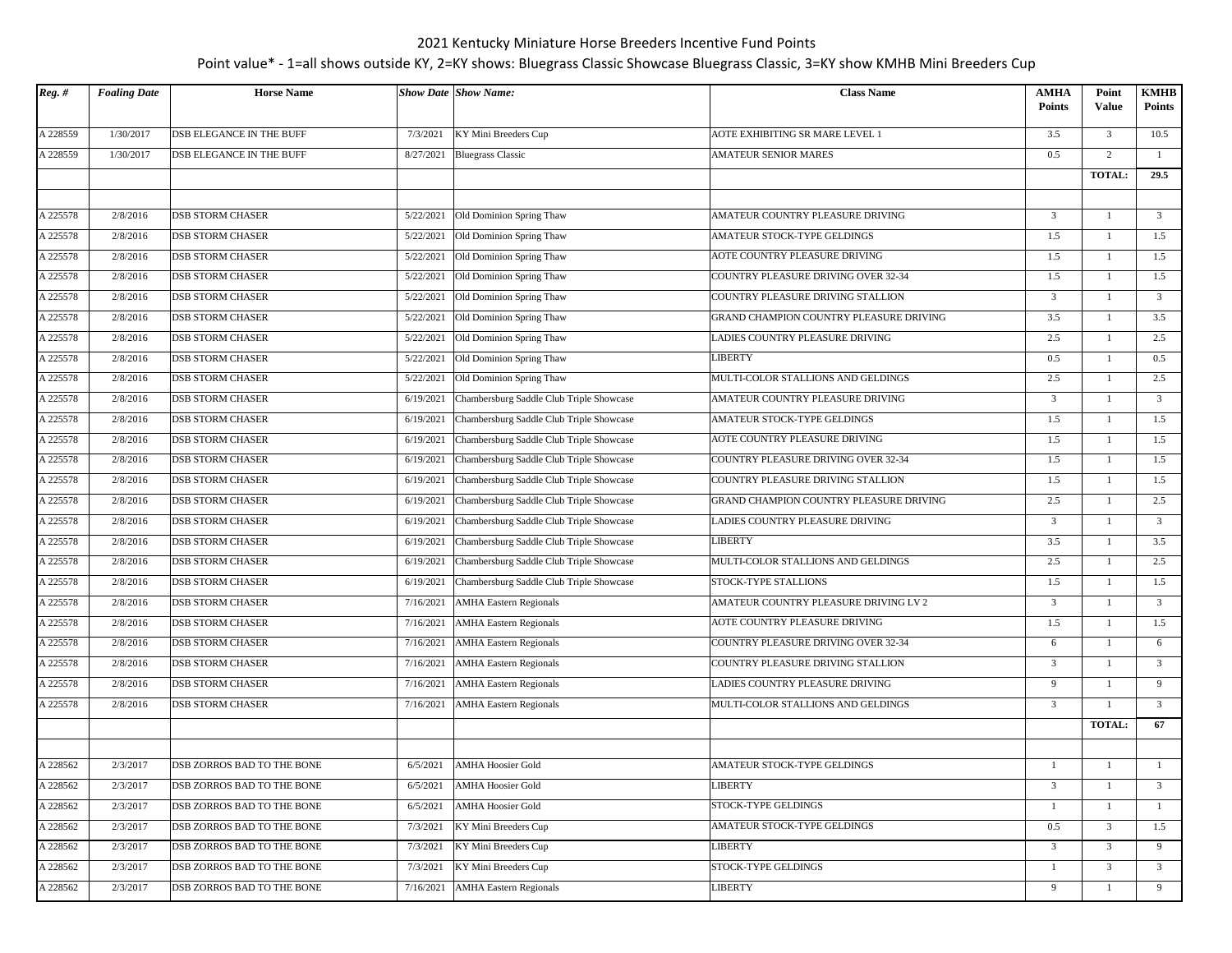| $Reg.$ # | <b>Foaling Date</b> | <b>Horse Name</b>          |           | <b>Show Date Show Name:</b>              | <b>Class Name</b>                       | AMHA<br><b>Points</b> | Point<br>Value | <b>KMHB</b><br><b>Points</b> |
|----------|---------------------|----------------------------|-----------|------------------------------------------|-----------------------------------------|-----------------------|----------------|------------------------------|
| A 228559 | 1/30/2017           | DSB ELEGANCE IN THE BUFF   | 7/3/2021  | KY Mini Breeders Cup                     | AOTE EXHIBITING SR MARE LEVEL 1         | 3.5                   | 3              | 10.5                         |
| A 228559 | 1/30/2017           | DSB ELEGANCE IN THE BUFF   | 8/27/2021 | <b>Bluegrass Classic</b>                 | AMATEUR SENIOR MARES                    | 0.5                   | $\overline{2}$ | -1                           |
|          |                     |                            |           |                                          |                                         |                       | TOTAL:         | 29.5                         |
|          |                     |                            |           |                                          |                                         |                       |                |                              |
| A 225578 | $\sqrt{2}/8/2016$   | <b>DSB STORM CHASER</b>    | 5/22/2021 | Old Dominion Spring Thaw                 | AMATEUR COUNTRY PLEASURE DRIVING        | $\overline{3}$        | 1              | $\overline{3}$               |
| A 225578 | 2/8/2016            | <b>DSB STORM CHASER</b>    | 5/22/2021 | Old Dominion Spring Thaw                 | AMATEUR STOCK-TYPE GELDINGS             | 1.5                   | 1              | 1.5                          |
| A 225578 | 2/8/2016            | <b>DSB STORM CHASER</b>    | 5/22/2021 | Old Dominion Spring Thaw                 | AOTE COUNTRY PLEASURE DRIVING           | 1.5                   | $\mathbf{1}$   | 1.5                          |
| A 225578 | 2/8/2016            | <b>DSB STORM CHASER</b>    | 5/22/2021 | Old Dominion Spring Thaw                 | COUNTRY PLEASURE DRIVING OVER 32-34     | 1.5                   | $\overline{1}$ | 1.5                          |
| A 225578 | 2/8/2016            | <b>DSB STORM CHASER</b>    | 5/22/2021 | Old Dominion Spring Thaw                 | COUNTRY PLEASURE DRIVING STALLION       | $\overline{3}$        | 1              | $\overline{\mathbf{3}}$      |
| A 225578 | 2/8/2016            | <b>DSB STORM CHASER</b>    | 5/22/2021 | Old Dominion Spring Thaw                 | GRAND CHAMPION COUNTRY PLEASURE DRIVING | 3.5                   | 1              | 3.5                          |
| A 225578 | 2/8/2016            | <b>DSB STORM CHASER</b>    | 5/22/2021 | Old Dominion Spring Thaw                 | LADIES COUNTRY PLEASURE DRIVING         | 2.5                   | $\mathbf{1}$   | 2.5                          |
| A 225578 | 2/8/2016            | <b>DSB STORM CHASER</b>    | 5/22/2021 | Old Dominion Spring Thaw                 | LIBERTY                                 | 0.5                   | 1              | 0.5                          |
| A 225578 | 2/8/2016            | <b>DSB STORM CHASER</b>    | 5/22/2021 | Old Dominion Spring Thaw                 | MULTI-COLOR STALLIONS AND GELDINGS      | $2.5\,$               | $\mathbf{1}$   | 2.5                          |
| A 225578 | 2/8/2016            | <b>DSB STORM CHASER</b>    | 6/19/2021 | Chambersburg Saddle Club Triple Showcase | AMATEUR COUNTRY PLEASURE DRIVING        | 3                     |                | $\overline{\mathbf{3}}$      |
| A 225578 | 2/8/2016            | <b>DSB STORM CHASER</b>    | 6/19/2021 | Chambersburg Saddle Club Triple Showcase | AMATEUR STOCK-TYPE GELDINGS             | 1.5                   |                | 1.5                          |
| A 225578 | 2/8/2016            | <b>DSB STORM CHASER</b>    | 6/19/2021 | Chambersburg Saddle Club Triple Showcase | AOTE COUNTRY PLEASURE DRIVING           | 1.5                   | 1              | 1.5                          |
| A 225578 | 2/8/2016            | <b>DSB STORM CHASER</b>    | 6/19/2021 | Chambersburg Saddle Club Triple Showcase | COUNTRY PLEASURE DRIVING OVER 32-34     | 1.5                   | 1              | 1.5                          |
| A 225578 | 2/8/2016            | <b>DSB STORM CHASER</b>    | 6/19/2021 | Chambersburg Saddle Club Triple Showcase | COUNTRY PLEASURE DRIVING STALLION       | 1.5                   | 1              | 1.5                          |
| A 225578 | 2/8/2016            | <b>DSB STORM CHASER</b>    | 6/19/2021 | Chambersburg Saddle Club Triple Showcase | GRAND CHAMPION COUNTRY PLEASURE DRIVING | $2.5\,$               | $\mathbf{1}$   | 2.5                          |
| A 225578 | 2/8/2016            | <b>DSB STORM CHASER</b>    | 6/19/2021 | Chambersburg Saddle Club Triple Showcase | LADIES COUNTRY PLEASURE DRIVING         | $\overline{3}$        |                | $\overline{\mathbf{3}}$      |
| A 225578 | 2/8/2016            | <b>DSB STORM CHASER</b>    | 6/19/2021 | Chambersburg Saddle Club Triple Showcase | LIBERTY                                 | 3.5                   | 1              | 3.5                          |
| A 225578 | 2/8/2016            | <b>DSB STORM CHASER</b>    | 6/19/2021 | Chambersburg Saddle Club Triple Showcase | MULTI-COLOR STALLIONS AND GELDINGS      | 2.5                   | 1              | 2.5                          |
| A 225578 | 2/8/2016            | <b>DSB STORM CHASER</b>    | 6/19/2021 | Chambersburg Saddle Club Triple Showcase | STOCK-TYPE STALLIONS                    | 1.5                   | 1              | 1.5                          |
| A 225578 | 2/8/2016            | <b>DSB STORM CHASER</b>    | 7/16/2021 | <b>AMHA Eastern Regionals</b>            | AMATEUR COUNTRY PLEASURE DRIVING LV 2   | 3                     |                | $\overline{\mathbf{3}}$      |
| A 225578 | 2/8/2016            | <b>DSB STORM CHASER</b>    | 7/16/2021 | <b>AMHA Eastern Regionals</b>            | AOTE COUNTRY PLEASURE DRIVING           | 1.5                   |                | 1.5                          |
| A 225578 | 2/8/2016            | <b>DSB STORM CHASER</b>    | 7/16/2021 | <b>AMHA Eastern Regionals</b>            | COUNTRY PLEASURE DRIVING OVER 32-34     | 6                     |                | 6                            |
| A 225578 | 2/8/2016            | <b>DSB STORM CHASER</b>    | 7/16/2021 | <b>AMHA Eastern Regionals</b>            | COUNTRY PLEASURE DRIVING STALLION       | 3                     |                | $\overline{3}$               |
| A 225578 | 2/8/2016            | <b>DSB STORM CHASER</b>    | 7/16/2021 | <b>AMHA Eastern Regionals</b>            | LADIES COUNTRY PLEASURE DRIVING         | 9                     |                | 9                            |
| A 225578 | 2/8/2016            | <b>DSB STORM CHASER</b>    | 7/16/2021 | <b>AMHA Eastern Regionals</b>            | MULTI-COLOR STALLIONS AND GELDINGS      | 3                     | 1              | $\overline{\mathbf{3}}$      |
|          |                     |                            |           |                                          |                                         |                       | <b>TOTAL:</b>  | 67                           |
|          |                     |                            |           |                                          |                                         |                       |                |                              |
| A 228562 | 2/3/2017            | DSB ZORROS BAD TO THE BONE | 6/5/2021  | <b>AMHA Hoosier Gold</b>                 | AMATEUR STOCK-TYPE GELDINGS             | 1                     | 1              | $\overline{1}$               |
| A 228562 | 2/3/2017            | DSB ZORROS BAD TO THE BONE | 6/5/2021  | <b>AMHA Hoosier Gold</b>                 | <b>LIBERTY</b>                          | 3                     | $\mathbf{1}$   | $\overline{\mathbf{3}}$      |
| A 228562 | 2/3/2017            | DSB ZORROS BAD TO THE BONE | 6/5/2021  | <b>AMHA Hoosier Gold</b>                 | STOCK-TYPE GELDINGS                     | 1                     | 1              | -1                           |
| A 228562 | 2/3/2017            | DSB ZORROS BAD TO THE BONE | 7/3/2021  | KY Mini Breeders Cup                     | AMATEUR STOCK-TYPE GELDINGS             | 0.5                   | $\overline{3}$ | 1.5                          |
| A 228562 | 2/3/2017            | DSB ZORROS BAD TO THE BONE | 7/3/2021  | KY Mini Breeders Cup                     | LIBERTY                                 | $\overline{3}$        | $\overline{3}$ | 9                            |
| A 228562 | 2/3/2017            | DSB ZORROS BAD TO THE BONE | 7/3/2021  | KY Mini Breeders Cup                     | STOCK-TYPE GELDINGS                     | 1                     | $\mathbf{3}$   | $\overline{3}$               |
| A 228562 | 2/3/2017            | DSB ZORROS BAD TO THE BONE | 7/16/2021 | <b>AMHA Eastern Regionals</b>            | LIBERTY                                 | 9                     | 1              | 9                            |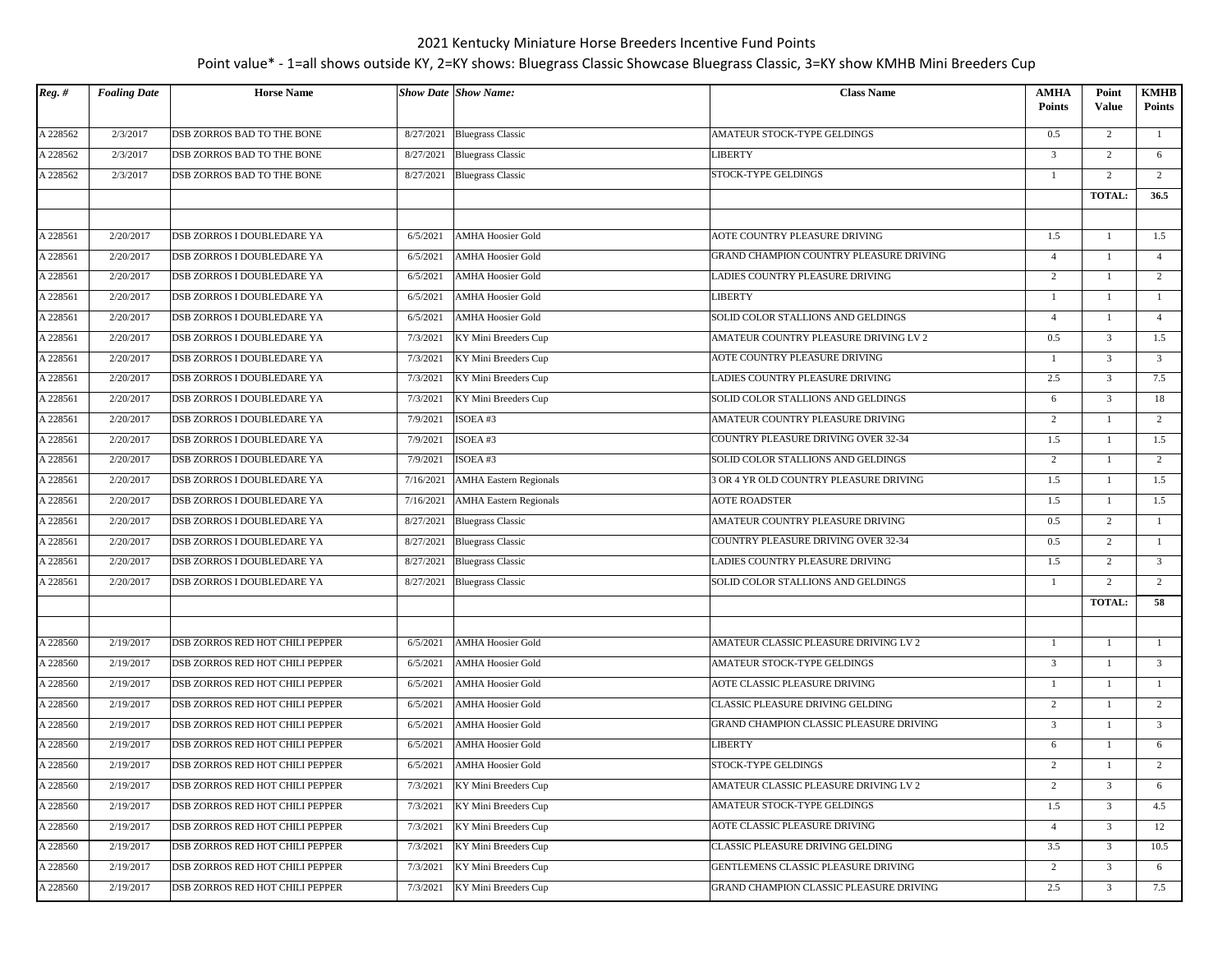| $\overline{Reg. H}$ | <b>Foaling Date</b> | <b>Horse Name</b>               |           | <b>Show Date Show Name:</b>   | <b>Class Name</b>                       | <b>AMHA</b><br><b>Points</b> | Point<br>Value | KMHB<br><b>Points</b> |
|---------------------|---------------------|---------------------------------|-----------|-------------------------------|-----------------------------------------|------------------------------|----------------|-----------------------|
| A 228562            | 2/3/2017            | DSB ZORROS BAD TO THE BONE      | 8/27/2021 | <b>Bluegrass Classic</b>      | AMATEUR STOCK-TYPE GELDINGS             | 0.5                          | $\overline{2}$ | -1                    |
| A 228562            | 2/3/2017            | DSB ZORROS BAD TO THE BONE      | 8/27/2021 | <b>Bluegrass Classic</b>      | <b>LIBERTY</b>                          | 3                            | 2              | 6                     |
| A 228562            | 2/3/2017            | DSB ZORROS BAD TO THE BONE      |           | 8/27/2021 Bluegrass Classic   | STOCK-TYPE GELDINGS                     | 1                            | 2              | 2                     |
|                     |                     |                                 |           |                               |                                         |                              | <b>TOTAL:</b>  | 36.5                  |
|                     |                     |                                 |           |                               |                                         |                              |                |                       |
| A 228561            | 2/20/2017           | DSB ZORROS I DOUBLEDARE YA      | 6/5/2021  | <b>AMHA Hoosier Gold</b>      | AOTE COUNTRY PLEASURE DRIVING           | 1.5                          | $\mathbf{1}$   | 1.5                   |
| A 228561            | 2/20/2017           | DSB ZORROS I DOUBLEDARE YA      | 6/5/2021  | <b>AMHA Hoosier Gold</b>      | GRAND CHAMPION COUNTRY PLEASURE DRIVING | $\overline{4}$               | 1              | $\overline{4}$        |
| A 228561            | 2/20/2017           | DSB ZORROS I DOUBLEDARE YA      | 6/5/2021  | <b>AMHA Hoosier Gold</b>      | LADIES COUNTRY PLEASURE DRIVING         | $\overline{c}$               | $\mathbf{1}$   | 2                     |
| A 228561            | 2/20/2017           | DSB ZORROS I DOUBLEDARE YA      | 6/5/2021  | <b>AMHA Hoosier Gold</b>      | LIBERTY                                 | 1                            | 1              | -1                    |
| A 228561            | 2/20/2017           | DSB ZORROS I DOUBLEDARE YA      | 6/5/2021  | <b>AMHA Hoosier Gold</b>      | SOLID COLOR STALLIONS AND GELDINGS      | $\overline{4}$               | 1              | $\overline{4}$        |
| A 228561            | 2/20/2017           | DSB ZORROS I DOUBLEDARE YA      | 7/3/2021  | KY Mini Breeders Cup          | AMATEUR COUNTRY PLEASURE DRIVING LV 2   | 0.5                          | $\overline{3}$ | 1.5                   |
| A 228561            | 2/20/2017           | DSB ZORROS I DOUBLEDARE YA      | 7/3/2021  | KY Mini Breeders Cup          | AOTE COUNTRY PLEASURE DRIVING           | 1                            | $\mathfrak{Z}$ | $\overline{3}$        |
| A 228561            | 2/20/2017           | DSB ZORROS I DOUBLEDARE YA      | 7/3/2021  | KY Mini Breeders Cup          | LADIES COUNTRY PLEASURE DRIVING         | 2.5                          | $\mathfrak{Z}$ | 7.5                   |
| A 228561            | 2/20/2017           | DSB ZORROS I DOUBLEDARE YA      | 7/3/2021  | KY Mini Breeders Cup          | SOLID COLOR STALLIONS AND GELDINGS      | 6                            | $\mathfrak{Z}$ | 18                    |
| A 228561            | 2/20/2017           | DSB ZORROS I DOUBLEDARE YA      | 7/9/2021  | ISOEA#3                       | AMATEUR COUNTRY PLEASURE DRIVING        | 2                            | 1              | 2                     |
| A 228561            | 2/20/2017           | DSB ZORROS I DOUBLEDARE YA      | 7/9/2021  | ISOEA#3                       | COUNTRY PLEASURE DRIVING OVER 32-34     | 1.5                          | $\mathbf{1}$   | 1.5                   |
| A 228561            | 2/20/2017           | DSB ZORROS I DOUBLEDARE YA      | 7/9/2021  | ISOEA#3                       | SOLID COLOR STALLIONS AND GELDINGS      | $\overline{2}$               | $\mathbf{1}$   | 2                     |
| A 228561            | 2/20/2017           | DSB ZORROS I DOUBLEDARE YA      | 7/16/2021 | <b>AMHA Eastern Regionals</b> | 3 OR 4 YR OLD COUNTRY PLEASURE DRIVING  | 1.5                          | 1              | 1.5                   |
| A 228561            | 2/20/2017           | DSB ZORROS I DOUBLEDARE YA      | 7/16/2021 | <b>AMHA Eastern Regionals</b> | <b>AOTE ROADSTER</b>                    | 1.5                          | $\mathbf{1}$   | 1.5                   |
| A 228561            | 2/20/2017           | DSB ZORROS I DOUBLEDARE YA      | 8/27/2021 | <b>Bluegrass Classic</b>      | AMATEUR COUNTRY PLEASURE DRIVING        | 0.5                          | $\overline{2}$ | $\mathbf{1}$          |
| A 228561            | 2/20/2017           | DSB ZORROS I DOUBLEDARE YA      | 8/27/2021 | <b>Bluegrass Classic</b>      | COUNTRY PLEASURE DRIVING OVER 32-34     | 0.5                          | $\overline{c}$ | $\overline{1}$        |
| A 228561            | 2/20/2017           | DSB ZORROS I DOUBLEDARE YA      | 8/27/2021 | <b>Bluegrass Classic</b>      | LADIES COUNTRY PLEASURE DRIVING         | 1.5                          | $\overline{2}$ | $\mathbf{3}$          |
| A 228561            | 2/20/2017           | DSB ZORROS I DOUBLEDARE YA      | 8/27/2021 | <b>Bluegrass Classic</b>      | SOLID COLOR STALLIONS AND GELDINGS      | 1                            | $\overline{2}$ | $\overline{2}$        |
|                     |                     |                                 |           |                               |                                         |                              | <b>TOTAL:</b>  | 58                    |
|                     |                     |                                 |           |                               |                                         |                              |                |                       |
| A 228560            | 2/19/2017           | DSB ZORROS RED HOT CHILI PEPPER | 6/5/2021  | <b>AMHA Hoosier Gold</b>      | AMATEUR CLASSIC PLEASURE DRIVING LV 2   | -1                           | 1              | <sup>1</sup>          |
| A 228560            | 2/19/2017           | DSB ZORROS RED HOT CHILI PEPPER | 6/5/2021  | <b>AMHA Hoosier Gold</b>      | AMATEUR STOCK-TYPE GELDINGS             | 3                            | $\mathbf{1}$   | $\overline{3}$        |
| A 228560            | 2/19/2017           | DSB ZORROS RED HOT CHILI PEPPER | 6/5/2021  | <b>AMHA Hoosier Gold</b>      | AOTE CLASSIC PLEASURE DRIVING           | $\mathbf{1}$                 | 1              | $\mathbf{1}$          |
| A 228560            | 2/19/2017           | DSB ZORROS RED HOT CHILI PEPPER | 6/5/2021  | <b>AMHA Hoosier Gold</b>      | CLASSIC PLEASURE DRIVING GELDING        | 2                            | 1              | 2                     |
| A 228560            | 2/19/2017           | DSB ZORROS RED HOT CHILI PEPPER | 6/5/2021  | <b>AMHA Hoosier Gold</b>      | GRAND CHAMPION CLASSIC PLEASURE DRIVING | $\overline{3}$               | $\mathbf{1}$   | $\overline{3}$        |
| A 228560            | 2/19/2017           | DSB ZORROS RED HOT CHILI PEPPER | 6/5/2021  | <b>AMHA Hoosier Gold</b>      | LIBERTY                                 | 6                            | 1              | 6                     |
| A 228560            | 2/19/2017           | DSB ZORROS RED HOT CHILI PEPPER | 6/5/2021  | <b>AMHA Hoosier Gold</b>      | STOCK-TYPE GELDINGS                     | 2                            | 1              | $\overline{2}$        |
| A 228560            | 2/19/2017           | DSB ZORROS RED HOT CHILI PEPPER | 7/3/2021  | KY Mini Breeders Cup          | AMATEUR CLASSIC PLEASURE DRIVING LV 2   | $\overline{2}$               | $\mathfrak{Z}$ | 6                     |
| A 228560            | 2/19/2017           | DSB ZORROS RED HOT CHILI PEPPER | 7/3/2021  | KY Mini Breeders Cup          | AMATEUR STOCK-TYPE GELDINGS             | 1.5                          | $\overline{3}$ | 4.5                   |
| A 228560            | 2/19/2017           | DSB ZORROS RED HOT CHILI PEPPER | 7/3/2021  | KY Mini Breeders Cup          | AOTE CLASSIC PLEASURE DRIVING           | $\overline{4}$               | $\mathfrak{Z}$ | 12                    |
| A 228560            | 2/19/2017           | DSB ZORROS RED HOT CHILI PEPPER | 7/3/2021  | KY Mini Breeders Cup          | CLASSIC PLEASURE DRIVING GELDING        | 3.5                          | $\mathfrak{Z}$ | 10.5                  |
| A 228560            | 2/19/2017           | DSB ZORROS RED HOT CHILI PEPPER | 7/3/2021  | KY Mini Breeders Cup          | GENTLEMENS CLASSIC PLEASURE DRIVING     | $\overline{2}$               | 3              | 6                     |
| A 228560            | 2/19/2017           | DSB ZORROS RED HOT CHILI PEPPER | 7/3/2021  | KY Mini Breeders Cup          | GRAND CHAMPION CLASSIC PLEASURE DRIVING | 2.5                          | $\mathfrak{Z}$ | 7.5                   |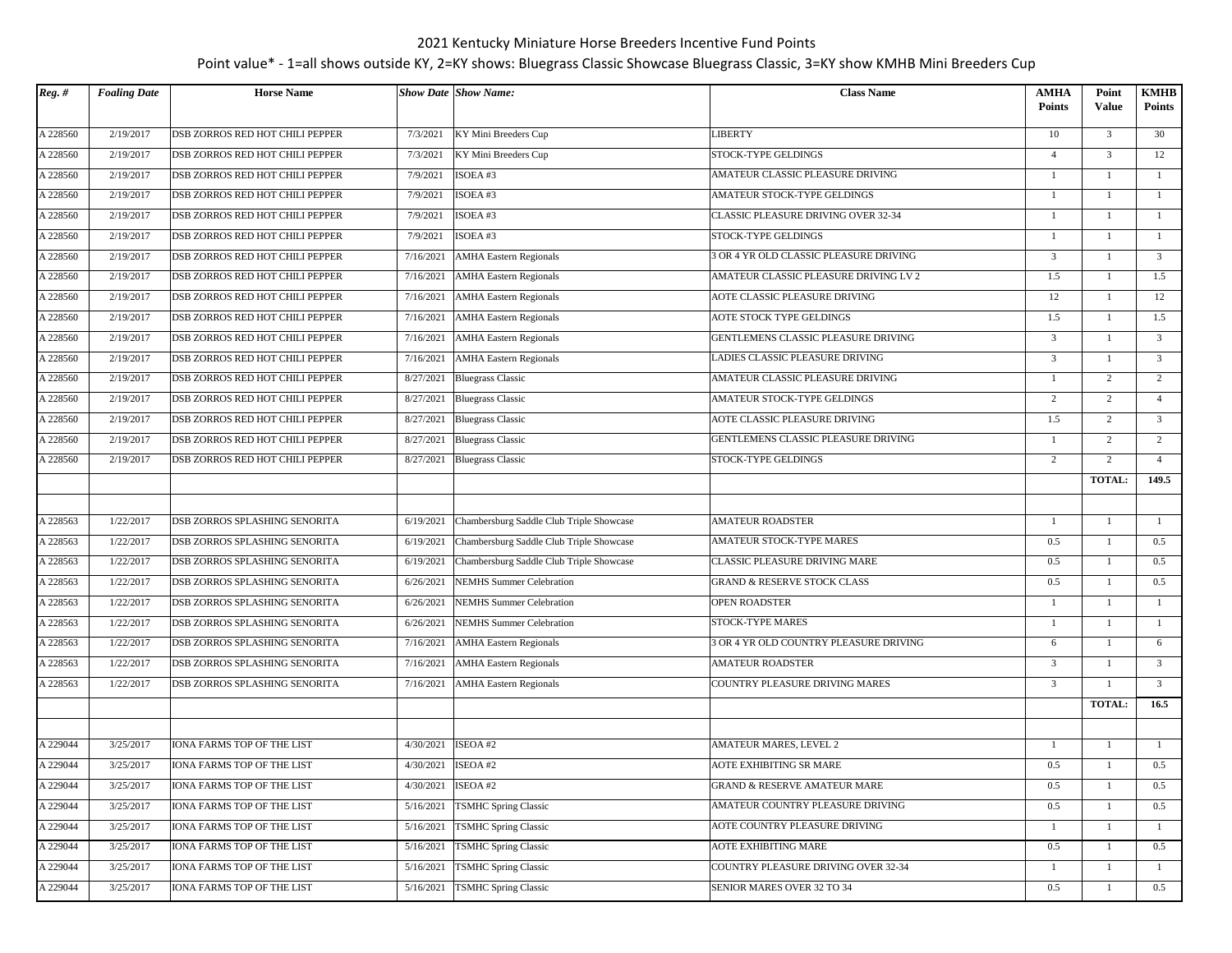| $Reg.$ # | <b>Foaling Date</b> | <b>Horse Name</b>                 |                       | <b>Show Date Show Name:</b>              | <b>Class Name</b>                       | <b>AMHA</b>    | Point          | <b>KMHB</b>    |
|----------|---------------------|-----------------------------------|-----------------------|------------------------------------------|-----------------------------------------|----------------|----------------|----------------|
|          |                     |                                   |                       |                                          |                                         | <b>Points</b>  | Value          | <b>Points</b>  |
| A 228560 | 2/19/2017           | DSB ZORROS RED HOT CHILI PEPPER   | 7/3/2021              | KY Mini Breeders Cup                     | <b>LIBERTY</b>                          | 10             | 3              | 30             |
| A 228560 | 2/19/2017           | DSB ZORROS RED HOT CHILI PEPPER   | 7/3/2021              | KY Mini Breeders Cup                     | STOCK-TYPE GELDINGS                     | $\overline{4}$ | $\overline{3}$ | 12             |
| A 228560 | 2/19/2017           | DSB ZORROS RED HOT CHILI PEPPER   | 7/9/2021              | ISOEA#3                                  | AMATEUR CLASSIC PLEASURE DRIVING        | $\overline{1}$ | $\mathbf{1}$   | $\mathbf{1}$   |
| A 228560 | 2/19/2017           | DSB ZORROS RED HOT CHILI PEPPER   | 7/9/2021              | ISOEA#3                                  | AMATEUR STOCK-TYPE GELDINGS             | $\overline{1}$ | 1              | -1             |
| A 228560 | 2/19/2017           | DSB ZORROS RED HOT CHILI PEPPER   | 7/9/2021              | ISOEA#3                                  | CLASSIC PLEASURE DRIVING OVER 32-34     | $\mathbf{1}$   | $\mathbf{1}$   | $\mathbf{1}$   |
| A 228560 | 2/19/2017           | DSB ZORROS RED HOT CHILI PEPPER   | 7/9/2021              | ISOEA#3                                  | STOCK-TYPE GELDINGS                     | -1             | 1              | $\mathbf{1}$   |
| A 228560 | 2/19/2017           | DSB ZORROS RED HOT CHILI PEPPER   | 7/16/2021             | <b>AMHA Eastern Regionals</b>            | 3 OR 4 YR OLD CLASSIC PLEASURE DRIVING  | $\overline{3}$ | $\mathbf{1}$   | $\overline{3}$ |
| A 228560 | 2/19/2017           | DSB ZORROS RED HOT CHILI PEPPER   | 7/16/2021             | <b>AMHA</b> Eastern Regionals            | AMATEUR CLASSIC PLEASURE DRIVING LV 2   | 1.5            | $\mathbf{1}$   | 1.5            |
| A 228560 | 2/19/2017           | DSB ZORROS RED HOT CHILI PEPPER   | 7/16/2021             | <b>AMHA Eastern Regionals</b>            | AOTE CLASSIC PLEASURE DRIVING           | 12             | 1              | 12             |
| A 228560 | 2/19/2017           | DSB ZORROS RED HOT CHILI PEPPER   | 7/16/2021             | <b>AMHA Eastern Regionals</b>            | AOTE STOCK TYPE GELDINGS                | 1.5            | $\mathbf{1}$   | 1.5            |
| A 228560 | 2/19/2017           | DSB ZORROS RED HOT CHILI PEPPER   | 7/16/2021             | <b>AMHA Eastern Regionals</b>            | GENTLEMENS CLASSIC PLEASURE DRIVING     | $\overline{3}$ | $\mathbf{1}$   | $\overline{3}$ |
| A 228560 | 2/19/2017           | DSB ZORROS RED HOT CHILI PEPPER   | 7/16/2021             | <b>AMHA Eastern Regionals</b>            | LADIES CLASSIC PLEASURE DRIVING         | 3              | 1              | $\mathbf{3}$   |
| A 228560 | 2/19/2017           | DSB ZORROS RED HOT CHILI PEPPER   | 8/27/2021             | <b>Bluegrass Classic</b>                 | AMATEUR CLASSIC PLEASURE DRIVING        | -1             | $\overline{c}$ | $\overline{2}$ |
| A 228560 | 2/19/2017           | DSB ZORROS RED HOT CHILI PEPPER   |                       | 8/27/2021 Bluegrass Classic              | AMATEUR STOCK-TYPE GELDINGS             | 2              | $\overline{c}$ | $\overline{4}$ |
| A 228560 | 2/19/2017           | DSB ZORROS RED HOT CHILI PEPPER   | 8/27/2021             | <b>Bluegrass Classic</b>                 | AOTE CLASSIC PLEASURE DRIVING           | 1.5            | $\overline{c}$ | $\overline{3}$ |
| A 228560 | 2/19/2017           | DSB ZORROS RED HOT CHILI PEPPER   | 8/27/2021             | <b>Bluegrass Classic</b>                 | GENTLEMENS CLASSIC PLEASURE DRIVING     | 1              | $\overline{c}$ | $\overline{2}$ |
| A 228560 | 2/19/2017           | DSB ZORROS RED HOT CHILI PEPPER   | 8/27/2021             | <b>Bluegrass Classic</b>                 | <b>STOCK-TYPE GELDINGS</b>              | 2              | $\overline{2}$ | $\overline{4}$ |
|          |                     |                                   |                       |                                          |                                         |                | <b>TOTAL:</b>  | 149.5          |
|          |                     |                                   |                       |                                          |                                         |                |                |                |
| A 228563 | 1/22/2017           | DSB ZORROS SPLASHING SENORITA     | 6/19/2021             | Chambersburg Saddle Club Triple Showcase | <b>AMATEUR ROADSTER</b>                 | $\overline{1}$ | 1              | -1             |
| A 228563 | 1/22/2017           | DSB ZORROS SPLASHING SENORITA     | 6/19/2021             | Chambersburg Saddle Club Triple Showcase | AMATEUR STOCK-TYPE MARES                | 0.5            | $\mathbf{1}$   | 0.5            |
| A 228563 | 1/22/2017           | DSB ZORROS SPLASHING SENORITA     | 6/19/2021             | Chambersburg Saddle Club Triple Showcase | CLASSIC PLEASURE DRIVING MARE           | 0.5            | $\mathbf{1}$   | 0.5            |
| A 228563 | 1/22/2017           | DSB ZORROS SPLASHING SENORITA     | 6/26/2021             | <b>NEMHS</b> Summer Celebration          | <b>GRAND &amp; RESERVE STOCK CLASS</b>  | 0.5            | $\mathbf{1}$   | 0.5            |
| A 228563 | 1/22/2017           | DSB ZORROS SPLASHING SENORITA     | 6/26/2021             | <b>NEMHS</b> Summer Celebration          | OPEN ROADSTER                           | $\overline{1}$ | 1              | -1             |
| A 228563 | 1/22/2017           | DSB ZORROS SPLASHING SENORITA     | 6/26/2021             | <b>NEMHS</b> Summer Celebration          | STOCK-TYPE MARES                        | 1              | 1              | $\mathbf{1}$   |
| A 228563 | 1/22/2017           | DSB ZORROS SPLASHING SENORITA     | 7/16/2021             | <b>AMHA Eastern Regionals</b>            | 3 OR 4 YR OLD COUNTRY PLEASURE DRIVING  | 6              | 1              | 6              |
| A 228563 | 1/22/2017           | DSB ZORROS SPLASHING SENORITA     | 7/16/2021             | <b>AMHA Eastern Regionals</b>            | <b>AMATEUR ROADSTER</b>                 | $\mathbf{3}$   | $\mathbf{1}$   | $\mathbf{3}$   |
| A 228563 | 1/22/2017           | DSB ZORROS SPLASHING SENORITA     | 7/16/2021             | <b>AMHA Eastern Regionals</b>            | COUNTRY PLEASURE DRIVING MARES          | $\overline{3}$ | $\mathbf{1}$   | $\mathbf{3}$   |
|          |                     |                                   |                       |                                          |                                         |                | <b>TOTAL:</b>  | 16.5           |
|          |                     |                                   |                       |                                          |                                         |                |                |                |
| A 229044 | 3/25/2017           | <b>IONA FARMS TOP OF THE LIST</b> | 4/30/2021             | ISEOA#2                                  | <b>AMATEUR MARES, LEVEL 2</b>           | $\overline{1}$ | 1              | -1             |
| A 229044 | 3/25/2017           | IONA FARMS TOP OF THE LIST        | 4/30/2021             | ISEOA#2                                  | <b>AOTE EXHIBITING SR MARE</b>          | 0.5            | $\mathbf{1}$   | 0.5            |
| A 229044 | 3/25/2017           | IONA FARMS TOP OF THE LIST        | 4/30/2021   ISEOA #2  |                                          | <b>GRAND &amp; RESERVE AMATEUR MARE</b> | 0.5            | 1              | 0.5            |
| A 229044 | 3/25/2017           | IONA FARMS TOP OF THE LIST        | 5/16/2021             | <b>TSMHC Spring Classic</b>              | AMATEUR COUNTRY PLEASURE DRIVING        | 0.5            | $\mathbf{1}$   | 0.5            |
| A 229044 | 3/25/2017           | IONA FARMS TOP OF THE LIST        | $\frac{1}{5/16/2021}$ | <b>TSMHC Spring Classic</b>              | AOTE COUNTRY PLEASURE DRIVING           | -1             | $\mathbf{1}$   | $\mathbf{1}$   |
| A 229044 | 3/25/2017           | IONA FARMS TOP OF THE LIST        | 5/16/2021             | <b>TSMHC Spring Classic</b>              | AOTE EXHIBITING MARE                    | 0.5            | $\mathbf{1}$   | 0.5            |
| A 229044 | 3/25/2017           | IONA FARMS TOP OF THE LIST        | 5/16/2021             | TSMHC Spring Classic                     | COUNTRY PLEASURE DRIVING OVER 32-34     | -1             | 1              | -1             |
| A 229044 | 3/25/2017           | IONA FARMS TOP OF THE LIST        | 5/16/2021             | <b>TSMHC Spring Classic</b>              | SENIOR MARES OVER 32 TO 34              | 0.5            | $\mathbf{1}$   | 0.5            |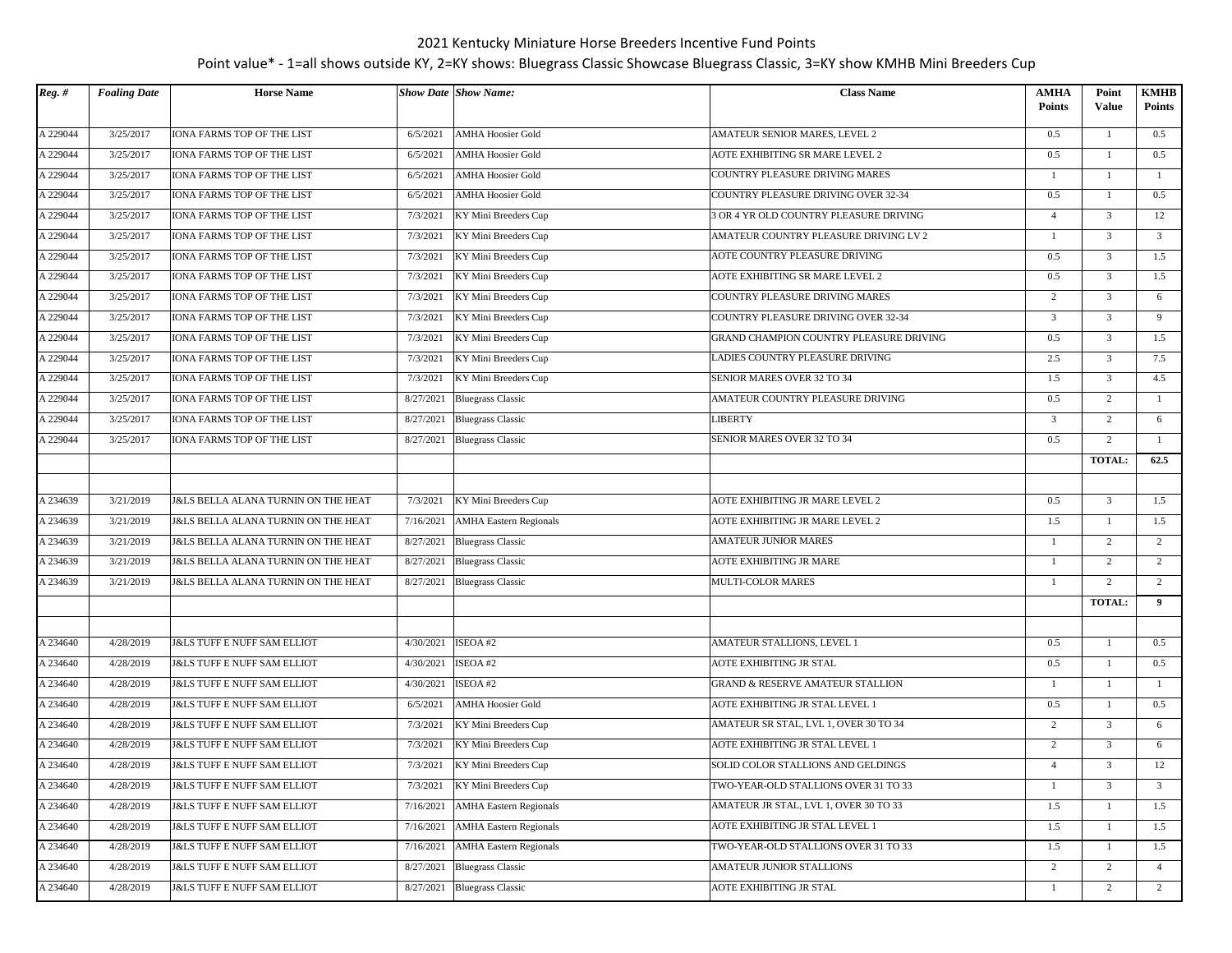| $Reg.$ # | <b>Foaling Date</b> | <b>Horse Name</b>                              |           | <b>Show Date Show Name:</b>   | <b>Class Name</b>                           | <b>AMHA</b><br><b>Points</b> | Point<br><b>Value</b> | <b>KMHB</b><br><b>Points</b> |
|----------|---------------------|------------------------------------------------|-----------|-------------------------------|---------------------------------------------|------------------------------|-----------------------|------------------------------|
| A 229044 | 3/25/2017           | <b>IONA FARMS TOP OF THE LIST</b>              | 6/5/2021  | <b>AMHA Hoosier Gold</b>      | <b>AMATEUR SENIOR MARES, LEVEL 2</b>        | 0.5                          | 1                     | 0.5                          |
| A 229044 | 3/25/2017           | IONA FARMS TOP OF THE LIST                     | 6/5/2021  | <b>AMHA Hoosier Gold</b>      | AOTE EXHIBITING SR MARE LEVEL 2             | 0.5                          | -1                    | 0.5                          |
| A 229044 | 3/25/2017           | IONA FARMS TOP OF THE LIST                     | 6/5/2021  | <b>AMHA Hoosier Gold</b>      | COUNTRY PLEASURE DRIVING MARES              | -1                           | 1                     | -1                           |
| A 229044 | 3/25/2017           | IONA FARMS TOP OF THE LIST                     | 6/5/2021  | <b>AMHA Hoosier Gold</b>      | COUNTRY PLEASURE DRIVING OVER 32-34         | 0.5                          | $\mathbf{1}$          | 0.5                          |
| A 229044 | 3/25/2017           | <b>IONA FARMS TOP OF THE LIST</b>              | 7/3/2021  | KY Mini Breeders Cup          | 3 OR 4 YR OLD COUNTRY PLEASURE DRIVING      | $\overline{4}$               | $\overline{3}$        | 12                           |
| A 229044 | 3/25/2017           | IONA FARMS TOP OF THE LIST                     | 7/3/2021  | KY Mini Breeders Cup          | AMATEUR COUNTRY PLEASURE DRIVING LV 2       | -1                           | $\overline{3}$        | $\overline{\mathbf{3}}$      |
| A 229044 | 3/25/2017           | IONA FARMS TOP OF THE LIST                     | 7/3/2021  | KY Mini Breeders Cup          | AOTE COUNTRY PLEASURE DRIVING               | 0.5                          | $\overline{3}$        | 1.5                          |
| A 229044 | 3/25/2017           | IONA FARMS TOP OF THE LIST                     | 7/3/2021  | KY Mini Breeders Cup          | AOTE EXHIBITING SR MARE LEVEL 2             | 0.5                          | $\mathfrak{Z}$        | 1.5                          |
| A 229044 | 3/25/2017           | IONA FARMS TOP OF THE LIST                     | 7/3/2021  | KY Mini Breeders Cup          | COUNTRY PLEASURE DRIVING MARES              | 2                            | $\overline{3}$        | 6                            |
| A 229044 | 3/25/2017           | IONA FARMS TOP OF THE LIST                     | 7/3/2021  | KY Mini Breeders Cup          | COUNTRY PLEASURE DRIVING OVER 32-34         | $\overline{3}$               | $\overline{3}$        | 9                            |
| A 229044 | 3/25/2017           | IONA FARMS TOP OF THE LIST                     | 7/3/2021  | KY Mini Breeders Cup          | GRAND CHAMPION COUNTRY PLEASURE DRIVING     | 0.5                          | $\mathbf{3}$          | 1.5                          |
| A 229044 | 3/25/2017           | IONA FARMS TOP OF THE LIST                     | 7/3/2021  | KY Mini Breeders Cup          | LADIES COUNTRY PLEASURE DRIVING             | 2.5                          | $\overline{3}$        | 7.5                          |
| A 229044 | 3/25/2017           | IONA FARMS TOP OF THE LIST                     | 7/3/2021  | KY Mini Breeders Cup          | SENIOR MARES OVER 32 TO 34                  | 1.5                          | $\overline{3}$        | 4.5                          |
| A 229044 | 3/25/2017           | IONA FARMS TOP OF THE LIST                     |           | 8/27/2021 Bluegrass Classic   | AMATEUR COUNTRY PLEASURE DRIVING            | 0.5                          | $\overline{2}$        | -1                           |
| A 229044 | 3/25/2017           | IONA FARMS TOP OF THE LIST                     | 8/27/2021 | <b>Bluegrass Classic</b>      | LIBERTY                                     | 3                            | 2                     | 6                            |
| A 229044 | 3/25/2017           | <b>IONA FARMS TOP OF THE LIST</b>              | 8/27/2021 | <b>Bluegrass Classic</b>      | <b>SENIOR MARES OVER 32 TO 34</b>           | 0.5                          | $\overline{c}$        | $\mathbf{1}$                 |
|          |                     |                                                |           |                               |                                             |                              | TOTAL:                | 62.5                         |
|          |                     |                                                |           |                               |                                             |                              |                       |                              |
| A 234639 | 3/21/2019           | <b>J&amp;LS BELLA ALANA TURNIN ON THE HEAT</b> | 7/3/2021  | KY Mini Breeders Cup          | AOTE EXHIBITING JR MARE LEVEL 2             | 0.5                          | $\mathfrak{Z}$        | 1.5                          |
| A 234639 | 3/21/2019           | <b>J&amp;LS BELLA ALANA TURNIN ON THE HEAT</b> | 7/16/2021 | <b>AMHA Eastern Regionals</b> | AOTE EXHIBITING JR MARE LEVEL 2             | 1.5                          | 1                     | 1.5                          |
| A 234639 | 3/21/2019           | <b>J&amp;LS BELLA ALANA TURNIN ON THE HEAT</b> | 8/27/2021 | <b>Bluegrass Classic</b>      | <b>AMATEUR JUNIOR MARES</b>                 | $\mathbf{1}$                 | 2                     | 2                            |
| A 234639 | 3/21/2019           | <b>J&amp;LS BELLA ALANA TURNIN ON THE HEAT</b> | 8/27/2021 | <b>Bluegrass Classic</b>      | AOTE EXHIBITING JR MARE                     | $\mathbf{1}$                 | 2                     | 2                            |
| A 234639 | 3/21/2019           | <b>J&amp;LS BELLA ALANA TURNIN ON THE HEAT</b> |           | 8/27/2021 Bluegrass Classic   | MULTI-COLOR MARES                           | -1                           | 2                     | 2                            |
|          |                     |                                                |           |                               |                                             |                              | <b>TOTAL:</b>         | $\overline{9}$               |
|          |                     |                                                |           |                               |                                             |                              |                       |                              |
| A 234640 | 4/28/2019           | <b>J&amp;LS TUFF E NUFF SAM ELLIOT</b>         | 4/30/2021 | ISEOA#2                       | AMATEUR STALLIONS, LEVEL 1                  | 0.5                          | 1                     | 0.5                          |
| A 234640 | 4/28/2019           | <b>J&amp;LS TUFF E NUFF SAM ELLIOT</b>         | 4/30/2021 | ISEOA #2                      | AOTE EXHIBITING JR STAL                     | 0.5                          | $\mathbf{1}$          | 0.5                          |
| A 234640 | 4/28/2019           | <b>J&amp;LS TUFF E NUFF SAM ELLIOT</b>         | 4/30/2021 | ISEOA#2                       | <b>GRAND &amp; RESERVE AMATEUR STALLION</b> | $\mathbf{1}$                 | 1                     | 1                            |
| A 234640 | 4/28/2019           | <b>J&amp;LS TUFF E NUFF SAM ELLIOT</b>         | 6/5/2021  | <b>AMHA Hoosier Gold</b>      | AOTE EXHIBITING JR STAL LEVEL 1             | 0.5                          | $\mathbf{1}$          | 0.5                          |
| A 234640 | 4/28/2019           | <b>J&amp;LS TUFF E NUFF SAM ELLIOT</b>         | 7/3/2021  | KY Mini Breeders Cup          | AMATEUR SR STAL, LVL 1, OVER 30 TO 34       | 2                            | $\overline{3}$        | 6                            |
| A 234640 | 4/28/2019           | <b>J&amp;LS TUFF E NUFF SAM ELLIOT</b>         | 7/3/2021  | KY Mini Breeders Cup          | AOTE EXHIBITING JR STAL LEVEL 1             | 2                            | $\overline{3}$        | 6                            |
| A 234640 | 4/28/2019           | <b>J&amp;LS TUFF E NUFF SAM ELLIOT</b>         | 7/3/2021  | KY Mini Breeders Cup          | SOLID COLOR STALLIONS AND GELDINGS          | $\overline{4}$               | $\overline{3}$        | 12                           |
| A 234640 | 4/28/2019           | <b>J&amp;LS TUFF E NUFF SAM ELLIOT</b>         | 7/3/2021  | KY Mini Breeders Cup          | TWO-YEAR-OLD STALLIONS OVER 31 TO 33        | -1                           | $\overline{3}$        | 3                            |
| A 234640 | 4/28/2019           | <b>J&amp;LS TUFF E NUFF SAM ELLIOT</b>         | 7/16/2021 | <b>AMHA Eastern Regionals</b> | AMATEUR JR STAL, LVL 1, OVER 30 TO 33       | 1.5                          | $\mathbf{1}$          | 1.5                          |
| A 234640 | 4/28/2019           | <b>J&amp;LS TUFF E NUFF SAM ELLIOT</b>         | 7/16/2021 | <b>AMHA Eastern Regionals</b> | AOTE EXHIBITING JR STAL LEVEL 1             | 1.5                          | $\mathbf{1}$          | 1.5                          |
| A 234640 | 4/28/2019           | <b>J&amp;LS TUFF E NUFF SAM ELLIOT</b>         | 7/16/2021 | <b>AMHA</b> Eastern Regionals | TWO-YEAR-OLD STALLIONS OVER 31 TO 33        | 1.5                          | $\mathbf{1}$          | 1.5                          |
| A 234640 | 4/28/2019           | <b>J&amp;LS TUFF E NUFF SAM ELLIOT</b>         | 8/27/2021 | <b>Bluegrass Classic</b>      | AMATEUR JUNIOR STALLIONS                    | $\overline{c}$               | $\overline{2}$        | $\overline{4}$               |
| A 234640 | 4/28/2019           | <b>J&amp;LS TUFF E NUFF SAM ELLIOT</b>         | 8/27/2021 | <b>Bluegrass Classic</b>      | AOTE EXHIBITING JR STAL                     | $\mathbf{1}$                 | $\overline{2}$        | $2^{\circ}$                  |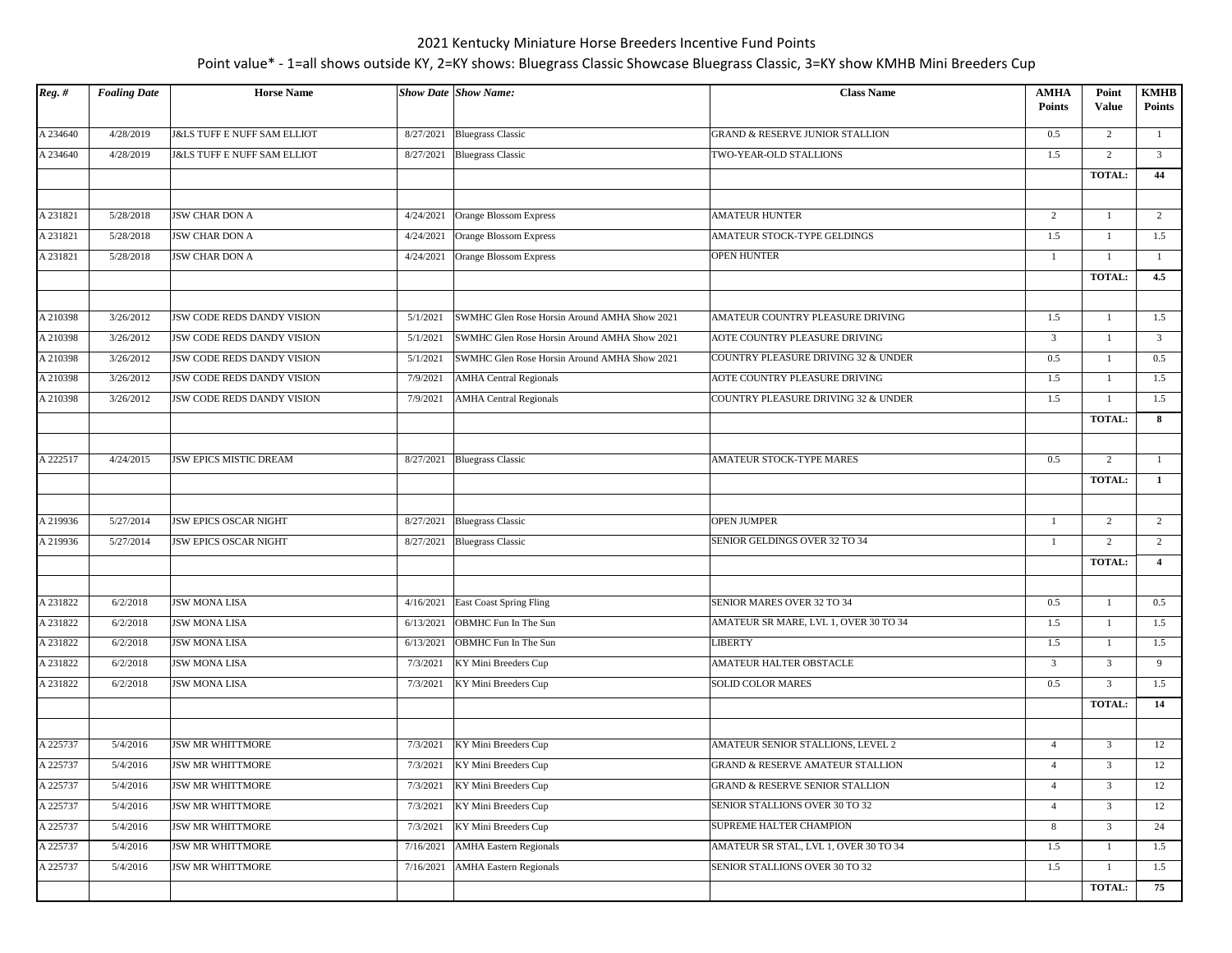| $Reg.$ # | <b>Foaling Date</b> | <b>Horse Name</b>                      |           | <b>Show Date Show Name:</b>                  | <b>Class Name</b>                           | <b>AMHA</b><br><b>Points</b> | Point<br>Value | <b>KMHB</b><br><b>Points</b> |
|----------|---------------------|----------------------------------------|-----------|----------------------------------------------|---------------------------------------------|------------------------------|----------------|------------------------------|
| A 234640 | 4/28/2019           | <b>J&amp;LS TUFF E NUFF SAM ELLIOT</b> | 8/27/2021 | <b>Bluegrass Classic</b>                     | GRAND & RESERVE JUNIOR STALLION             | 0.5                          | 2              | $\mathbf{1}$                 |
| A 234640 | 4/28/2019           | <b>J&amp;LS TUFF E NUFF SAM ELLIOT</b> | 8/27/2021 | <b>Bluegrass Classic</b>                     | TWO-YEAR-OLD STALLIONS                      | 1.5                          | 2              | $\overline{\mathbf{3}}$      |
|          |                     |                                        |           |                                              |                                             |                              | <b>TOTAL:</b>  | 44                           |
|          |                     |                                        |           |                                              |                                             |                              |                |                              |
| A 231821 | 5/28/2018           | JSW CHAR DON A                         | 4/24/2021 | Orange Blossom Express                       | <b>AMATEUR HUNTER</b>                       | $\overline{2}$               | 1              | 2                            |
| A 231821 | 5/28/2018           | JSW CHAR DON A                         | 4/24/2021 | Orange Blossom Express                       | AMATEUR STOCK-TYPE GELDINGS                 | 1.5                          | -1             | 1.5                          |
| A 231821 | 5/28/2018           | <b>JSW CHAR DON A</b>                  | 4/24/2021 | Orange Blossom Express                       | <b>OPEN HUNTER</b>                          | $\mathbf{1}$                 | <b>TOTAL:</b>  | -1<br>4.5                    |
|          |                     |                                        |           |                                              |                                             |                              |                |                              |
| A 210398 | 3/26/2012           | JSW CODE REDS DANDY VISION             | 5/1/2021  | SWMHC Glen Rose Horsin Around AMHA Show 2021 | AMATEUR COUNTRY PLEASURE DRIVING            | 1.5                          |                | 1.5                          |
| A 210398 | 3/26/2012           | JSW CODE REDS DANDY VISION             | 5/1/2021  | SWMHC Glen Rose Horsin Around AMHA Show 2021 | AOTE COUNTRY PLEASURE DRIVING               | $\overline{3}$               | 1              | $\overline{3}$               |
| A 210398 | 3/26/2012           | JSW CODE REDS DANDY VISION             | 5/1/2021  | SWMHC Glen Rose Horsin Around AMHA Show 2021 | COUNTRY PLEASURE DRIVING 32 & UNDER         | 0.5                          | 1              | 0.5                          |
| A 210398 | 3/26/2012           | JSW CODE REDS DANDY VISION             | 7/9/2021  | <b>AMHA Central Regionals</b>                | AOTE COUNTRY PLEASURE DRIVING               | 1.5                          | $\mathbf{1}$   | 1.5                          |
| A 210398 | 3/26/2012           | JSW CODE REDS DANDY VISION             | 7/9/2021  | <b>AMHA Central Regionals</b>                | COUNTRY PLEASURE DRIVING 32 & UNDER         | 1.5                          |                | 1.5                          |
|          |                     |                                        |           |                                              |                                             |                              | <b>TOTAL:</b>  | 8                            |
|          |                     |                                        |           |                                              |                                             |                              |                |                              |
| A 222517 | 4/24/2015           | <b>JSW EPICS MISTIC DREAM</b>          | 8/27/2021 | <b>Bluegrass Classic</b>                     | <b>AMATEUR STOCK-TYPE MARES</b>             | 0.5                          | $\overline{2}$ | $\mathbf{1}$                 |
|          |                     |                                        |           |                                              |                                             |                              | <b>TOTAL:</b>  | -1                           |
| A 219936 | 5/27/2014           | <b>JSW EPICS OSCAR NIGHT</b>           | 8/27/2021 | <b>Bluegrass Classic</b>                     | <b>OPEN JUMPER</b>                          | $\mathbf{1}$                 | 2              | 2                            |
| A 219936 | 5/27/2014           | <b>JSW EPICS OSCAR NIGHT</b>           | 8/27/2021 | <b>Bluegrass Classic</b>                     | SENIOR GELDINGS OVER 32 TO 34               | 1                            | $\overline{2}$ | 2                            |
|          |                     |                                        |           |                                              |                                             |                              | <b>TOTAL:</b>  | $\overline{4}$               |
|          |                     |                                        |           |                                              |                                             |                              |                |                              |
| A 231822 | 6/2/2018            | <b>JSW MONA LISA</b>                   | 4/16/2021 | <b>East Coast Spring Fling</b>               | SENIOR MARES OVER 32 TO 34                  | 0.5                          | $\mathbf{1}$   | 0.5                          |
| A 231822 | 6/2/2018            | <b>JSW MONA LISA</b>                   | 6/13/2021 | OBMHC Fun In The Sun                         | AMATEUR SR MARE, LVL 1, OVER 30 TO 34       | 1.5                          | -1             | 1.5                          |
| A 231822 | 6/2/2018            | <b>JSW MONA LISA</b>                   | 6/13/2021 | OBMHC Fun In The Sun                         | LIBERTY                                     | 1.5                          | 1              | 1.5                          |
| A 231822 | 6/2/2018            | <b>JSW MONA LISA</b>                   | 7/3/2021  | KY Mini Breeders Cup                         | AMATEUR HALTER OBSTACLE                     | $\overline{3}$               | $\overline{3}$ | 9                            |
| A 231822 | 6/2/2018            | <b>JSW MONA LISA</b>                   | 7/3/2021  | KY Mini Breeders Cup                         | <b>SOLID COLOR MARES</b>                    | 0.5                          | $\mathfrak{Z}$ | 1.5                          |
|          |                     |                                        |           |                                              |                                             |                              | <b>TOTAL:</b>  | 14                           |
| A 225737 | 5/4/2016            | <b>JSW MR WHITTMORE</b>                | 7/3/2021  | KY Mini Breeders Cup                         | AMATEUR SENIOR STALLIONS, LEVEL 2           | $\overline{4}$               | $\overline{3}$ | 12                           |
| A 225737 | 5/4/2016            | <b>JSW MR WHITTMORE</b>                | 7/3/2021  | KY Mini Breeders Cup                         | <b>GRAND &amp; RESERVE AMATEUR STALLION</b> | $\overline{4}$               | $\overline{3}$ | 12                           |
| A 225737 | 5/4/2016            | <b>JSW MR WHITTMORE</b>                | 7/3/2021  | KY Mini Breeders Cup                         | GRAND & RESERVE SENIOR STALLION             | $\overline{4}$               | $\mathfrak{Z}$ | 12                           |
| A 225737 | 5/4/2016            | <b>JSW MR WHITTMORE</b>                | 7/3/2021  | KY Mini Breeders Cup                         | SENIOR STALLIONS OVER 30 TO 32              | $\overline{4}$               | $\overline{3}$ | 12                           |
| A 225737 | 5/4/2016            | <b>JSW MR WHITTMORE</b>                | 7/3/2021  | KY Mini Breeders Cup                         | SUPREME HALTER CHAMPION                     | 8                            | $\overline{3}$ | 24                           |
| A 225737 | 5/4/2016            | <b>JSW MR WHITTMORE</b>                | 7/16/2021 | <b>AMHA Eastern Regionals</b>                | AMATEUR SR STAL, LVL 1, OVER 30 TO 34       | 1.5                          | -1             | 1.5                          |
| A 225737 | 5/4/2016            | <b>JSW MR WHITTMORE</b>                | 7/16/2021 | <b>AMHA Eastern Regionals</b>                | SENIOR STALLIONS OVER 30 TO 32              | 1.5                          | 1              | 1.5                          |
|          |                     |                                        |           |                                              |                                             |                              | <b>TOTAL:</b>  | 75                           |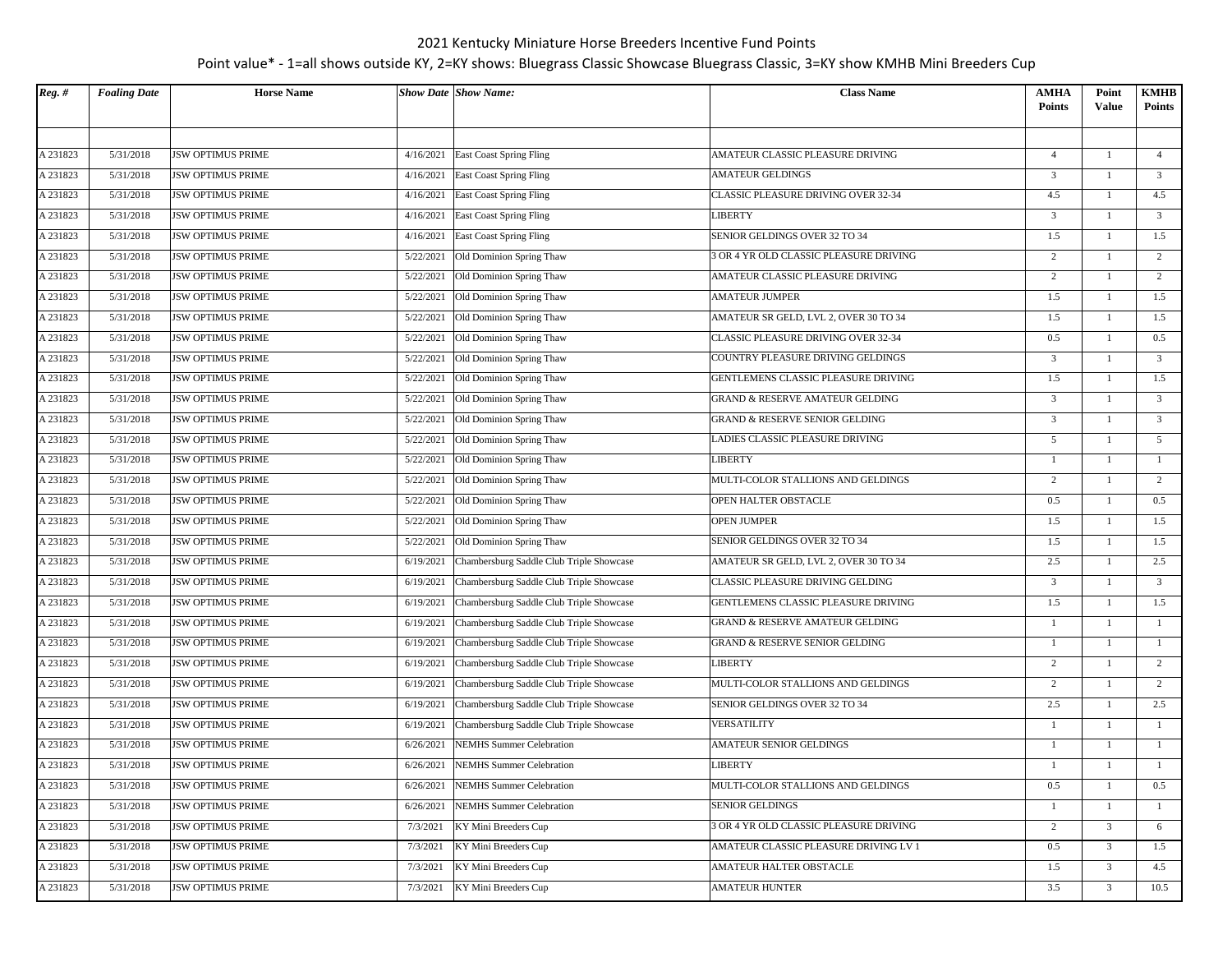| $Reg.$ # | <b>Foaling Date</b> | <b>Horse Name</b>        |           | <b>Show Date Show Name:</b>              | <b>Class Name</b>                      | AMHA<br><b>Points</b> | Point<br>Value | <b>KMHB</b><br><b>Points</b> |
|----------|---------------------|--------------------------|-----------|------------------------------------------|----------------------------------------|-----------------------|----------------|------------------------------|
|          |                     |                          |           |                                          |                                        |                       |                |                              |
| A 231823 | 5/31/2018           | <b>JSW OPTIMUS PRIME</b> | 4/16/2021 | <b>East Coast Spring Fling</b>           | AMATEUR CLASSIC PLEASURE DRIVING       | $\overline{4}$        |                | $\overline{4}$               |
| A 231823 | 5/31/2018           | <b>JSW OPTIMUS PRIME</b> | 4/16/2021 | <b>East Coast Spring Fling</b>           | AMATEUR GELDINGS                       | 3                     | 1              | $\overline{\mathbf{3}}$      |
| A 231823 | 5/31/2018           | <b>JSW OPTIMUS PRIME</b> | 4/16/2021 | <b>East Coast Spring Fling</b>           | CLASSIC PLEASURE DRIVING OVER 32-34    | 4.5                   | $\mathbf{1}$   | 4.5                          |
| A 231823 | 5/31/2018           | <b>JSW OPTIMUS PRIME</b> | 4/16/2021 | East Coast Spring Fling                  | LIBERTY                                | $\overline{3}$        | 1              | $\overline{3}$               |
| A 231823 | 5/31/2018           | <b>JSW OPTIMUS PRIME</b> | 4/16/2021 | East Coast Spring Fling                  | SENIOR GELDINGS OVER 32 TO 34          | 1.5                   | 1              | 1.5                          |
| A 231823 | 5/31/2018           | <b>JSW OPTIMUS PRIME</b> | 5/22/2021 | Old Dominion Spring Thaw                 | 3 OR 4 YR OLD CLASSIC PLEASURE DRIVING | 2                     | 1              | 2                            |
| A 231823 | 5/31/2018           | JSW OPTIMUS PRIME        | 5/22/2021 | Old Dominion Spring Thaw                 | AMATEUR CLASSIC PLEASURE DRIVING       | $\overline{c}$        | $\overline{1}$ | 2                            |
| A 231823 | 5/31/2018           | <b>JSW OPTIMUS PRIME</b> | 5/22/2021 | Old Dominion Spring Thaw                 | AMATEUR JUMPER                         | 1.5                   | 1              | 1.5                          |
| A 231823 | 5/31/2018           | <b>JSW OPTIMUS PRIME</b> | 5/22/2021 | Old Dominion Spring Thaw                 | AMATEUR SR GELD, LVL 2, OVER 30 TO 34  | 1.5                   | $\mathbf{1}$   | 1.5                          |
| A 231823 | 5/31/2018           | <b>JSW OPTIMUS PRIME</b> | 5/22/2021 | Old Dominion Spring Thaw                 | CLASSIC PLEASURE DRIVING OVER 32-34    | 0.5                   | $\mathbf{1}$   | 0.5                          |
| A 231823 | 5/31/2018           | <b>JSW OPTIMUS PRIME</b> | 5/22/2021 | Old Dominion Spring Thaw                 | COUNTRY PLEASURE DRIVING GELDINGS      | $\overline{3}$        | 1              | $\overline{\mathbf{3}}$      |
| A 231823 | 5/31/2018           | <b>JSW OPTIMUS PRIME</b> | 5/22/2021 | Old Dominion Spring Thaw                 | GENTLEMENS CLASSIC PLEASURE DRIVING    | 1.5                   | 1              | 1.5                          |
| A 231823 | 5/31/2018           | <b>JSW OPTIMUS PRIME</b> | 5/22/2021 | Old Dominion Spring Thaw                 | GRAND & RESERVE AMATEUR GELDING        | 3                     | 1              | $\overline{\mathbf{3}}$      |
| A 231823 | 5/31/2018           | <b>JSW OPTIMUS PRIME</b> | 5/22/2021 | Old Dominion Spring Thaw                 | GRAND & RESERVE SENIOR GELDING         | $\overline{3}$        |                | $\overline{\mathbf{3}}$      |
| A 231823 | 5/31/2018           | <b>JSW OPTIMUS PRIME</b> | 5/22/2021 | Old Dominion Spring Thaw                 | LADIES CLASSIC PLEASURE DRIVING        | 5                     | 1              | 5                            |
| A 231823 | 5/31/2018           | <b>JSW OPTIMUS PRIME</b> | 5/22/2021 | Old Dominion Spring Thaw                 | LIBERTY                                | 1                     | 1              | 1                            |
| A 231823 | 5/31/2018           | <b>JSW OPTIMUS PRIME</b> | 5/22/2021 | Old Dominion Spring Thaw                 | MULTI-COLOR STALLIONS AND GELDINGS     | 2                     |                | 2                            |
| A 231823 | 5/31/2018           | <b>JSW OPTIMUS PRIME</b> | 5/22/2021 | Old Dominion Spring Thaw                 | OPEN HALTER OBSTACLE                   | 0.5                   | $\mathbf{1}$   | 0.5                          |
| A 231823 | 5/31/2018           | <b>JSW OPTIMUS PRIME</b> | 5/22/2021 | Old Dominion Spring Thaw                 | <b>OPEN JUMPER</b>                     | 1.5                   | 1              | 1.5                          |
| A 231823 | 5/31/2018           | <b>JSW OPTIMUS PRIME</b> | 5/22/2021 | Old Dominion Spring Thaw                 | SENIOR GELDINGS OVER 32 TO 34          | 1.5                   | $\mathbf{1}$   | 1.5                          |
| A 231823 | 5/31/2018           | <b>JSW OPTIMUS PRIME</b> | 6/19/2021 | Chambersburg Saddle Club Triple Showcase | AMATEUR SR GELD, LVL 2, OVER 30 TO 34  | 2.5                   | $\mathbf{1}$   | 2.5                          |
| A 231823 | 5/31/2018           | <b>JSW OPTIMUS PRIME</b> | 6/19/2021 | Chambersburg Saddle Club Triple Showcase | CLASSIC PLEASURE DRIVING GELDING       | $\overline{3}$        | 1              | $\overline{3}$               |
| A 231823 | 5/31/2018           | JSW OPTIMUS PRIME        | 6/19/2021 | Chambersburg Saddle Club Triple Showcase | GENTLEMENS CLASSIC PLEASURE DRIVING    | 1.5                   | 1              | 1.5                          |
| A 231823 | 5/31/2018           | <b>JSW OPTIMUS PRIME</b> | 6/19/2021 | Chambersburg Saddle Club Triple Showcase | GRAND & RESERVE AMATEUR GELDING        | 1                     | 1              | -1                           |
| A 231823 | 5/31/2018           | <b>JSW OPTIMUS PRIME</b> | 6/19/2021 | Chambersburg Saddle Club Triple Showcase | GRAND & RESERVE SENIOR GELDING         | 1                     |                | -1                           |
| A 231823 | 5/31/2018           | <b>JSW OPTIMUS PRIME</b> | 6/19/2021 | Chambersburg Saddle Club Triple Showcase | LIBERTY                                | $\overline{c}$        | 1              | 2                            |
| A 231823 | 5/31/2018           | <b>JSW OPTIMUS PRIME</b> | 6/19/2021 | Chambersburg Saddle Club Triple Showcase | MULTI-COLOR STALLIONS AND GELDINGS     | $\overline{c}$        | 1              | 2                            |
| A 231823 | 5/31/2018           | <b>JSW OPTIMUS PRIME</b> | 6/19/2021 | Chambersburg Saddle Club Triple Showcase | SENIOR GELDINGS OVER 32 TO 34          | 2.5                   | $\mathbf{1}$   | 2.5                          |
| A 231823 | 5/31/2018           | <b>JSW OPTIMUS PRIME</b> | 6/19/2021 | Chambersburg Saddle Club Triple Showcase | VERSATILITY                            | $\mathbf{1}$          | -1             | $\mathbf{1}$                 |
| A 231823 | 5/31/2018           | <b>JSW OPTIMUS PRIME</b> | 6/26/2021 | <b>NEMHS</b> Summer Celebration          | <b>AMATEUR SENIOR GELDINGS</b>         | -1                    |                | $\overline{1}$               |
| A 231823 | 5/31/2018           | <b>JSW OPTIMUS PRIME</b> | 6/26/2021 | <b>NEMHS</b> Summer Celebration          | LIBERTY                                | 1                     | 1              | $\overline{1}$               |
| A 231823 | 5/31/2018           | <b>JSW OPTIMUS PRIME</b> | 6/26/2021 | <b>NEMHS</b> Summer Celebration          | MULTI-COLOR STALLIONS AND GELDINGS     | 0.5                   | $\mathbf{1}$   | 0.5                          |
| A 231823 | 5/31/2018           | <b>JSW OPTIMUS PRIME</b> | 6/26/2021 | <b>NEMHS Summer Celebration</b>          | <b>SENIOR GELDINGS</b>                 | $\mathbf{1}$          | 1              | $\mathbf{1}$                 |
| A 231823 | 5/31/2018           | <b>JSW OPTIMUS PRIME</b> | 7/3/2021  | KY Mini Breeders Cup                     | 3 OR 4 YR OLD CLASSIC PLEASURE DRIVING | $\overline{c}$        | $\overline{3}$ | 6                            |
| A 231823 | 5/31/2018           | <b>JSW OPTIMUS PRIME</b> | 7/3/2021  | KY Mini Breeders Cup                     | AMATEUR CLASSIC PLEASURE DRIVING LV 1  | 0.5                   | $\overline{3}$ | 1.5                          |
| A 231823 | 5/31/2018           | <b>JSW OPTIMUS PRIME</b> | 7/3/2021  | KY Mini Breeders Cup                     | AMATEUR HALTER OBSTACLE                | 1.5                   | 3              | 4.5                          |
| A 231823 | 5/31/2018           | <b>JSW OPTIMUS PRIME</b> | 7/3/2021  | KY Mini Breeders Cup                     | <b>AMATEUR HUNTER</b>                  | 3.5                   | $\mathfrak{Z}$ | 10.5                         |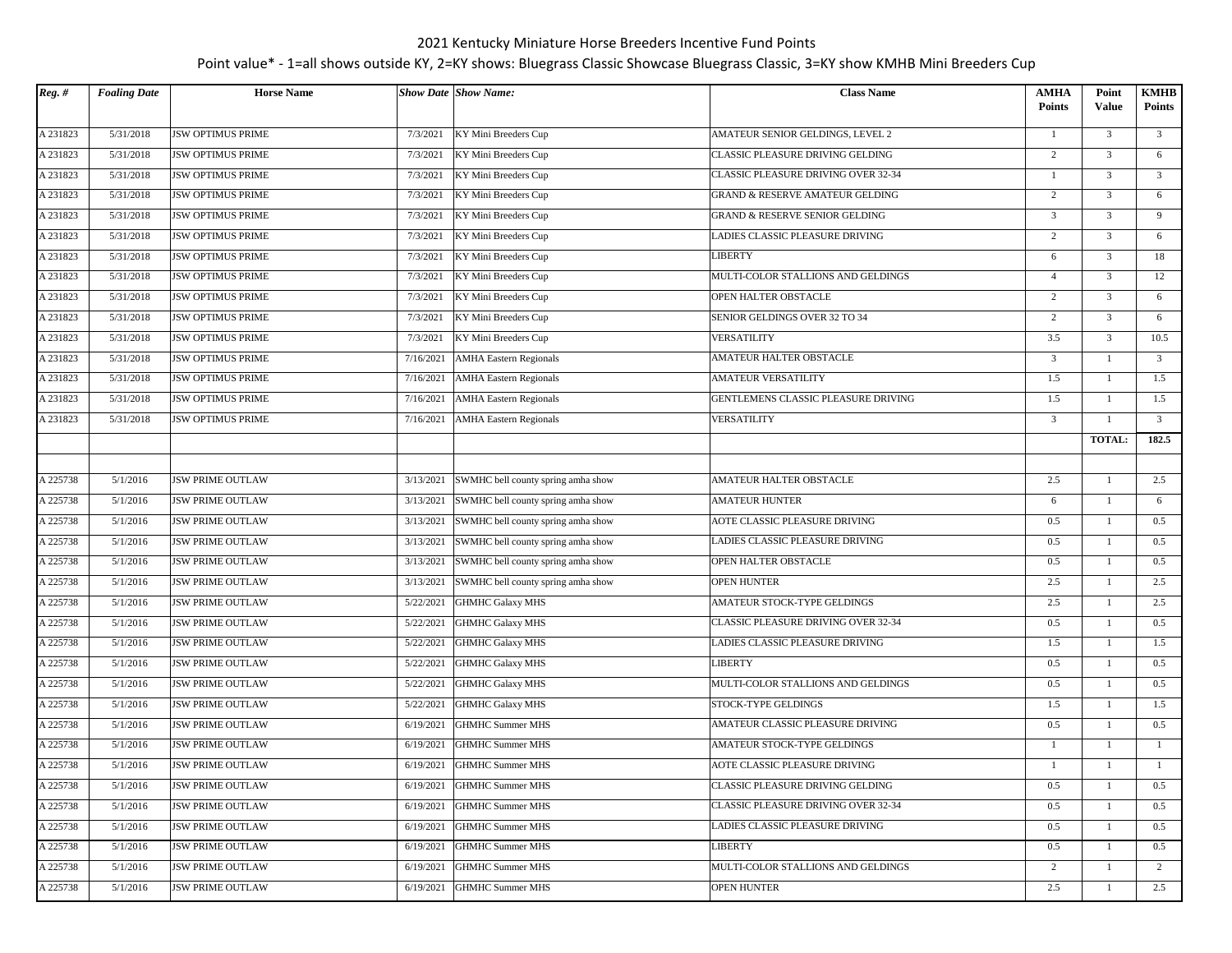| $Reg.$ # | <b>Foaling Date</b> | <b>Horse Name</b>        |           | <b>Show Date Show Name:</b>        | <b>Class Name</b>                          | <b>AMHA</b><br><b>Points</b> | Point<br><b>Value</b> | <b>KMHB</b><br><b>Points</b> |
|----------|---------------------|--------------------------|-----------|------------------------------------|--------------------------------------------|------------------------------|-----------------------|------------------------------|
| A 231823 | 5/31/2018           | <b>JSW OPTIMUS PRIME</b> | 7/3/2021  | KY Mini Breeders Cup               | AMATEUR SENIOR GELDINGS, LEVEL 2           | 1                            | $\overline{3}$        | $\overline{\mathbf{3}}$      |
| A 231823 | 5/31/2018           | <b>JSW OPTIMUS PRIME</b> | 7/3/2021  | KY Mini Breeders Cup               | CLASSIC PLEASURE DRIVING GELDING           | 2                            | $\overline{3}$        | 6                            |
| A 231823 | 5/31/2018           | <b>JSW OPTIMUS PRIME</b> | 7/3/2021  | KY Mini Breeders Cup               | CLASSIC PLEASURE DRIVING OVER 32-34        | $\mathbf{1}$                 | $\overline{3}$        | $\overline{\mathbf{3}}$      |
| A 231823 | 5/31/2018           | <b>JSW OPTIMUS PRIME</b> | 7/3/2021  | KY Mini Breeders Cup               | <b>GRAND &amp; RESERVE AMATEUR GELDING</b> | 2                            | $\overline{3}$        | 6                            |
| A 231823 | 5/31/2018           | <b>JSW OPTIMUS PRIME</b> | 7/3/2021  | KY Mini Breeders Cup               | GRAND & RESERVE SENIOR GELDING             | $\overline{3}$               | $\overline{3}$        | 9                            |
| A 231823 | 5/31/2018           | <b>JSW OPTIMUS PRIME</b> | 7/3/2021  | KY Mini Breeders Cup               | LADIES CLASSIC PLEASURE DRIVING            | 2                            | $\overline{3}$        | 6                            |
| A 231823 | 5/31/2018           | <b>JSW OPTIMUS PRIME</b> | 7/3/2021  | KY Mini Breeders Cup               | <b>LIBERTY</b>                             | 6                            | $\overline{3}$        | 18                           |
| A 231823 | 5/31/2018           | <b>JSW OPTIMUS PRIME</b> | 7/3/2021  | KY Mini Breeders Cup               | MULTI-COLOR STALLIONS AND GELDINGS         | $\overline{4}$               | $\overline{3}$        | 12                           |
| A 231823 | 5/31/2018           | JSW OPTIMUS PRIME        | 7/3/2021  | KY Mini Breeders Cup               | OPEN HALTER OBSTACLE                       | 2                            | 3                     | 6                            |
| A 231823 | 5/31/2018           | JSW OPTIMUS PRIME        | 7/3/2021  | KY Mini Breeders Cup               | SENIOR GELDINGS OVER 32 TO 34              | $\overline{c}$               | $\overline{3}$        | 6                            |
| A 231823 | 5/31/2018           | <b>JSW OPTIMUS PRIME</b> | 7/3/2021  | KY Mini Breeders Cup               | VERSATILITY                                | 3.5                          | $\overline{3}$        | 10.5                         |
| A 231823 | 5/31/2018           | <b>JSW OPTIMUS PRIME</b> | 7/16/2021 | <b>AMHA Eastern Regionals</b>      | AMATEUR HALTER OBSTACLE                    | 3                            | $\mathbf{1}$          | $\overline{\mathbf{3}}$      |
| A 231823 | 5/31/2018           | <b>JSW OPTIMUS PRIME</b> | 7/16/2021 | <b>AMHA Eastern Regionals</b>      | <b>AMATEUR VERSATILITY</b>                 | 1.5                          | $\mathbf{1}$          | 1.5                          |
| A 231823 | 5/31/2018           | <b>JSW OPTIMUS PRIME</b> | 7/16/2021 | <b>AMHA Eastern Regionals</b>      | GENTLEMENS CLASSIC PLEASURE DRIVING        | 1.5                          | 1                     | 1.5                          |
| A 231823 | 5/31/2018           | <b>JSW OPTIMUS PRIME</b> | 7/16/2021 | <b>AMHA Eastern Regionals</b>      | VERSATILITY                                | 3                            | 1                     | $\overline{\mathbf{3}}$      |
|          |                     |                          |           |                                    |                                            |                              | TOTAL:                | 182.5                        |
|          |                     |                          |           |                                    |                                            |                              |                       |                              |
| A 225738 | 5/1/2016            | <b>JSW PRIME OUTLAW</b>  | 3/13/2021 | SWMHC bell county spring amha show | AMATEUR HALTER OBSTACLE                    | 2.5                          | 1                     | 2.5                          |
| A 225738 | 5/1/2016            | <b>JSW PRIME OUTLAW</b>  | 3/13/2021 | SWMHC bell county spring amha show | <b>AMATEUR HUNTER</b>                      | 6                            | 1                     | 6                            |
| A 225738 | 5/1/2016            | <b>JSW PRIME OUTLAW</b>  | 3/13/2021 | SWMHC bell county spring amha show | <b>AOTE CLASSIC PLEASURE DRIVING</b>       | 0.5                          | 1                     | 0.5                          |
| A 225738 | 5/1/2016            | <b>JSW PRIME OUTLAW</b>  | 3/13/2021 | SWMHC bell county spring amha show | LADIES CLASSIC PLEASURE DRIVING            | 0.5                          | $\mathbf{1}$          | 0.5                          |
| A 225738 | 5/1/2016            | <b>JSW PRIME OUTLAW</b>  | 3/13/2021 | SWMHC bell county spring amha show | OPEN HALTER OBSTACLE                       | 0.5                          | $\mathbf{1}$          | 0.5                          |
| A 225738 | 5/1/2016            | <b>JSW PRIME OUTLAW</b>  | 3/13/2021 | SWMHC bell county spring amha show | <b>OPEN HUNTER</b>                         | 2.5                          | 1                     | 2.5                          |
| A 225738 | 5/1/2016            | <b>JSW PRIME OUTLAW</b>  | 5/22/2021 | <b>GHMHC Galaxy MHS</b>            | AMATEUR STOCK-TYPE GELDINGS                | 2.5                          | $\mathbf{1}$          | 2.5                          |
| A 225738 | 5/1/2016            | <b>JSW PRIME OUTLAW</b>  | 5/22/2021 | <b>GHMHC Galaxy MHS</b>            | CLASSIC PLEASURE DRIVING OVER 32-34        | 0.5                          | 1                     | 0.5                          |
| A 225738 | 5/1/2016            | <b>JSW PRIME OUTLAW</b>  | 5/22/2021 | <b>GHMHC Galaxy MHS</b>            | LADIES CLASSIC PLEASURE DRIVING            | 1.5                          | $\mathbf{1}$          | 1.5                          |
| A 225738 | 5/1/2016            | <b>JSW PRIME OUTLAW</b>  | 5/22/2021 | <b>GHMHC Galaxy MHS</b>            | LIBERTY                                    | 0.5                          | $\mathbf{1}$          | 0.5                          |
| A 225738 | 5/1/2016            | <b>JSW PRIME OUTLAW</b>  | 5/22/2021 | <b>GHMHC Galaxy MHS</b>            | MULTI-COLOR STALLIONS AND GELDINGS         | 0.5                          | 1                     | 0.5                          |
| A 225738 | 5/1/2016            | <b>JSW PRIME OUTLAW</b>  | 5/22/2021 | <b>GHMHC Galaxy MHS</b>            | STOCK-TYPE GELDINGS                        | 1.5                          | 1                     | 1.5                          |
| A 225738 | 5/1/2016            | <b>JSW PRIME OUTLAW</b>  | 6/19/2021 | <b>GHMHC Summer MHS</b>            | AMATEUR CLASSIC PLEASURE DRIVING           | 0.5                          | 1                     | 0.5                          |
| A 225738 | 5/1/2016            | <b>JSW PRIME OUTLAW</b>  | 6/19/2021 | <b>GHMHC Summer MHS</b>            | AMATEUR STOCK-TYPE GELDINGS                | 1                            | 1                     | -1                           |
| A 225738 | 5/1/2016            | <b>JSW PRIME OUTLAW</b>  | 6/19/2021 | <b>GHMHC Summer MHS</b>            | AOTE CLASSIC PLEASURE DRIVING              | $\mathbf{1}$                 |                       | $\overline{1}$               |
| A 225738 | 5/1/2016            | <b>JSW PRIME OUTLAW</b>  | 6/19/2021 | <b>GHMHC Summer MHS</b>            | CLASSIC PLEASURE DRIVING GELDING           | 0.5                          | $\mathbf{1}$          | 0.5                          |
| A 225738 | 5/1/2016            | <b>JSW PRIME OUTLAW</b>  | 6/19/2021 | <b>GHMHC Summer MHS</b>            | CLASSIC PLEASURE DRIVING OVER 32-34        | 0.5                          | 1                     | 0.5                          |
| A 225738 | 5/1/2016            | <b>JSW PRIME OUTLAW</b>  | 6/19/2021 | <b>GHMHC Summer MHS</b>            | LADIES CLASSIC PLEASURE DRIVING            | 0.5                          | 1                     | 0.5                          |
| A 225738 | 5/1/2016            | <b>JSW PRIME OUTLAW</b>  | 6/19/2021 | <b>GHMHC Summer MHS</b>            | LIBERTY                                    | 0.5                          | 1                     | 0.5                          |
| A 225738 | 5/1/2016            | <b>JSW PRIME OUTLAW</b>  | 6/19/2021 | <b>GHMHC Summer MHS</b>            | MULTI-COLOR STALLIONS AND GELDINGS         | 2                            | $\mathbf{1}$          | 2                            |
| A 225738 | 5/1/2016            | <b>JSW PRIME OUTLAW</b>  | 6/19/2021 | <b>GHMHC Summer MHS</b>            | <b>OPEN HUNTER</b>                         | 2.5                          | $\mathbf{1}$          | 2.5                          |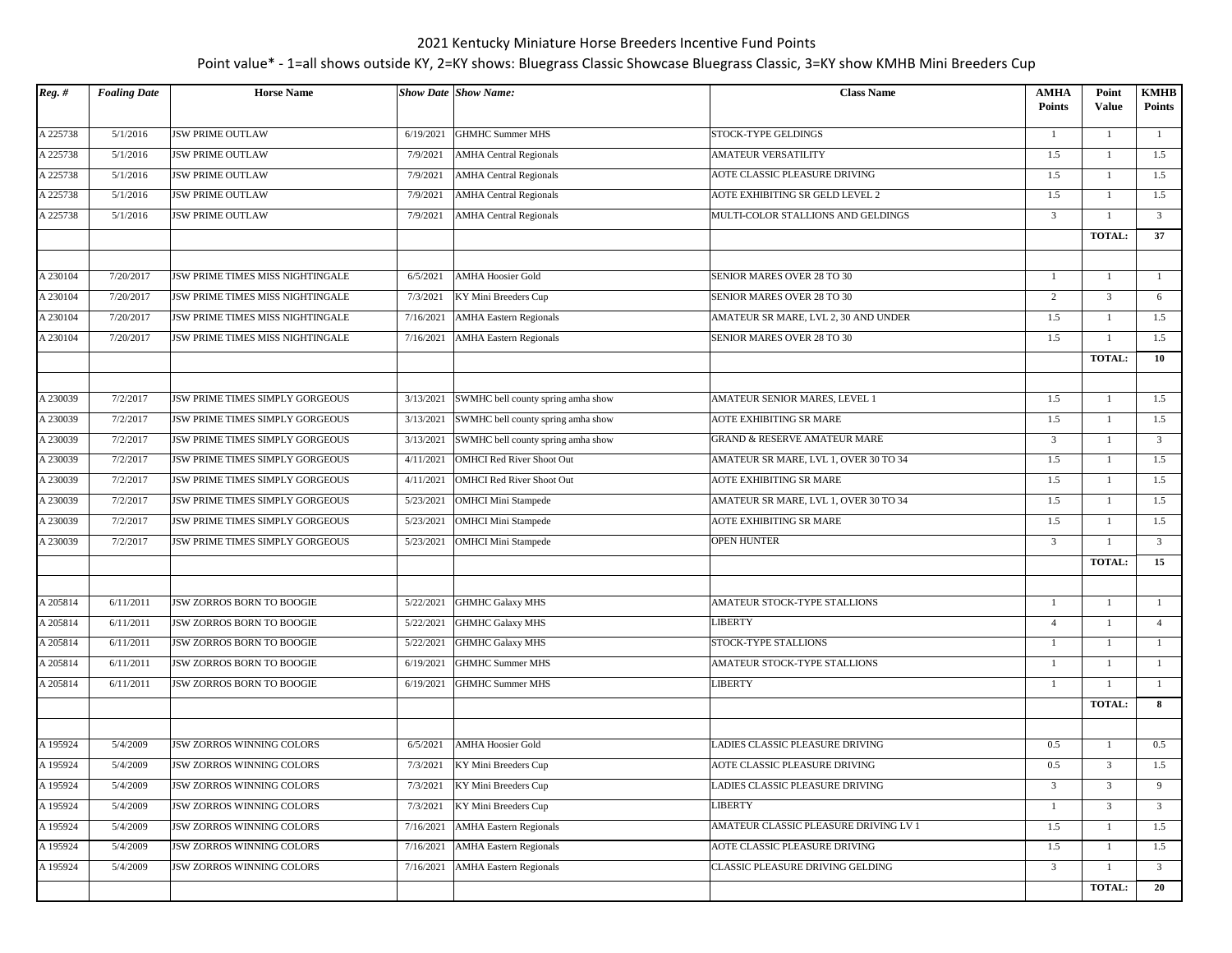| $Reg.$ # | <b>Foaling Date</b> | <b>Horse Name</b>                |           | <b>Show Date Show Name:</b>        | <b>Class Name</b>                       | <b>AMHA</b><br><b>Points</b> | Point<br><b>Value</b> | <b>KMHB</b><br><b>Points</b> |
|----------|---------------------|----------------------------------|-----------|------------------------------------|-----------------------------------------|------------------------------|-----------------------|------------------------------|
| A 225738 | 5/1/2016            | <b>JSW PRIME OUTLAW</b>          | 6/19/2021 | <b>GHMHC Summer MHS</b>            | STOCK-TYPE GELDINGS                     | 1                            | $\mathbf{1}$          | -1                           |
| A 225738 | 5/1/2016            | <b>JSW PRIME OUTLAW</b>          | 7/9/2021  | <b>AMHA Central Regionals</b>      | <b>AMATEUR VERSATILITY</b>              | 1.5                          | $\mathbf{1}$          | 1.5                          |
| A 225738 | 5/1/2016            | <b>JSW PRIME OUTLAW</b>          | 7/9/2021  | <b>AMHA Central Regionals</b>      | AOTE CLASSIC PLEASURE DRIVING           | 1.5                          |                       | 1.5                          |
| A 225738 | 5/1/2016            | <b>JSW PRIME OUTLAW</b>          | 7/9/2021  | <b>AMHA Central Regionals</b>      | AOTE EXHIBITING SR GELD LEVEL 2         | 1.5                          | $\mathbf{1}$          | 1.5                          |
| A 225738 | 5/1/2016            | <b>JSW PRIME OUTLAW</b>          | 7/9/2021  | <b>AMHA Central Regionals</b>      | MULTI-COLOR STALLIONS AND GELDINGS      | $\overline{3}$               | 1                     | $\overline{3}$               |
|          |                     |                                  |           |                                    |                                         |                              | <b>TOTAL:</b>         | 37                           |
| A 230104 | 7/20/2017           | JSW PRIME TIMES MISS NIGHTINGALE | 6/5/2021  | <b>AMHA Hoosier Gold</b>           | SENIOR MARES OVER 28 TO 30              | 1                            | 1                     | <sup>1</sup>                 |
| A 230104 | 7/20/2017           | JSW PRIME TIMES MISS NIGHTINGALE | 7/3/2021  | KY Mini Breeders Cup               | SENIOR MARES OVER 28 TO 30              | 2                            | 3                     | 6                            |
| A 230104 | 7/20/2017           | JSW PRIME TIMES MISS NIGHTINGALE | 7/16/2021 | <b>AMHA Eastern Regionals</b>      | AMATEUR SR MARE, LVL 2, 30 AND UNDER    | 1.5                          | 1                     | 1.5                          |
| A 230104 | 7/20/2017           | JSW PRIME TIMES MISS NIGHTINGALE | 7/16/2021 | <b>AMHA Eastern Regionals</b>      | SENIOR MARES OVER 28 TO 30              | 1.5                          | $\mathbf{1}$          | 1.5                          |
|          |                     |                                  |           |                                    |                                         |                              | <b>TOTAL:</b>         | 10                           |
| A 230039 | 7/2/2017            | JSW PRIME TIMES SIMPLY GORGEOUS  | 3/13/2021 | SWMHC bell county spring amha show | AMATEUR SENIOR MARES, LEVEL 1           | 1.5                          | 1                     | 1.5                          |
| A 230039 | 7/2/2017            | JSW PRIME TIMES SIMPLY GORGEOUS  | 3/13/2021 | SWMHC bell county spring amha show | AOTE EXHIBITING SR MARE                 | 1.5                          | $\mathbf{1}$          | 1.5                          |
| A 230039 | 7/2/2017            | JSW PRIME TIMES SIMPLY GORGEOUS  | 3/13/2021 | SWMHC bell county spring amha show | <b>GRAND &amp; RESERVE AMATEUR MARE</b> | $\mathbf{3}$                 | 1                     | $\overline{3}$               |
| A 230039 | 7/2/2017            | JSW PRIME TIMES SIMPLY GORGEOUS  | 4/11/2021 | OMHCI Red River Shoot Out          | AMATEUR SR MARE, LVL 1, OVER 30 TO 34   | 1.5                          | 1                     | 1.5                          |
| A 230039 | 7/2/2017            | JSW PRIME TIMES SIMPLY GORGEOUS  | 4/11/2021 | OMHCI Red River Shoot Out          | AOTE EXHIBITING SR MARE                 | 1.5                          | 1                     | 1.5                          |
| A 230039 | 7/2/2017            | JSW PRIME TIMES SIMPLY GORGEOUS  | 5/23/2021 | OMHCI Mini Stampede                | AMATEUR SR MARE, LVL 1, OVER 30 TO 34   | 1.5                          | 1                     | 1.5                          |
| A 230039 | 7/2/2017            | JSW PRIME TIMES SIMPLY GORGEOUS  | 5/23/2021 | <b>OMHCI Mini Stampede</b>         | <b>AOTE EXHIBITING SR MARE</b>          | 1.5                          | 1                     | 1.5                          |
| A 230039 | 7/2/2017            | JSW PRIME TIMES SIMPLY GORGEOUS  | 5/23/2021 | <b>OMHCI Mini Stampede</b>         | <b>OPEN HUNTER</b>                      | $\overline{3}$               | 1                     | $\overline{3}$               |
|          |                     |                                  |           |                                    |                                         |                              | TOTAL:                | 15                           |
| A 205814 | 6/11/2011           | <b>JSW ZORROS BORN TO BOOGIE</b> | 5/22/2021 | GHMHC Galaxy MHS                   | AMATEUR STOCK-TYPE STALLIONS            | 1                            | -1                    | 1                            |
| A 205814 | 6/11/2011           | JSW ZORROS BORN TO BOOGIE        | 5/22/2021 | GHMHC Galaxy MHS                   | LIBERTY                                 | $\overline{4}$               |                       | $\overline{4}$               |
| A 205814 | 6/11/2011           | JSW ZORROS BORN TO BOOGIE        | 5/22/2021 | <b>GHMHC Galaxy MHS</b>            | STOCK-TYPE STALLIONS                    | 1                            | 1                     | <sup>1</sup>                 |
| A 205814 | 6/11/2011           | JSW ZORROS BORN TO BOOGIE        | 6/19/2021 | <b>GHMHC Summer MHS</b>            | AMATEUR STOCK-TYPE STALLIONS            | $\mathbf{1}$                 | 1                     | $\mathbf{1}$                 |
| A 205814 | 6/11/2011           | <b>JSW ZORROS BORN TO BOOGIE</b> | 6/19/2021 | <b>GHMHC Summer MHS</b>            | LIBERTY                                 | 1                            | 1                     | 1                            |
|          |                     |                                  |           |                                    |                                         |                              | <b>TOTAL:</b>         | 8                            |
| A 195924 | 5/4/2009            | <b>JSW ZORROS WINNING COLORS</b> | 6/5/2021  | <b>AMHA Hoosier Gold</b>           | LADIES CLASSIC PLEASURE DRIVING         | 0.5                          | 1                     | 0.5                          |
| A 195924 | 5/4/2009            | <b>JSW ZORROS WINNING COLORS</b> | 7/3/2021  | KY Mini Breeders Cup               | AOTE CLASSIC PLEASURE DRIVING           | 0.5                          | $\overline{3}$        | 1.5                          |
| A 195924 | 5/4/2009            | JSW ZORROS WINNING COLORS        | 7/3/2021  | KY Mini Breeders Cup               | LADIES CLASSIC PLEASURE DRIVING         | $\overline{3}$               | $\overline{3}$        | 9                            |
| A 195924 | 5/4/2009            | JSW ZORROS WINNING COLORS        | 7/3/2021  | KY Mini Breeders Cup               | LIBERTY                                 | -1                           | 3                     | $\overline{\mathbf{3}}$      |
| A 195924 | 5/4/2009            | JSW ZORROS WINNING COLORS        | 7/16/2021 | <b>AMHA Eastern Regionals</b>      | AMATEUR CLASSIC PLEASURE DRIVING LV 1   | 1.5                          | 1                     | 1.5                          |
| A 195924 | 5/4/2009            | JSW ZORROS WINNING COLORS        | 7/16/2021 | <b>AMHA Eastern Regionals</b>      | AOTE CLASSIC PLEASURE DRIVING           | 1.5                          | 1                     | 1.5                          |
| A 195924 | 5/4/2009            | JSW ZORROS WINNING COLORS        | 7/16/2021 | <b>AMHA Eastern Regionals</b>      | CLASSIC PLEASURE DRIVING GELDING        | $\overline{3}$               | $\mathbf{1}$          | $\overline{3}$               |
|          |                     |                                  |           |                                    |                                         |                              | <b>TOTAL:</b>         | 20                           |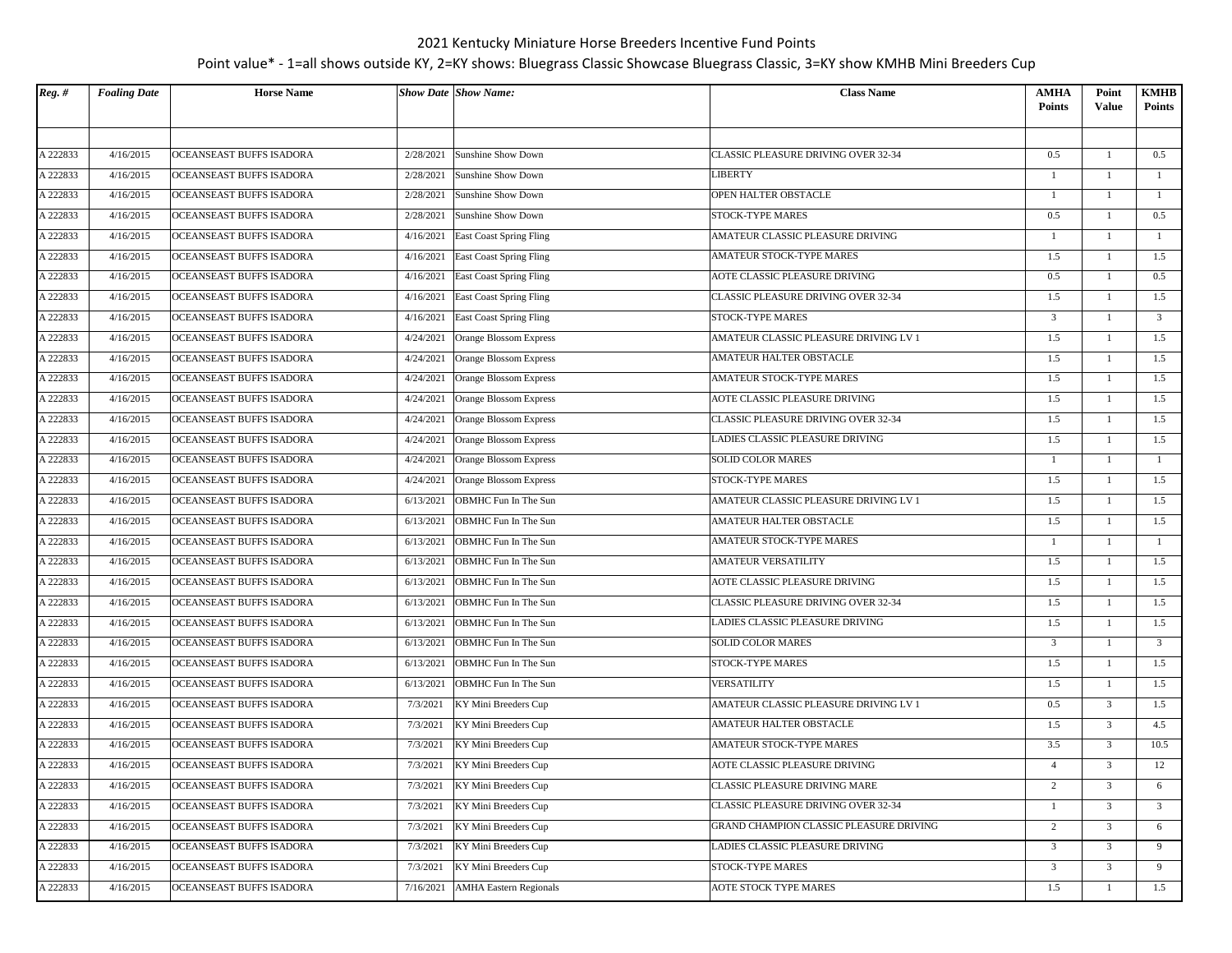| $Reg.$ # | <b>Foaling Date</b> | <b>Horse Name</b>        |           | <b>Show Date Show Name:</b>       | <b>Class Name</b>                       | AMHA<br><b>Points</b> | Point<br>Value | KMHB<br><b>Points</b>   |
|----------|---------------------|--------------------------|-----------|-----------------------------------|-----------------------------------------|-----------------------|----------------|-------------------------|
|          |                     |                          |           |                                   |                                         |                       |                |                         |
| A 222833 | 4/16/2015           | OCEANSEAST BUFFS ISADORA | 2/28/2021 | Sunshine Show Down                | CLASSIC PLEASURE DRIVING OVER 32-34     | 0.5                   | -1             | 0.5                     |
| A 222833 | 4/16/2015           | OCEANSEAST BUFFS ISADORA | 2/28/2021 | Sunshine Show Down                | LIBERTY                                 | $\mathbf{1}$          | 1              | $\mathbf{1}$            |
| A 222833 | 4/16/2015           | OCEANSEAST BUFFS ISADORA | 2/28/2021 | Sunshine Show Down                | OPEN HALTER OBSTACLE                    | $\mathbf{1}$          | 1              | <sup>1</sup>            |
| A 222833 | 4/16/2015           | OCEANSEAST BUFFS ISADORA | 2/28/2021 | Sunshine Show Down                | STOCK-TYPE MARES                        | 0.5                   | 1              | 0.5                     |
| A 222833 | 4/16/2015           | OCEANSEAST BUFFS ISADORA | 4/16/2021 | <b>East Coast Spring Fling</b>    | AMATEUR CLASSIC PLEASURE DRIVING        | $\mathbf{1}$          | 1              | $\mathbf{1}$            |
| A 222833 | 4/16/2015           | OCEANSEAST BUFFS ISADORA | 4/16/2021 | East Coast Spring Fling           | AMATEUR STOCK-TYPE MARES                | 1.5                   |                | 1.5                     |
| A 222833 | 4/16/2015           | OCEANSEAST BUFFS ISADORA |           | 4/16/2021 East Coast Spring Fling | AOTE CLASSIC PLEASURE DRIVING           | 0.5                   | -1             | 0.5                     |
| A 222833 | 4/16/2015           | OCEANSEAST BUFFS ISADORA | 4/16/2021 | East Coast Spring Fling           | CLASSIC PLEASURE DRIVING OVER 32-34     | 1.5                   | 1              | 1.5                     |
| A 222833 | 4/16/2015           | OCEANSEAST BUFFS ISADORA | 4/16/2021 | <b>East Coast Spring Fling</b>    | STOCK-TYPE MARES                        | $\overline{3}$        | 1              | $\overline{\mathbf{3}}$ |
| A 222833 | 4/16/2015           | OCEANSEAST BUFFS ISADORA | 4/24/2021 | Orange Blossom Express            | AMATEUR CLASSIC PLEASURE DRIVING LV 1   | 1.5                   | $\mathbf{1}$   | 1.5                     |
| A 222833 | 4/16/2015           | OCEANSEAST BUFFS ISADORA | 4/24/2021 | Orange Blossom Express            | AMATEUR HALTER OBSTACLE                 | 1.5                   | 1              | 1.5                     |
| A 222833 | 4/16/2015           | OCEANSEAST BUFFS ISADORA | 4/24/2021 | Orange Blossom Express            | AMATEUR STOCK-TYPE MARES                | 1.5                   | -1             | 1.5                     |
| A 222833 | 4/16/2015           | OCEANSEAST BUFFS ISADORA | 4/24/2021 | Orange Blossom Express            | AOTE CLASSIC PLEASURE DRIVING           | 1.5                   | 1              | 1.5                     |
| A 222833 | 4/16/2015           | OCEANSEAST BUFFS ISADORA | 4/24/2021 | Orange Blossom Express            | CLASSIC PLEASURE DRIVING OVER 32-34     | 1.5                   | 1              | 1.5                     |
| A 222833 | 4/16/2015           | OCEANSEAST BUFFS ISADORA | 4/24/2021 | Orange Blossom Express            | LADIES CLASSIC PLEASURE DRIVING         | 1.5                   | $\mathbf{1}$   | 1.5                     |
| A 222833 | 4/16/2015           | OCEANSEAST BUFFS ISADORA | 4/24/2021 | Orange Blossom Express            | <b>SOLID COLOR MARES</b>                | $\mathbf{1}$          | 1              | $\mathbf{1}$            |
| A 222833 | 4/16/2015           | OCEANSEAST BUFFS ISADORA | 4/24/2021 | Orange Blossom Express            | STOCK-TYPE MARES                        | 1.5                   | $\mathbf{1}$   | 1.5                     |
| A 222833 | 4/16/2015           | OCEANSEAST BUFFS ISADORA | 6/13/2021 | OBMHC Fun In The Sun              | AMATEUR CLASSIC PLEASURE DRIVING LV 1   | 1.5                   | $\overline{1}$ | 1.5                     |
| A 222833 | 4/16/2015           | OCEANSEAST BUFFS ISADORA | 6/13/2021 | OBMHC Fun In The Sun              | AMATEUR HALTER OBSTACLE                 | 1.5                   | 1              | 1.5                     |
| A 222833 | 4/16/2015           | OCEANSEAST BUFFS ISADORA | 6/13/2021 | OBMHC Fun In The Sun              | AMATEUR STOCK-TYPE MARES                | $\mathbf{1}$          | $\mathbf{1}$   | <sup>1</sup>            |
| A 222833 | 4/16/2015           | OCEANSEAST BUFFS ISADORA | 6/13/2021 | OBMHC Fun In The Sun              | AMATEUR VERSATILITY                     | 1.5                   | $\mathbf{1}$   | 1.5                     |
| A 222833 | 4/16/2015           | OCEANSEAST BUFFS ISADORA | 6/13/2021 | OBMHC Fun In The Sun              | AOTE CLASSIC PLEASURE DRIVING           | 1.5                   | 1              | 1.5                     |
| A 222833 | 4/16/2015           | OCEANSEAST BUFFS ISADORA | 6/13/2021 | OBMHC Fun In The Sun              | CLASSIC PLEASURE DRIVING OVER 32-34     | 1.5                   | 1              | 1.5                     |
| A 222833 | 4/16/2015           | OCEANSEAST BUFFS ISADORA | 6/13/2021 | OBMHC Fun In The Sun              | LADIES CLASSIC PLEASURE DRIVING         | 1.5                   | 1              | 1.5                     |
| A 222833 | 4/16/2015           | OCEANSEAST BUFFS ISADORA | 6/13/2021 | OBMHC Fun In The Sun              | <b>SOLID COLOR MARES</b>                | $\overline{3}$        | -1             | $\overline{\mathbf{3}}$ |
| A 222833 | 4/16/2015           | OCEANSEAST BUFFS ISADORA | 6/13/2021 | OBMHC Fun In The Sun              | STOCK-TYPE MARES                        | $1.5\,$               | $\mathbf{1}$   | 1.5                     |
| A 222833 | 4/16/2015           | OCEANSEAST BUFFS ISADORA | 6/13/2021 | OBMHC Fun In The Sun              | <b>VERSATILITY</b>                      | 1.5                   | 1              | 1.5                     |
| A 222833 | 4/16/2015           | OCEANSEAST BUFFS ISADORA | 7/3/2021  | KY Mini Breeders Cup              | AMATEUR CLASSIC PLEASURE DRIVING LV 1   | 0.5                   | $\overline{3}$ | 1.5                     |
| A 222833 | 4/16/2015           | OCEANSEAST BUFFS ISADORA | 7/3/2021  | KY Mini Breeders Cup              | AMATEUR HALTER OBSTACLE                 | 1.5                   | $\mathfrak{Z}$ | 4.5                     |
| A 222833 | 4/16/2015           | OCEANSEAST BUFFS ISADORA | 7/3/2021  | KY Mini Breeders Cup              | AMATEUR STOCK-TYPE MARES                | 3.5                   | $\overline{3}$ | 10.5                    |
| A 222833 | 4/16/2015           | OCEANSEAST BUFFS ISADORA | 7/3/2021  | KY Mini Breeders Cup              | AOTE CLASSIC PLEASURE DRIVING           | $\overline{4}$        | $\overline{3}$ | 12                      |
| A 222833 | 4/16/2015           | OCEANSEAST BUFFS ISADORA | 7/3/2021  | KY Mini Breeders Cup              | CLASSIC PLEASURE DRIVING MARE           | $\overline{c}$        | $\overline{3}$ | 6                       |
| A 222833 | 4/16/2015           | OCEANSEAST BUFFS ISADORA | 7/3/2021  | KY Mini Breeders Cup              | CLASSIC PLEASURE DRIVING OVER 32-34     | $\mathbf{1}$          | $\overline{3}$ | $\overline{3}$          |
| A 222833 | 4/16/2015           | OCEANSEAST BUFFS ISADORA | 7/3/2021  | KY Mini Breeders Cup              | GRAND CHAMPION CLASSIC PLEASURE DRIVING | $\overline{c}$        | $\overline{3}$ | 6                       |
| A 222833 | 4/16/2015           | OCEANSEAST BUFFS ISADORA | 7/3/2021  | KY Mini Breeders Cup              | LADIES CLASSIC PLEASURE DRIVING         | 3                     | $\overline{3}$ | 9                       |
| A 222833 | 4/16/2015           | OCEANSEAST BUFFS ISADORA | 7/3/2021  | KY Mini Breeders Cup              | STOCK-TYPE MARES                        | $\overline{3}$        | 3              | 9                       |
| A 222833 | 4/16/2015           | OCEANSEAST BUFFS ISADORA | 7/16/2021 | <b>AMHA Eastern Regionals</b>     | AOTE STOCK TYPE MARES                   | 1.5                   | $\mathbf{1}$   | 1.5                     |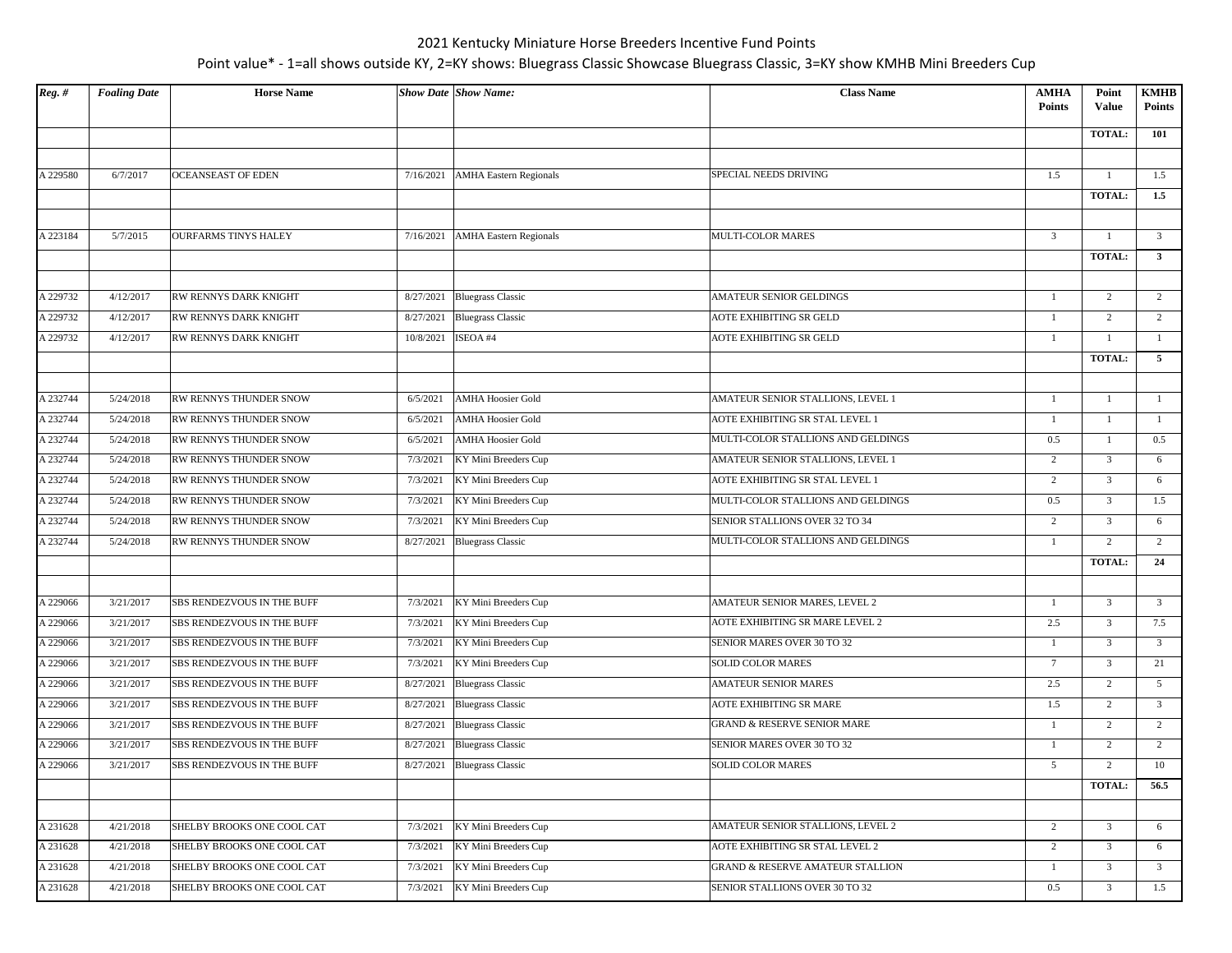| $Reg.$ # | <b>Foaling Date</b> | <b>Horse Name</b>           |           | <b>Show Date Show Name:</b>   | <b>Class Name</b>                           | <b>AMHA</b><br>Points | Point<br><b>Value</b> | <b>KMHB</b><br><b>Points</b>   |
|----------|---------------------|-----------------------------|-----------|-------------------------------|---------------------------------------------|-----------------------|-----------------------|--------------------------------|
|          |                     |                             |           |                               |                                             |                       | <b>TOTAL:</b>         | 101                            |
| A 229580 | 6/7/2017            | <b>OCEANSEAST OF EDEN</b>   | 7/16/2021 | <b>AMHA Eastern Regionals</b> | SPECIAL NEEDS DRIVING                       | 1.5                   | $\overline{1}$        | 1.5                            |
|          |                     |                             |           |                               |                                             |                       | <b>TOTAL:</b>         | 1.5                            |
|          |                     |                             |           |                               |                                             |                       |                       |                                |
| A 223184 | 5/7/2015            | <b>OURFARMS TINYS HALEY</b> | 7/16/2021 | <b>AMHA Eastern Regionals</b> | MULTI-COLOR MARES                           | $\overline{3}$        | -1                    | $\overline{3}$                 |
|          |                     |                             |           |                               |                                             |                       | <b>TOTAL:</b>         | $\mathbf{3}$                   |
| A 229732 | 4/12/2017           | RW RENNYS DARK KNIGHT       |           | 8/27/2021 Bluegrass Classic   | AMATEUR SENIOR GELDINGS                     | $\mathbf{1}$          | $\overline{c}$        | $\overline{2}$                 |
|          |                     |                             |           |                               | AOTE EXHIBITING SR GELD                     |                       |                       |                                |
| A 229732 | 4/12/2017           | RW RENNYS DARK KNIGHT       |           | 8/27/2021 Bluegrass Classic   |                                             | $\mathbf{1}$          | 2                     | $\overline{2}$                 |
| A 229732 | 4/12/2017           | RW RENNYS DARK KNIGHT       | 10/8/2021 | ISEOA #4                      | AOTE EXHIBITING SR GELD                     | $\mathbf{1}$          | <b>TOTAL:</b>         | $\mathbf{1}$<br>5 <sub>5</sub> |
|          |                     |                             |           |                               |                                             |                       |                       |                                |
| A 232744 | 5/24/2018           | RW RENNYS THUNDER SNOW      | 6/5/2021  | <b>AMHA Hoosier Gold</b>      | AMATEUR SENIOR STALLIONS, LEVEL 1           | $\mathbf{1}$          | -1                    | $\mathbf{1}$                   |
| A 232744 | 5/24/2018           | RW RENNYS THUNDER SNOW      | 6/5/2021  | <b>AMHA Hoosier Gold</b>      | AOTE EXHIBITING SR STAL LEVEL 1             | $\mathbf{1}$          |                       | 1                              |
| A 232744 | 5/24/2018           | RW RENNYS THUNDER SNOW      | 6/5/2021  | <b>AMHA Hoosier Gold</b>      | MULTI-COLOR STALLIONS AND GELDINGS          | 0.5                   |                       | 0.5                            |
| A 232744 | 5/24/2018           | RW RENNYS THUNDER SNOW      | 7/3/2021  | KY Mini Breeders Cup          | AMATEUR SENIOR STALLIONS, LEVEL 1           | $\overline{2}$        | 3                     | 6                              |
| A 232744 | 5/24/2018           | RW RENNYS THUNDER SNOW      | 7/3/2021  | KY Mini Breeders Cup          | AOTE EXHIBITING SR STAL LEVEL 1             | $\overline{2}$        | $\overline{3}$        | 6                              |
| A 232744 | 5/24/2018           | RW RENNYS THUNDER SNOW      | 7/3/2021  | KY Mini Breeders Cup          | MULTI-COLOR STALLIONS AND GELDINGS          | 0.5                   | 3                     | 1.5                            |
| A 232744 | 5/24/2018           | RW RENNYS THUNDER SNOW      | 7/3/2021  | KY Mini Breeders Cup          | SENIOR STALLIONS OVER 32 TO 34              | $\overline{2}$        | $\overline{3}$        | 6                              |
| A 232744 | 5/24/2018           | RW RENNYS THUNDER SNOW      | 8/27/2021 | <b>Bluegrass Classic</b>      | MULTI-COLOR STALLIONS AND GELDINGS          | $\mathbf{1}$          | $\overline{2}$        | 2                              |
|          |                     |                             |           |                               |                                             |                       | <b>TOTAL:</b>         | 24                             |
| A 229066 | 3/21/2017           | SBS RENDEZVOUS IN THE BUFF  | 7/3/2021  | KY Mini Breeders Cup          | AMATEUR SENIOR MARES, LEVEL 2               | $\mathbf{1}$          | $\overline{3}$        | $\mathfrak{Z}$                 |
| A 229066 | 3/21/2017           | SBS RENDEZVOUS IN THE BUFF  | 7/3/2021  | KY Mini Breeders Cup          | AOTE EXHIBITING SR MARE LEVEL 2             | 2.5                   | 3                     | 7.5                            |
| A 229066 | 3/21/2017           | SBS RENDEZVOUS IN THE BUFF  | 7/3/2021  | KY Mini Breeders Cup          | SENIOR MARES OVER 30 TO 32                  | $\mathbf{1}$          | $\overline{3}$        | $\overline{3}$                 |
| A 229066 | 3/21/2017           | SBS RENDEZVOUS IN THE BUFF  | 7/3/2021  | KY Mini Breeders Cup          | <b>SOLID COLOR MARES</b>                    | $7\phantom{.0}$       | 3                     | 21                             |
| A 229066 | 3/21/2017           | SBS RENDEZVOUS IN THE BUFF  | 8/27/2021 | <b>Bluegrass Classic</b>      | <b>AMATEUR SENIOR MARES</b>                 | 2.5                   | $\overline{c}$        | $5\overline{ }$                |
| A 229066 | 3/21/2017           | SBS RENDEZVOUS IN THE BUFF  | 8/27/2021 | <b>Bluegrass Classic</b>      | AOTE EXHIBITING SR MARE                     | 1.5                   | $\overline{c}$        | $\overline{3}$                 |
| A 229066 | 3/21/2017           | SBS RENDEZVOUS IN THE BUFF  |           | 8/27/2021 Bluegrass Classic   | <b>GRAND &amp; RESERVE SENIOR MARE</b>      | $\mathbf{1}$          | 2                     | 2                              |
| A 229066 | 3/21/2017           | SBS RENDEZVOUS IN THE BUFF  |           | 8/27/2021 Bluegrass Classic   | SENIOR MARES OVER 30 TO 32                  | 1                     | $\overline{c}$        | $\overline{2}$                 |
| A 229066 | 3/21/2017           | SBS RENDEZVOUS IN THE BUFF  |           | 8/27/2021 Bluegrass Classic   | <b>SOLID COLOR MARES</b>                    | 5                     | 2                     | 10                             |
|          |                     |                             |           |                               |                                             |                       | TOTAL:                | 56.5                           |
| A 231628 | 4/21/2018           | SHELBY BROOKS ONE COOL CAT  | 7/3/2021  | KY Mini Breeders Cup          | AMATEUR SENIOR STALLIONS, LEVEL 2           | $\overline{2}$        | $\mathfrak{Z}$        | 6                              |
| A 231628 | 4/21/2018           | SHELBY BROOKS ONE COOL CAT  | 7/3/2021  | KY Mini Breeders Cup          | AOTE EXHIBITING SR STAL LEVEL 2             | $\overline{c}$        | 3                     | 6                              |
| A 231628 | 4/21/2018           | SHELBY BROOKS ONE COOL CAT  | 7/3/2021  | KY Mini Breeders Cup          | <b>GRAND &amp; RESERVE AMATEUR STALLION</b> | $\mathbf{1}$          | $\overline{3}$        | $\mathfrak{Z}$                 |
| A 231628 | 4/21/2018           | SHELBY BROOKS ONE COOL CAT  | 7/3/2021  | KY Mini Breeders Cup          | SENIOR STALLIONS OVER 30 TO 32              | 0.5                   | 3                     | 1.5                            |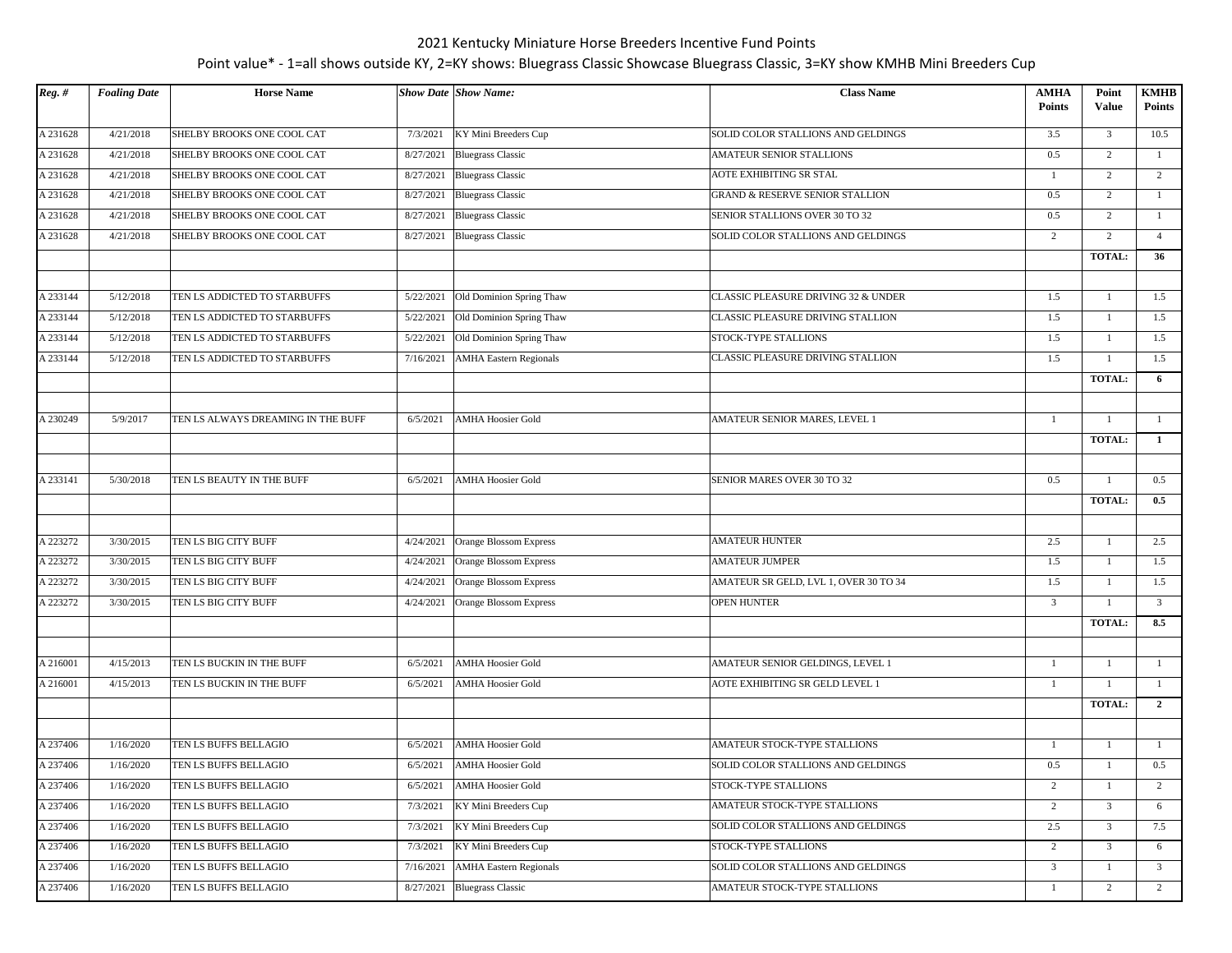| $Reg.$ # | <b>Foaling Date</b> | <b>Horse Name</b>                  |           | <b>Show Date Show Name:</b>   | <b>Class Name</b>                      | <b>AMHA</b><br><b>Points</b> | Point<br><b>Value</b> | <b>KMHB</b><br><b>Points</b> |
|----------|---------------------|------------------------------------|-----------|-------------------------------|----------------------------------------|------------------------------|-----------------------|------------------------------|
| A 231628 | 4/21/2018           | SHELBY BROOKS ONE COOL CAT         | 7/3/2021  | KY Mini Breeders Cup          | SOLID COLOR STALLIONS AND GELDINGS     | 3.5                          | $\overline{3}$        | 10.5                         |
| A 231628 | 4/21/2018           | SHELBY BROOKS ONE COOL CAT         | 8/27/2021 | <b>Bluegrass Classic</b>      | AMATEUR SENIOR STALLIONS               | 0.5                          | $\overline{2}$        | $\mathbf{1}$                 |
| A 231628 | 4/21/2018           | SHELBY BROOKS ONE COOL CAT         | 8/27/2021 | <b>Bluegrass Classic</b>      | AOTE EXHIBITING SR STAL                | -1                           | $\overline{2}$        | 2                            |
| A 231628 | 4/21/2018           | SHELBY BROOKS ONE COOL CAT         | 8/27/2021 | <b>Bluegrass Classic</b>      | GRAND & RESERVE SENIOR STALLION        | 0.5                          | 2                     | $\mathbf{1}$                 |
| A 231628 | 4/21/2018           | SHELBY BROOKS ONE COOL CAT         | 8/27/2021 | <b>Bluegrass Classic</b>      | SENIOR STALLIONS OVER 30 TO 32         | 0.5                          | 2                     | 1                            |
| A 231628 | 4/21/2018           | SHELBY BROOKS ONE COOL CAT         | 8/27/2021 | <b>Bluegrass Classic</b>      | SOLID COLOR STALLIONS AND GELDINGS     | $\overline{c}$               | 2                     | $\overline{4}$               |
|          |                     |                                    |           |                               |                                        |                              | <b>TOTAL:</b>         | 36                           |
|          |                     |                                    |           |                               |                                        |                              |                       |                              |
| A 233144 | 5/12/2018           | TEN LS ADDICTED TO STARBUFFS       | 5/22/2021 | Old Dominion Spring Thaw      | CLASSIC PLEASURE DRIVING 32 & UNDER    | 1.5                          | $\mathbf{1}$          | 1.5                          |
| A 233144 | 5/12/2018           | TEN LS ADDICTED TO STARBUFFS       | 5/22/2021 | Old Dominion Spring Thaw      | CLASSIC PLEASURE DRIVING STALLION      | 1.5                          | -1                    | 1.5                          |
| A 233144 | 5/12/2018           | TEN LS ADDICTED TO STARBUFFS       | 5/22/2021 | Old Dominion Spring Thaw      | STOCK-TYPE STALLIONS                   | 1.5                          | $\mathbf{1}$          | 1.5                          |
| A 233144 | 5/12/2018           | TEN LS ADDICTED TO STARBUFFS       | 7/16/2021 | <b>AMHA Eastern Regionals</b> | CLASSIC PLEASURE DRIVING STALLION      | 1.5                          | 1                     | 1.5                          |
|          |                     |                                    |           |                               |                                        |                              | <b>TOTAL:</b>         | 6                            |
|          |                     |                                    |           |                               |                                        |                              |                       |                              |
| A 230249 | 5/9/2017            | TEN LS ALWAYS DREAMING IN THE BUFF | 6/5/2021  | <b>AMHA Hoosier Gold</b>      | AMATEUR SENIOR MARES, LEVEL 1          | $\mathbf{1}$                 | $\mathbf{1}$          | <sup>1</sup>                 |
|          |                     |                                    |           |                               |                                        |                              | <b>TOTAL:</b>         | $\mathbf{1}$                 |
|          |                     |                                    |           |                               |                                        |                              |                       |                              |
| A 233141 | 5/30/2018           | TEN LS BEAUTY IN THE BUFF          | 6/5/2021  | <b>AMHA Hoosier Gold</b>      | SENIOR MARES OVER 30 TO 32             | 0.5                          | $\mathbf{1}$          | 0.5                          |
|          |                     |                                    |           |                               |                                        |                              | <b>TOTAL:</b>         | 0.5                          |
| A 223272 | 3/30/2015           | TEN LS BIG CITY BUFF               | 4/24/2021 | Orange Blossom Express        | <b>AMATEUR HUNTER</b>                  | 2.5                          | 1                     | 2.5                          |
| A 223272 | 3/30/2015           | TEN LS BIG CITY BUFF               | 4/24/2021 | Orange Blossom Express        | <b>AMATEUR JUMPER</b>                  | 1.5                          | $\mathbf{1}$          | 1.5                          |
| A 223272 | 3/30/2015           | TEN LS BIG CITY BUFF               | 4/24/2021 | Orange Blossom Express        | AMATEUR SR GELD, LVL 1, OVER 30 TO 34  | 1.5                          | 1                     | 1.5                          |
| A 223272 | 3/30/2015           | TEN LS BIG CITY BUFF               |           |                               | <b>OPEN HUNTER</b>                     | $\overline{3}$               |                       | $\overline{3}$               |
|          |                     |                                    | 4/24/2021 | Orange Blossom Express        |                                        |                              |                       | 8.5                          |
|          |                     |                                    |           |                               |                                        |                              | TOTAL:                |                              |
| A 216001 | 4/15/2013           | TEN LS BUCKIN IN THE BUFF          | 6/5/2021  | <b>AMHA Hoosier Gold</b>      | AMATEUR SENIOR GELDINGS, LEVEL 1       | $\mathbf{1}$                 | 1                     | $\mathbf{1}$                 |
| A 216001 | 4/15/2013           | TEN LS BUCKIN IN THE BUFF          | 6/5/2021  | <b>AMHA Hoosier Gold</b>      | <b>AOTE EXHIBITING SR GELD LEVEL 1</b> | $\mathbf{1}$                 | 1                     | 1                            |
|          |                     |                                    |           |                               |                                        |                              | <b>TOTAL:</b>         | $\overline{2}$               |
|          |                     |                                    |           |                               |                                        |                              |                       |                              |
| A 237406 | 1/16/2020           | TEN LS BUFFS BELLAGIO              | 6/5/2021  | <b>AMHA Hoosier Gold</b>      | AMATEUR STOCK-TYPE STALLIONS           | $\mathbf{1}$                 | 1                     | $\mathbf{1}$                 |
| A 237406 | 1/16/2020           | TEN LS BUFFS BELLAGIO              | 6/5/2021  | <b>AMHA Hoosier Gold</b>      | SOLID COLOR STALLIONS AND GELDINGS     | 0.5                          | 1                     | 0.5                          |
| A 237406 | 1/16/2020           | TEN LS BUFFS BELLAGIO              | 6/5/2021  | <b>AMHA Hoosier Gold</b>      | <b>STOCK-TYPE STALLIONS</b>            | $\overline{c}$               | $\mathbf{1}$          | 2                            |
| A 237406 | 1/16/2020           | TEN LS BUFFS BELLAGIO              | 7/3/2021  | KY Mini Breeders Cup          | AMATEUR STOCK-TYPE STALLIONS           | 2                            | $\overline{3}$        | 6                            |
| A 237406 | 1/16/2020           | TEN LS BUFFS BELLAGIO              | 7/3/2021  | KY Mini Breeders Cup          | SOLID COLOR STALLIONS AND GELDINGS     | $2.5\,$                      | $\mathfrak{Z}$        | 7.5                          |
| A 237406 | 1/16/2020           | TEN LS BUFFS BELLAGIO              | 7/3/2021  | KY Mini Breeders Cup          | STOCK-TYPE STALLIONS                   | $\overline{c}$               | $\overline{3}$        | 6                            |
| A 237406 | 1/16/2020           | TEN LS BUFFS BELLAGIO              | 7/16/2021 | <b>AMHA Eastern Regionals</b> | SOLID COLOR STALLIONS AND GELDINGS     | $\overline{3}$               | $\mathbf{1}$          | $\overline{3}$               |
| A 237406 | 1/16/2020           | TEN LS BUFFS BELLAGIO              | 8/27/2021 | <b>Bluegrass Classic</b>      | AMATEUR STOCK-TYPE STALLIONS           | $\mathbf{1}$                 | $\overline{2}$        | 2                            |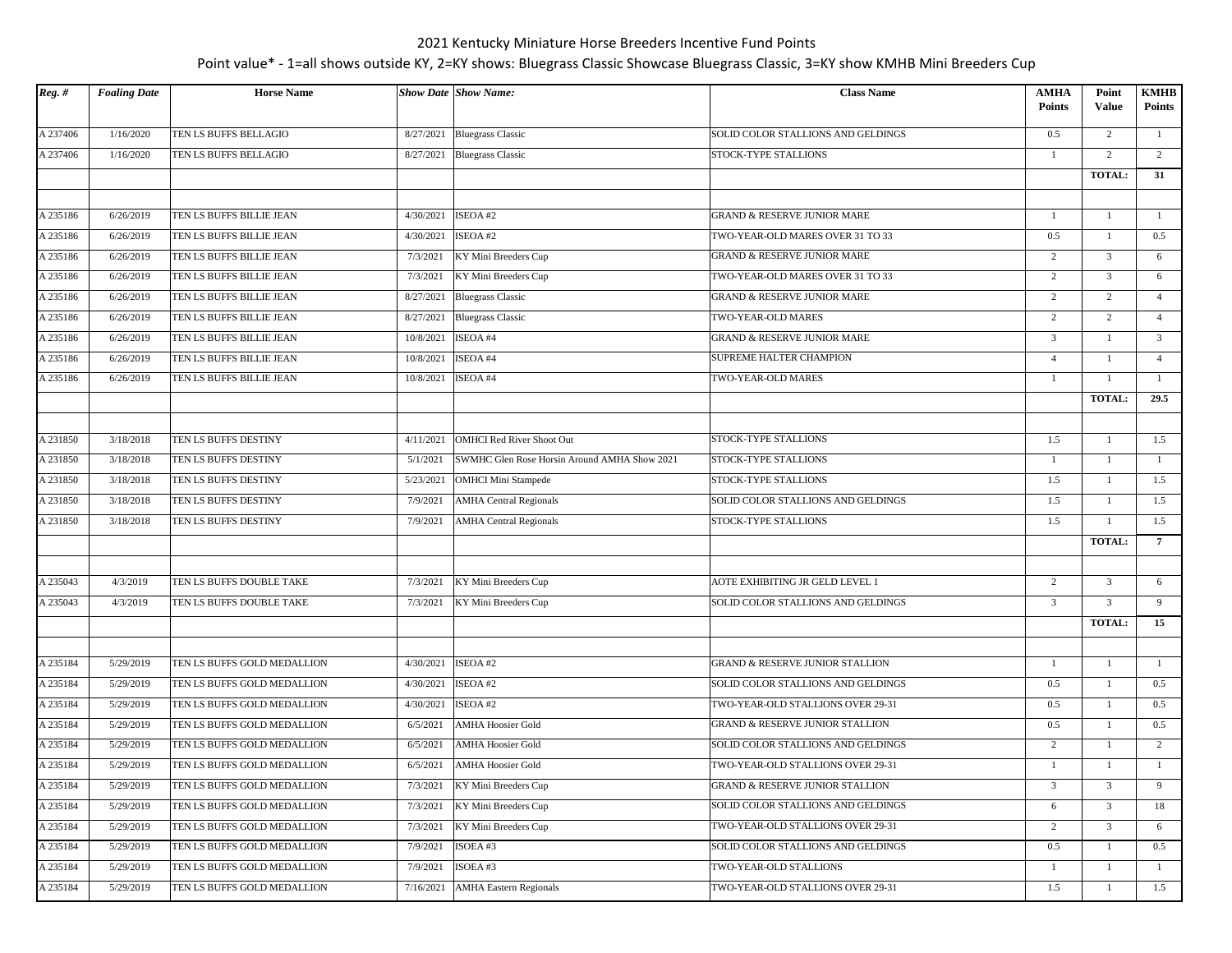| $Reg.$ # | <b>Foaling Date</b>    | <b>Horse Name</b>                                    |                        | <b>Show Date Show Name:</b>                  | <b>Class Name</b>                      | <b>AMHA</b><br><b>Points</b>     | Point<br>Value | <b>KMHB</b><br><b>Points</b> |
|----------|------------------------|------------------------------------------------------|------------------------|----------------------------------------------|----------------------------------------|----------------------------------|----------------|------------------------------|
| A 237406 | 1/16/2020              | TEN LS BUFFS BELLAGIO                                | 8/27/2021              | <b>Bluegrass Classic</b>                     | SOLID COLOR STALLIONS AND GELDINGS     | 0.5                              | 2              | <sup>1</sup>                 |
| A 237406 | 1/16/2020              | TEN LS BUFFS BELLAGIO                                | 8/27/2021              | <b>Bluegrass Classic</b>                     | STOCK-TYPE STALLIONS                   | 1                                | 2              | 2                            |
|          |                        |                                                      |                        |                                              |                                        |                                  | <b>TOTAL:</b>  | 31                           |
|          |                        |                                                      |                        |                                              |                                        |                                  |                |                              |
| A 235186 | 6/26/2019              | TEN LS BUFFS BILLIE JEAN                             | 4/30/2021              | ISEOA#2                                      | GRAND & RESERVE JUNIOR MARE            | $\mathbf{1}$                     | $\mathbf{1}$   | <sup>1</sup>                 |
| A 235186 | 6/26/2019              | TEN LS BUFFS BILLIE JEAN                             | 4/30/2021              | ISEOA #2                                     | TWO-YEAR-OLD MARES OVER 31 TO 33       | 0.5                              | 1              | 0.5                          |
| A 235186 | 6/26/2019              | TEN LS BUFFS BILLIE JEAN                             | 7/3/2021               | KY Mini Breeders Cup                         | <b>GRAND &amp; RESERVE JUNIOR MARE</b> | 2                                | $\overline{3}$ | 6                            |
| A 235186 | 6/26/2019              | TEN LS BUFFS BILLIE JEAN                             | 7/3/2021               | KY Mini Breeders Cup                         | TWO-YEAR-OLD MARES OVER 31 TO 33       | $\overline{2}$                   | $\overline{3}$ | 6                            |
| A 235186 | 6/26/2019              | TEN LS BUFFS BILLIE JEAN                             | 8/27/2021              | <b>Bluegrass Classic</b>                     | GRAND & RESERVE JUNIOR MARE            | $\overline{2}$                   | 2              | $\overline{4}$               |
| A 235186 | 6/26/2019              | TEN LS BUFFS BILLIE JEAN                             | 8/27/2021              | <b>Bluegrass Classic</b>                     | TWO-YEAR-OLD MARES                     | 2                                | 2              | $\overline{4}$               |
|          |                        |                                                      |                        | ISEOA #4                                     | <b>GRAND &amp; RESERVE JUNIOR MARE</b> |                                  | 1              | $\overline{3}$               |
| A 235186 | 6/26/2019<br>6/26/2019 | TEN LS BUFFS BILLIE JEAN<br>TEN LS BUFFS BILLIE JEAN | 10/8/2021<br>10/8/2021 | ISEOA #4                                     | SUPREME HALTER CHAMPION                | $\overline{3}$<br>$\overline{4}$ | 1              | $\overline{4}$               |
| A 235186 |                        |                                                      |                        |                                              | TWO-YEAR-OLD MARES                     |                                  |                | $\overline{1}$               |
| A 235186 | 6/26/2019              | TEN LS BUFFS BILLIE JEAN                             | 10/8/2021              | ISEOA #4                                     |                                        | 1                                |                | 29.5                         |
|          |                        |                                                      |                        |                                              |                                        |                                  | <b>TOTAL:</b>  |                              |
|          |                        |                                                      |                        |                                              |                                        |                                  | $\mathbf{1}$   |                              |
| A 231850 | 3/18/2018              | TEN LS BUFFS DESTINY                                 | 4/11/2021              | <b>OMHCI Red River Shoot Out</b>             | STOCK-TYPE STALLIONS                   | 1.5                              |                | 1.5                          |
| A 231850 | 3/18/2018              | TEN LS BUFFS DESTINY                                 | 5/1/2021               | SWMHC Glen Rose Horsin Around AMHA Show 2021 | STOCK-TYPE STALLIONS                   | $\mathbf{1}$                     | -1             | $\mathbf{1}$                 |
| A 231850 | 3/18/2018              | TEN LS BUFFS DESTINY                                 | 5/23/2021              | <b>OMHCI Mini Stampede</b>                   | STOCK-TYPE STALLIONS                   | 1.5                              | 1              | 1.5                          |
| A 231850 | 3/18/2018              | TEN LS BUFFS DESTINY                                 | 7/9/2021               | <b>AMHA Central Regionals</b>                | SOLID COLOR STALLIONS AND GELDINGS     | 1.5                              | $\mathbf{1}$   | 1.5                          |
| A 231850 | 3/18/2018              | TEN LS BUFFS DESTINY                                 | 7/9/2021               | <b>AMHA</b> Central Regionals                | STOCK-TYPE STALLIONS                   | 1.5                              | 1              | 1.5                          |
|          |                        |                                                      |                        |                                              |                                        |                                  | TOTAL:         | $7\phantom{.0}$              |
|          |                        |                                                      |                        |                                              |                                        |                                  |                |                              |
| A 235043 | 4/3/2019               | TEN LS BUFFS DOUBLE TAKE                             | 7/3/2021               | KY Mini Breeders Cup                         | AOTE EXHIBITING JR GELD LEVEL 1        | $\overline{c}$                   | $\overline{3}$ | 6                            |
| A 235043 | 4/3/2019               | TEN LS BUFFS DOUBLE TAKE                             | 7/3/2021               | KY Mini Breeders Cup                         | SOLID COLOR STALLIONS AND GELDINGS     | $\overline{3}$                   | $\overline{3}$ | -9                           |
|          |                        |                                                      |                        |                                              |                                        |                                  | <b>TOTAL:</b>  | 15                           |
|          |                        |                                                      |                        |                                              |                                        |                                  |                |                              |
| A 235184 | 5/29/2019              | TEN LS BUFFS GOLD MEDALLION                          | 4/30/2021              | ISEOA #2                                     | GRAND & RESERVE JUNIOR STALLION        | -1                               | $\mathbf{1}$   | <sup>1</sup>                 |
| A 235184 | 5/29/2019              | TEN LS BUFFS GOLD MEDALLION                          | 4/30/2021              | ISEOA #2                                     | SOLID COLOR STALLIONS AND GELDINGS     | 0.5                              | $\mathbf{1}$   | 0.5                          |
| A 235184 | 5/29/2019              | TEN LS BUFFS GOLD MEDALLION                          | 4/30/2021              | ISEOA#2                                      | TWO-YEAR-OLD STALLIONS OVER 29-31      | 0.5                              | 1              | 0.5                          |
| A 235184 | 5/29/2019              | TEN LS BUFFS GOLD MEDALLION                          | 6/5/2021               | <b>AMHA Hoosier Gold</b>                     | GRAND & RESERVE JUNIOR STALLION        | 0.5                              | $\mathbf{1}$   | 0.5                          |
| A 235184 | 5/29/2019              | TEN LS BUFFS GOLD MEDALLION                          | 6/5/2021               | <b>AMHA Hoosier Gold</b>                     | SOLID COLOR STALLIONS AND GELDINGS     | 2                                | -1             | 2                            |
| A 235184 | 5/29/2019              | TEN LS BUFFS GOLD MEDALLION                          | 6/5/2021               | <b>AMHA Hoosier Gold</b>                     | TWO-YEAR-OLD STALLIONS OVER 29-31      | -1                               |                | $\overline{1}$               |
| A 235184 | 5/29/2019              | TEN LS BUFFS GOLD MEDALLION                          | 7/3/2021               | KY Mini Breeders Cup                         | GRAND & RESERVE JUNIOR STALLION        | 3                                | $\overline{3}$ | 9                            |
| A 235184 | 5/29/2019              | TEN LS BUFFS GOLD MEDALLION                          | 7/3/2021               | KY Mini Breeders Cup                         | SOLID COLOR STALLIONS AND GELDINGS     | 6                                | $\mathbf{3}$   | 18                           |
| A 235184 | 5/29/2019              | TEN LS BUFFS GOLD MEDALLION                          | 7/3/2021               | KY Mini Breeders Cup                         | TWO-YEAR-OLD STALLIONS OVER 29-31      | 2                                | $\overline{3}$ | 6                            |
| A 235184 | 5/29/2019              | TEN LS BUFFS GOLD MEDALLION                          | 7/9/2021               | ISOEA #3                                     | SOLID COLOR STALLIONS AND GELDINGS     | 0.5                              | $\mathbf{1}$   | 0.5                          |
| A 235184 | 5/29/2019              | TEN LS BUFFS GOLD MEDALLION                          | 7/9/2021               | ISOEA#3                                      | TWO-YEAR-OLD STALLIONS                 | $\mathbf{1}$                     |                | -1                           |
| A 235184 | 5/29/2019              | TEN LS BUFFS GOLD MEDALLION                          | 7/16/2021              | <b>AMHA Eastern Regionals</b>                | TWO-YEAR-OLD STALLIONS OVER 29-31      | 1.5                              | 1              | 1.5                          |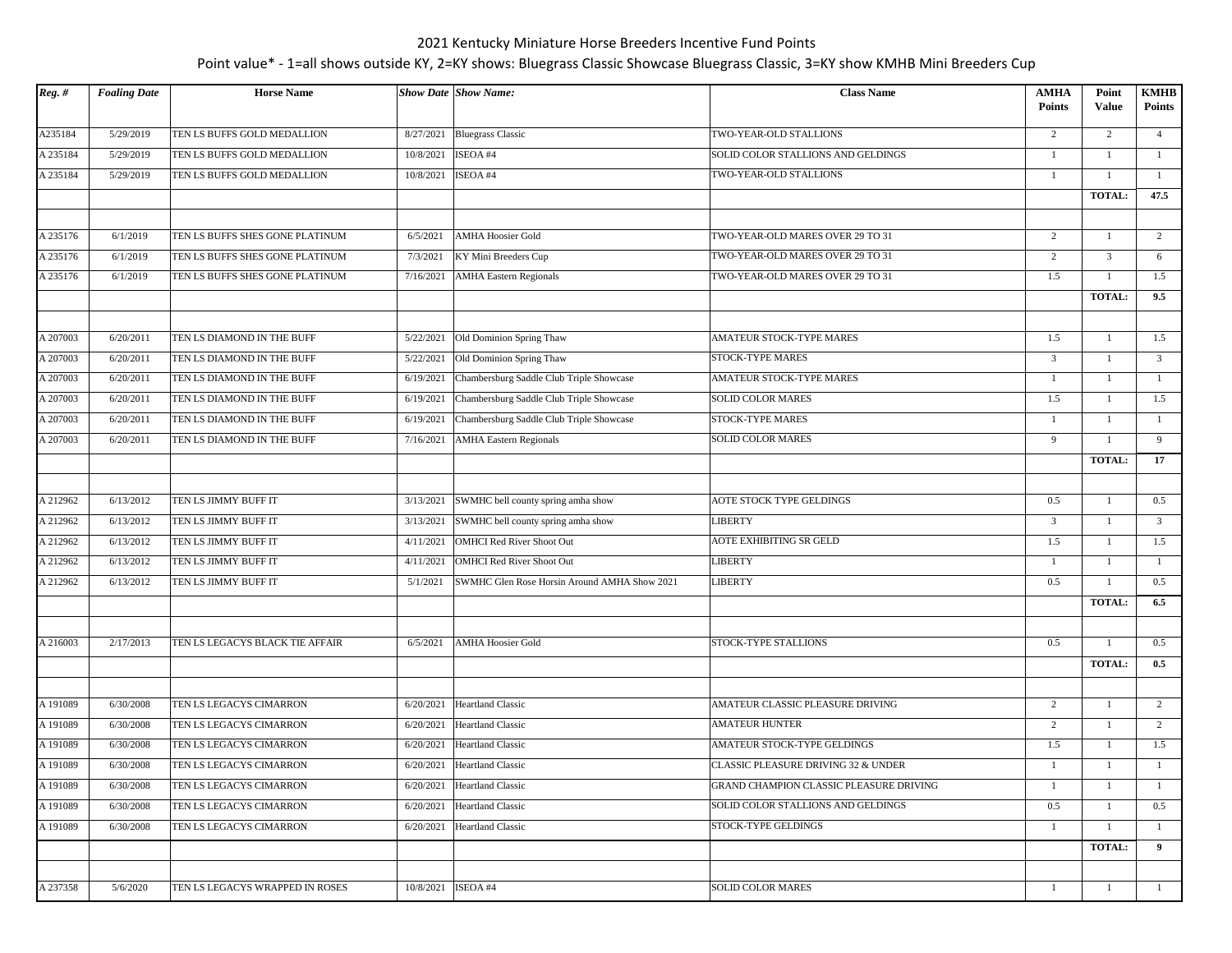| A235184<br><b>Bluegrass Classic</b><br>5/29/2019<br>TEN LS BUFFS GOLD MEDALLION<br>8/27/2021<br>TWO-YEAR-OLD STALLIONS<br>2<br>$\overline{c}$<br>$\overline{4}$<br>SOLID COLOR STALLIONS AND GELDINGS<br>A 235184<br>5/29/2019<br>TEN LS BUFFS GOLD MEDALLION<br>10/8/2021<br>ISEOA #4<br>1<br>$\mathbf{1}$<br>$\mathbf{1}$<br>TWO-YEAR-OLD STALLIONS<br>A 235184<br>ISEOA #4<br>5/29/2019<br>TEN LS BUFFS GOLD MEDALLION<br>10/8/2021<br>$\mathbf{1}$<br>-1<br>$\mathbf{1}$<br>TOTAL:<br>47.5<br><b>AMHA Hoosier Gold</b><br>$\overline{2}$<br>$\overline{2}$<br>6/1/2019<br>TEN LS BUFFS SHES GONE PLATINUM<br>6/5/2021<br>TWO-YEAR-OLD MARES OVER 29 TO 31<br>$\mathbf{1}$<br>A 235176<br>6/1/2019<br>TEN LS BUFFS SHES GONE PLATINUM<br>TWO-YEAR-OLD MARES OVER 29 TO 31<br>$\overline{3}$<br>7/3/2021<br>KY Mini Breeders Cup<br>2<br>6<br>A 235176<br>6/1/2019<br><b>AMHA</b> Eastern Regionals<br>TWO-YEAR-OLD MARES OVER 29 TO 31<br>1.5<br>1.5<br>TEN LS BUFFS SHES GONE PLATINUM<br>7/16/2021<br>$\mathbf{1}$<br><b>TOTAL:</b><br>9.5<br>1.5<br>6/20/2011<br>Old Dominion Spring Thaw<br>AMATEUR STOCK-TYPE MARES<br>1.5<br>$\mathbf{1}$<br>TEN LS DIAMOND IN THE BUFF<br>5/22/2021<br>STOCK-TYPE MARES<br>6/20/2011<br>TEN LS DIAMOND IN THE BUFF<br>5/22/2021<br>Old Dominion Spring Thaw<br>$\overline{3}$<br>$\overline{3}$<br>1<br>6/20/2011<br>Chambersburg Saddle Club Triple Showcase<br>AMATEUR STOCK-TYPE MARES<br>TEN LS DIAMOND IN THE BUFF<br>6/19/2021<br>-1<br>$\mathbf{1}$<br>$\mathbf{1}$<br>A 207003<br>6/20/2011<br>TEN LS DIAMOND IN THE BUFF<br>Chambersburg Saddle Club Triple Showcase<br><b>SOLID COLOR MARES</b><br>1.5<br>1.5<br>6/19/2021<br>$\mathbf{1}$<br>Chambersburg Saddle Club Triple Showcase<br>A 207003<br>6/20/2011<br>TEN LS DIAMOND IN THE BUFF<br>STOCK-TYPE MARES<br>6/19/2021<br>-1<br>-1<br>-1<br>A 207003<br>6/20/2011<br>TEN LS DIAMOND IN THE BUFF<br>7/16/2021<br><b>AMHA Eastern Regionals</b><br><b>SOLID COLOR MARES</b><br>9<br>9<br>$\mathbf{1}$<br>TOTAL:<br>17<br>6/13/2012<br>TEN LS JIMMY BUFF IT<br>SWMHC bell county spring amha show<br>AOTE STOCK TYPE GELDINGS<br>0.5<br>0.5<br>3/13/2021<br>$\mathbf{1}$<br><b>LIBERTY</b><br>A 212962<br>6/13/2012<br>SWMHC bell county spring amha show<br>$\overline{3}$<br>$\overline{3}$<br>TEN LS JIMMY BUFF IT<br>3/13/2021<br>$\mathbf{1}$<br>AOTE EXHIBITING SR GELD<br>A 212962<br>6/13/2012<br>TEN LS JIMMY BUFF IT<br><b>OMHCI Red River Shoot Out</b><br>1.5<br>1.5<br>4/11/2021<br>$\mathbf{1}$<br><b>LIBERTY</b><br>A 212962<br>6/13/2012<br>TEN LS JIMMY BUFF IT<br>4/11/2021<br><b>OMHCI Red River Shoot Out</b><br>$\mathbf{1}$<br>$\mathbf{1}$<br>$\mathbf{1}$<br>A 212962<br>6/13/2012<br>TEN LS JIMMY BUFF IT<br>5/1/2021<br><b>LIBERTY</b><br>0.5<br>0.5<br>SWMHC Glen Rose Horsin Around AMHA Show 2021<br>$\mathbf{1}$<br><b>TOTAL:</b><br>6.5<br>A 216003<br>2/17/2013<br>TEN LS LEGACYS BLACK TIE AFFAIR<br>STOCK-TYPE STALLIONS<br>0.5<br>0.5<br>6/5/2021<br><b>AMHA Hoosier Gold</b><br>$\overline{1}$<br><b>TOTAL:</b><br>0.5<br>AMATEUR CLASSIC PLEASURE DRIVING<br>6/30/2008<br>TEN LS LEGACYS CIMARRON<br><b>Heartland Classic</b><br>2<br>$\overline{2}$<br>6/20/2021<br>1<br><b>AMATEUR HUNTER</b><br>A 191089<br>6/30/2008<br><b>Heartland Classic</b><br>2<br>$\overline{2}$<br>TEN LS LEGACYS CIMARRON<br>6/20/2021<br>1<br>Heartland Classic<br>AMATEUR STOCK-TYPE GELDINGS<br>1.5<br>A 191089<br>6/30/2008<br>TEN LS LEGACYS CIMARRON<br>6/20/2021<br>$\mathbf{1}$<br>1.5<br>CLASSIC PLEASURE DRIVING 32 & UNDER<br>A 191089<br>6/30/2008<br>TEN LS LEGACYS CIMARRON<br>6/20/2021<br><b>Heartland Classic</b><br>$\mathbf{1}$<br>-1<br>-1<br>A 191089<br>6/20/2021 Heartland Classic<br>6/30/2008<br>$\mathbf{1}$<br>TEN LS LEGACYS CIMARRON<br>GRAND CHAMPION CLASSIC PLEASURE DRIVING<br>-1<br>$\mathbf{1}$<br>6/30/2008<br>$6/20/2021$ Heartland Classic<br>0.5<br>TEN LS LEGACYS CIMARRON<br>SOLID COLOR STALLIONS AND GELDINGS<br>$\mathbf{1}$<br>0.5<br>A 191089<br>TEN LS LEGACYS CIMARRON<br>6/30/2008<br>6/20/2021<br><b>Heartland Classic</b><br><b>STOCK-TYPE GELDINGS</b><br>-1<br>1<br>$\mathbf{1}$<br><b>TOTAL:</b><br>9<br>A 237358<br>ISEOA #4<br><b>SOLID COLOR MARES</b><br>5/6/2020<br>TEN LS LEGACYS WRAPPED IN ROSES<br>10/8/2021<br>$\mathbf{1}$<br>1<br>$\mathbf{1}$ | $Reg.$ # | <b>Foaling Date</b> | <b>Horse Name</b> | <b>Show Date Show Name:</b> | <b>Class Name</b> | <b>AMHA</b>   | Point        | <b>KMHB</b>   |
|---------------------------------------------------------------------------------------------------------------------------------------------------------------------------------------------------------------------------------------------------------------------------------------------------------------------------------------------------------------------------------------------------------------------------------------------------------------------------------------------------------------------------------------------------------------------------------------------------------------------------------------------------------------------------------------------------------------------------------------------------------------------------------------------------------------------------------------------------------------------------------------------------------------------------------------------------------------------------------------------------------------------------------------------------------------------------------------------------------------------------------------------------------------------------------------------------------------------------------------------------------------------------------------------------------------------------------------------------------------------------------------------------------------------------------------------------------------------------------------------------------------------------------------------------------------------------------------------------------------------------------------------------------------------------------------------------------------------------------------------------------------------------------------------------------------------------------------------------------------------------------------------------------------------------------------------------------------------------------------------------------------------------------------------------------------------------------------------------------------------------------------------------------------------------------------------------------------------------------------------------------------------------------------------------------------------------------------------------------------------------------------------------------------------------------------------------------------------------------------------------------------------------------------------------------------------------------------------------------------------------------------------------------------------------------------------------------------------------------------------------------------------------------------------------------------------------------------------------------------------------------------------------------------------------------------------------------------------------------------------------------------------------------------------------------------------------------------------------------------------------------------------------------------------------------------------------------------------------------------------------------------------------------------------------------------------------------------------------------------------------------------------------------------------------------------------------------------------------------------------------------------------------------------------------------------------------------------------------------------------------------------------------------------------------------------------------------------------------------------------------------------------------------------------------------------------------------------------------------------------------------------------------------------------------------------------------------------------------------------------------------------------------------------------------------------------------------------------------------------------------------------------------------------------------------------------------------------------------------------------------------------------------------------------------------------------------------------------|----------|---------------------|-------------------|-----------------------------|-------------------|---------------|--------------|---------------|
|                                                                                                                                                                                                                                                                                                                                                                                                                                                                                                                                                                                                                                                                                                                                                                                                                                                                                                                                                                                                                                                                                                                                                                                                                                                                                                                                                                                                                                                                                                                                                                                                                                                                                                                                                                                                                                                                                                                                                                                                                                                                                                                                                                                                                                                                                                                                                                                                                                                                                                                                                                                                                                                                                                                                                                                                                                                                                                                                                                                                                                                                                                                                                                                                                                                                                                                                                                                                                                                                                                                                                                                                                                                                                                                                                                                                                                                                                                                                                                                                                                                                                                                                                                                                                                                                                                                                             |          |                     |                   |                             |                   | <b>Points</b> | <b>Value</b> | <b>Points</b> |
|                                                                                                                                                                                                                                                                                                                                                                                                                                                                                                                                                                                                                                                                                                                                                                                                                                                                                                                                                                                                                                                                                                                                                                                                                                                                                                                                                                                                                                                                                                                                                                                                                                                                                                                                                                                                                                                                                                                                                                                                                                                                                                                                                                                                                                                                                                                                                                                                                                                                                                                                                                                                                                                                                                                                                                                                                                                                                                                                                                                                                                                                                                                                                                                                                                                                                                                                                                                                                                                                                                                                                                                                                                                                                                                                                                                                                                                                                                                                                                                                                                                                                                                                                                                                                                                                                                                                             |          |                     |                   |                             |                   |               |              |               |
|                                                                                                                                                                                                                                                                                                                                                                                                                                                                                                                                                                                                                                                                                                                                                                                                                                                                                                                                                                                                                                                                                                                                                                                                                                                                                                                                                                                                                                                                                                                                                                                                                                                                                                                                                                                                                                                                                                                                                                                                                                                                                                                                                                                                                                                                                                                                                                                                                                                                                                                                                                                                                                                                                                                                                                                                                                                                                                                                                                                                                                                                                                                                                                                                                                                                                                                                                                                                                                                                                                                                                                                                                                                                                                                                                                                                                                                                                                                                                                                                                                                                                                                                                                                                                                                                                                                                             |          |                     |                   |                             |                   |               |              |               |
|                                                                                                                                                                                                                                                                                                                                                                                                                                                                                                                                                                                                                                                                                                                                                                                                                                                                                                                                                                                                                                                                                                                                                                                                                                                                                                                                                                                                                                                                                                                                                                                                                                                                                                                                                                                                                                                                                                                                                                                                                                                                                                                                                                                                                                                                                                                                                                                                                                                                                                                                                                                                                                                                                                                                                                                                                                                                                                                                                                                                                                                                                                                                                                                                                                                                                                                                                                                                                                                                                                                                                                                                                                                                                                                                                                                                                                                                                                                                                                                                                                                                                                                                                                                                                                                                                                                                             |          |                     |                   |                             |                   |               |              |               |
|                                                                                                                                                                                                                                                                                                                                                                                                                                                                                                                                                                                                                                                                                                                                                                                                                                                                                                                                                                                                                                                                                                                                                                                                                                                                                                                                                                                                                                                                                                                                                                                                                                                                                                                                                                                                                                                                                                                                                                                                                                                                                                                                                                                                                                                                                                                                                                                                                                                                                                                                                                                                                                                                                                                                                                                                                                                                                                                                                                                                                                                                                                                                                                                                                                                                                                                                                                                                                                                                                                                                                                                                                                                                                                                                                                                                                                                                                                                                                                                                                                                                                                                                                                                                                                                                                                                                             |          |                     |                   |                             |                   |               |              |               |
|                                                                                                                                                                                                                                                                                                                                                                                                                                                                                                                                                                                                                                                                                                                                                                                                                                                                                                                                                                                                                                                                                                                                                                                                                                                                                                                                                                                                                                                                                                                                                                                                                                                                                                                                                                                                                                                                                                                                                                                                                                                                                                                                                                                                                                                                                                                                                                                                                                                                                                                                                                                                                                                                                                                                                                                                                                                                                                                                                                                                                                                                                                                                                                                                                                                                                                                                                                                                                                                                                                                                                                                                                                                                                                                                                                                                                                                                                                                                                                                                                                                                                                                                                                                                                                                                                                                                             |          |                     |                   |                             |                   |               |              |               |
|                                                                                                                                                                                                                                                                                                                                                                                                                                                                                                                                                                                                                                                                                                                                                                                                                                                                                                                                                                                                                                                                                                                                                                                                                                                                                                                                                                                                                                                                                                                                                                                                                                                                                                                                                                                                                                                                                                                                                                                                                                                                                                                                                                                                                                                                                                                                                                                                                                                                                                                                                                                                                                                                                                                                                                                                                                                                                                                                                                                                                                                                                                                                                                                                                                                                                                                                                                                                                                                                                                                                                                                                                                                                                                                                                                                                                                                                                                                                                                                                                                                                                                                                                                                                                                                                                                                                             | A 235176 |                     |                   |                             |                   |               |              |               |
|                                                                                                                                                                                                                                                                                                                                                                                                                                                                                                                                                                                                                                                                                                                                                                                                                                                                                                                                                                                                                                                                                                                                                                                                                                                                                                                                                                                                                                                                                                                                                                                                                                                                                                                                                                                                                                                                                                                                                                                                                                                                                                                                                                                                                                                                                                                                                                                                                                                                                                                                                                                                                                                                                                                                                                                                                                                                                                                                                                                                                                                                                                                                                                                                                                                                                                                                                                                                                                                                                                                                                                                                                                                                                                                                                                                                                                                                                                                                                                                                                                                                                                                                                                                                                                                                                                                                             |          |                     |                   |                             |                   |               |              |               |
|                                                                                                                                                                                                                                                                                                                                                                                                                                                                                                                                                                                                                                                                                                                                                                                                                                                                                                                                                                                                                                                                                                                                                                                                                                                                                                                                                                                                                                                                                                                                                                                                                                                                                                                                                                                                                                                                                                                                                                                                                                                                                                                                                                                                                                                                                                                                                                                                                                                                                                                                                                                                                                                                                                                                                                                                                                                                                                                                                                                                                                                                                                                                                                                                                                                                                                                                                                                                                                                                                                                                                                                                                                                                                                                                                                                                                                                                                                                                                                                                                                                                                                                                                                                                                                                                                                                                             |          |                     |                   |                             |                   |               |              |               |
|                                                                                                                                                                                                                                                                                                                                                                                                                                                                                                                                                                                                                                                                                                                                                                                                                                                                                                                                                                                                                                                                                                                                                                                                                                                                                                                                                                                                                                                                                                                                                                                                                                                                                                                                                                                                                                                                                                                                                                                                                                                                                                                                                                                                                                                                                                                                                                                                                                                                                                                                                                                                                                                                                                                                                                                                                                                                                                                                                                                                                                                                                                                                                                                                                                                                                                                                                                                                                                                                                                                                                                                                                                                                                                                                                                                                                                                                                                                                                                                                                                                                                                                                                                                                                                                                                                                                             |          |                     |                   |                             |                   |               |              |               |
|                                                                                                                                                                                                                                                                                                                                                                                                                                                                                                                                                                                                                                                                                                                                                                                                                                                                                                                                                                                                                                                                                                                                                                                                                                                                                                                                                                                                                                                                                                                                                                                                                                                                                                                                                                                                                                                                                                                                                                                                                                                                                                                                                                                                                                                                                                                                                                                                                                                                                                                                                                                                                                                                                                                                                                                                                                                                                                                                                                                                                                                                                                                                                                                                                                                                                                                                                                                                                                                                                                                                                                                                                                                                                                                                                                                                                                                                                                                                                                                                                                                                                                                                                                                                                                                                                                                                             |          |                     |                   |                             |                   |               |              |               |
|                                                                                                                                                                                                                                                                                                                                                                                                                                                                                                                                                                                                                                                                                                                                                                                                                                                                                                                                                                                                                                                                                                                                                                                                                                                                                                                                                                                                                                                                                                                                                                                                                                                                                                                                                                                                                                                                                                                                                                                                                                                                                                                                                                                                                                                                                                                                                                                                                                                                                                                                                                                                                                                                                                                                                                                                                                                                                                                                                                                                                                                                                                                                                                                                                                                                                                                                                                                                                                                                                                                                                                                                                                                                                                                                                                                                                                                                                                                                                                                                                                                                                                                                                                                                                                                                                                                                             | A 207003 |                     |                   |                             |                   |               |              |               |
|                                                                                                                                                                                                                                                                                                                                                                                                                                                                                                                                                                                                                                                                                                                                                                                                                                                                                                                                                                                                                                                                                                                                                                                                                                                                                                                                                                                                                                                                                                                                                                                                                                                                                                                                                                                                                                                                                                                                                                                                                                                                                                                                                                                                                                                                                                                                                                                                                                                                                                                                                                                                                                                                                                                                                                                                                                                                                                                                                                                                                                                                                                                                                                                                                                                                                                                                                                                                                                                                                                                                                                                                                                                                                                                                                                                                                                                                                                                                                                                                                                                                                                                                                                                                                                                                                                                                             | A 207003 |                     |                   |                             |                   |               |              |               |
|                                                                                                                                                                                                                                                                                                                                                                                                                                                                                                                                                                                                                                                                                                                                                                                                                                                                                                                                                                                                                                                                                                                                                                                                                                                                                                                                                                                                                                                                                                                                                                                                                                                                                                                                                                                                                                                                                                                                                                                                                                                                                                                                                                                                                                                                                                                                                                                                                                                                                                                                                                                                                                                                                                                                                                                                                                                                                                                                                                                                                                                                                                                                                                                                                                                                                                                                                                                                                                                                                                                                                                                                                                                                                                                                                                                                                                                                                                                                                                                                                                                                                                                                                                                                                                                                                                                                             | A 207003 |                     |                   |                             |                   |               |              |               |
|                                                                                                                                                                                                                                                                                                                                                                                                                                                                                                                                                                                                                                                                                                                                                                                                                                                                                                                                                                                                                                                                                                                                                                                                                                                                                                                                                                                                                                                                                                                                                                                                                                                                                                                                                                                                                                                                                                                                                                                                                                                                                                                                                                                                                                                                                                                                                                                                                                                                                                                                                                                                                                                                                                                                                                                                                                                                                                                                                                                                                                                                                                                                                                                                                                                                                                                                                                                                                                                                                                                                                                                                                                                                                                                                                                                                                                                                                                                                                                                                                                                                                                                                                                                                                                                                                                                                             |          |                     |                   |                             |                   |               |              |               |
|                                                                                                                                                                                                                                                                                                                                                                                                                                                                                                                                                                                                                                                                                                                                                                                                                                                                                                                                                                                                                                                                                                                                                                                                                                                                                                                                                                                                                                                                                                                                                                                                                                                                                                                                                                                                                                                                                                                                                                                                                                                                                                                                                                                                                                                                                                                                                                                                                                                                                                                                                                                                                                                                                                                                                                                                                                                                                                                                                                                                                                                                                                                                                                                                                                                                                                                                                                                                                                                                                                                                                                                                                                                                                                                                                                                                                                                                                                                                                                                                                                                                                                                                                                                                                                                                                                                                             |          |                     |                   |                             |                   |               |              |               |
|                                                                                                                                                                                                                                                                                                                                                                                                                                                                                                                                                                                                                                                                                                                                                                                                                                                                                                                                                                                                                                                                                                                                                                                                                                                                                                                                                                                                                                                                                                                                                                                                                                                                                                                                                                                                                                                                                                                                                                                                                                                                                                                                                                                                                                                                                                                                                                                                                                                                                                                                                                                                                                                                                                                                                                                                                                                                                                                                                                                                                                                                                                                                                                                                                                                                                                                                                                                                                                                                                                                                                                                                                                                                                                                                                                                                                                                                                                                                                                                                                                                                                                                                                                                                                                                                                                                                             |          |                     |                   |                             |                   |               |              |               |
|                                                                                                                                                                                                                                                                                                                                                                                                                                                                                                                                                                                                                                                                                                                                                                                                                                                                                                                                                                                                                                                                                                                                                                                                                                                                                                                                                                                                                                                                                                                                                                                                                                                                                                                                                                                                                                                                                                                                                                                                                                                                                                                                                                                                                                                                                                                                                                                                                                                                                                                                                                                                                                                                                                                                                                                                                                                                                                                                                                                                                                                                                                                                                                                                                                                                                                                                                                                                                                                                                                                                                                                                                                                                                                                                                                                                                                                                                                                                                                                                                                                                                                                                                                                                                                                                                                                                             |          |                     |                   |                             |                   |               |              |               |
|                                                                                                                                                                                                                                                                                                                                                                                                                                                                                                                                                                                                                                                                                                                                                                                                                                                                                                                                                                                                                                                                                                                                                                                                                                                                                                                                                                                                                                                                                                                                                                                                                                                                                                                                                                                                                                                                                                                                                                                                                                                                                                                                                                                                                                                                                                                                                                                                                                                                                                                                                                                                                                                                                                                                                                                                                                                                                                                                                                                                                                                                                                                                                                                                                                                                                                                                                                                                                                                                                                                                                                                                                                                                                                                                                                                                                                                                                                                                                                                                                                                                                                                                                                                                                                                                                                                                             |          |                     |                   |                             |                   |               |              |               |
|                                                                                                                                                                                                                                                                                                                                                                                                                                                                                                                                                                                                                                                                                                                                                                                                                                                                                                                                                                                                                                                                                                                                                                                                                                                                                                                                                                                                                                                                                                                                                                                                                                                                                                                                                                                                                                                                                                                                                                                                                                                                                                                                                                                                                                                                                                                                                                                                                                                                                                                                                                                                                                                                                                                                                                                                                                                                                                                                                                                                                                                                                                                                                                                                                                                                                                                                                                                                                                                                                                                                                                                                                                                                                                                                                                                                                                                                                                                                                                                                                                                                                                                                                                                                                                                                                                                                             | A 212962 |                     |                   |                             |                   |               |              |               |
|                                                                                                                                                                                                                                                                                                                                                                                                                                                                                                                                                                                                                                                                                                                                                                                                                                                                                                                                                                                                                                                                                                                                                                                                                                                                                                                                                                                                                                                                                                                                                                                                                                                                                                                                                                                                                                                                                                                                                                                                                                                                                                                                                                                                                                                                                                                                                                                                                                                                                                                                                                                                                                                                                                                                                                                                                                                                                                                                                                                                                                                                                                                                                                                                                                                                                                                                                                                                                                                                                                                                                                                                                                                                                                                                                                                                                                                                                                                                                                                                                                                                                                                                                                                                                                                                                                                                             |          |                     |                   |                             |                   |               |              |               |
|                                                                                                                                                                                                                                                                                                                                                                                                                                                                                                                                                                                                                                                                                                                                                                                                                                                                                                                                                                                                                                                                                                                                                                                                                                                                                                                                                                                                                                                                                                                                                                                                                                                                                                                                                                                                                                                                                                                                                                                                                                                                                                                                                                                                                                                                                                                                                                                                                                                                                                                                                                                                                                                                                                                                                                                                                                                                                                                                                                                                                                                                                                                                                                                                                                                                                                                                                                                                                                                                                                                                                                                                                                                                                                                                                                                                                                                                                                                                                                                                                                                                                                                                                                                                                                                                                                                                             |          |                     |                   |                             |                   |               |              |               |
|                                                                                                                                                                                                                                                                                                                                                                                                                                                                                                                                                                                                                                                                                                                                                                                                                                                                                                                                                                                                                                                                                                                                                                                                                                                                                                                                                                                                                                                                                                                                                                                                                                                                                                                                                                                                                                                                                                                                                                                                                                                                                                                                                                                                                                                                                                                                                                                                                                                                                                                                                                                                                                                                                                                                                                                                                                                                                                                                                                                                                                                                                                                                                                                                                                                                                                                                                                                                                                                                                                                                                                                                                                                                                                                                                                                                                                                                                                                                                                                                                                                                                                                                                                                                                                                                                                                                             |          |                     |                   |                             |                   |               |              |               |
|                                                                                                                                                                                                                                                                                                                                                                                                                                                                                                                                                                                                                                                                                                                                                                                                                                                                                                                                                                                                                                                                                                                                                                                                                                                                                                                                                                                                                                                                                                                                                                                                                                                                                                                                                                                                                                                                                                                                                                                                                                                                                                                                                                                                                                                                                                                                                                                                                                                                                                                                                                                                                                                                                                                                                                                                                                                                                                                                                                                                                                                                                                                                                                                                                                                                                                                                                                                                                                                                                                                                                                                                                                                                                                                                                                                                                                                                                                                                                                                                                                                                                                                                                                                                                                                                                                                                             |          |                     |                   |                             |                   |               |              |               |
|                                                                                                                                                                                                                                                                                                                                                                                                                                                                                                                                                                                                                                                                                                                                                                                                                                                                                                                                                                                                                                                                                                                                                                                                                                                                                                                                                                                                                                                                                                                                                                                                                                                                                                                                                                                                                                                                                                                                                                                                                                                                                                                                                                                                                                                                                                                                                                                                                                                                                                                                                                                                                                                                                                                                                                                                                                                                                                                                                                                                                                                                                                                                                                                                                                                                                                                                                                                                                                                                                                                                                                                                                                                                                                                                                                                                                                                                                                                                                                                                                                                                                                                                                                                                                                                                                                                                             |          |                     |                   |                             |                   |               |              |               |
|                                                                                                                                                                                                                                                                                                                                                                                                                                                                                                                                                                                                                                                                                                                                                                                                                                                                                                                                                                                                                                                                                                                                                                                                                                                                                                                                                                                                                                                                                                                                                                                                                                                                                                                                                                                                                                                                                                                                                                                                                                                                                                                                                                                                                                                                                                                                                                                                                                                                                                                                                                                                                                                                                                                                                                                                                                                                                                                                                                                                                                                                                                                                                                                                                                                                                                                                                                                                                                                                                                                                                                                                                                                                                                                                                                                                                                                                                                                                                                                                                                                                                                                                                                                                                                                                                                                                             |          |                     |                   |                             |                   |               |              |               |
|                                                                                                                                                                                                                                                                                                                                                                                                                                                                                                                                                                                                                                                                                                                                                                                                                                                                                                                                                                                                                                                                                                                                                                                                                                                                                                                                                                                                                                                                                                                                                                                                                                                                                                                                                                                                                                                                                                                                                                                                                                                                                                                                                                                                                                                                                                                                                                                                                                                                                                                                                                                                                                                                                                                                                                                                                                                                                                                                                                                                                                                                                                                                                                                                                                                                                                                                                                                                                                                                                                                                                                                                                                                                                                                                                                                                                                                                                                                                                                                                                                                                                                                                                                                                                                                                                                                                             |          |                     |                   |                             |                   |               |              |               |
|                                                                                                                                                                                                                                                                                                                                                                                                                                                                                                                                                                                                                                                                                                                                                                                                                                                                                                                                                                                                                                                                                                                                                                                                                                                                                                                                                                                                                                                                                                                                                                                                                                                                                                                                                                                                                                                                                                                                                                                                                                                                                                                                                                                                                                                                                                                                                                                                                                                                                                                                                                                                                                                                                                                                                                                                                                                                                                                                                                                                                                                                                                                                                                                                                                                                                                                                                                                                                                                                                                                                                                                                                                                                                                                                                                                                                                                                                                                                                                                                                                                                                                                                                                                                                                                                                                                                             |          |                     |                   |                             |                   |               |              |               |
|                                                                                                                                                                                                                                                                                                                                                                                                                                                                                                                                                                                                                                                                                                                                                                                                                                                                                                                                                                                                                                                                                                                                                                                                                                                                                                                                                                                                                                                                                                                                                                                                                                                                                                                                                                                                                                                                                                                                                                                                                                                                                                                                                                                                                                                                                                                                                                                                                                                                                                                                                                                                                                                                                                                                                                                                                                                                                                                                                                                                                                                                                                                                                                                                                                                                                                                                                                                                                                                                                                                                                                                                                                                                                                                                                                                                                                                                                                                                                                                                                                                                                                                                                                                                                                                                                                                                             |          |                     |                   |                             |                   |               |              |               |
|                                                                                                                                                                                                                                                                                                                                                                                                                                                                                                                                                                                                                                                                                                                                                                                                                                                                                                                                                                                                                                                                                                                                                                                                                                                                                                                                                                                                                                                                                                                                                                                                                                                                                                                                                                                                                                                                                                                                                                                                                                                                                                                                                                                                                                                                                                                                                                                                                                                                                                                                                                                                                                                                                                                                                                                                                                                                                                                                                                                                                                                                                                                                                                                                                                                                                                                                                                                                                                                                                                                                                                                                                                                                                                                                                                                                                                                                                                                                                                                                                                                                                                                                                                                                                                                                                                                                             | A 191089 |                     |                   |                             |                   |               |              |               |
|                                                                                                                                                                                                                                                                                                                                                                                                                                                                                                                                                                                                                                                                                                                                                                                                                                                                                                                                                                                                                                                                                                                                                                                                                                                                                                                                                                                                                                                                                                                                                                                                                                                                                                                                                                                                                                                                                                                                                                                                                                                                                                                                                                                                                                                                                                                                                                                                                                                                                                                                                                                                                                                                                                                                                                                                                                                                                                                                                                                                                                                                                                                                                                                                                                                                                                                                                                                                                                                                                                                                                                                                                                                                                                                                                                                                                                                                                                                                                                                                                                                                                                                                                                                                                                                                                                                                             |          |                     |                   |                             |                   |               |              |               |
|                                                                                                                                                                                                                                                                                                                                                                                                                                                                                                                                                                                                                                                                                                                                                                                                                                                                                                                                                                                                                                                                                                                                                                                                                                                                                                                                                                                                                                                                                                                                                                                                                                                                                                                                                                                                                                                                                                                                                                                                                                                                                                                                                                                                                                                                                                                                                                                                                                                                                                                                                                                                                                                                                                                                                                                                                                                                                                                                                                                                                                                                                                                                                                                                                                                                                                                                                                                                                                                                                                                                                                                                                                                                                                                                                                                                                                                                                                                                                                                                                                                                                                                                                                                                                                                                                                                                             |          |                     |                   |                             |                   |               |              |               |
|                                                                                                                                                                                                                                                                                                                                                                                                                                                                                                                                                                                                                                                                                                                                                                                                                                                                                                                                                                                                                                                                                                                                                                                                                                                                                                                                                                                                                                                                                                                                                                                                                                                                                                                                                                                                                                                                                                                                                                                                                                                                                                                                                                                                                                                                                                                                                                                                                                                                                                                                                                                                                                                                                                                                                                                                                                                                                                                                                                                                                                                                                                                                                                                                                                                                                                                                                                                                                                                                                                                                                                                                                                                                                                                                                                                                                                                                                                                                                                                                                                                                                                                                                                                                                                                                                                                                             |          |                     |                   |                             |                   |               |              |               |
|                                                                                                                                                                                                                                                                                                                                                                                                                                                                                                                                                                                                                                                                                                                                                                                                                                                                                                                                                                                                                                                                                                                                                                                                                                                                                                                                                                                                                                                                                                                                                                                                                                                                                                                                                                                                                                                                                                                                                                                                                                                                                                                                                                                                                                                                                                                                                                                                                                                                                                                                                                                                                                                                                                                                                                                                                                                                                                                                                                                                                                                                                                                                                                                                                                                                                                                                                                                                                                                                                                                                                                                                                                                                                                                                                                                                                                                                                                                                                                                                                                                                                                                                                                                                                                                                                                                                             |          |                     |                   |                             |                   |               |              |               |
|                                                                                                                                                                                                                                                                                                                                                                                                                                                                                                                                                                                                                                                                                                                                                                                                                                                                                                                                                                                                                                                                                                                                                                                                                                                                                                                                                                                                                                                                                                                                                                                                                                                                                                                                                                                                                                                                                                                                                                                                                                                                                                                                                                                                                                                                                                                                                                                                                                                                                                                                                                                                                                                                                                                                                                                                                                                                                                                                                                                                                                                                                                                                                                                                                                                                                                                                                                                                                                                                                                                                                                                                                                                                                                                                                                                                                                                                                                                                                                                                                                                                                                                                                                                                                                                                                                                                             | A 191089 |                     |                   |                             |                   |               |              |               |
|                                                                                                                                                                                                                                                                                                                                                                                                                                                                                                                                                                                                                                                                                                                                                                                                                                                                                                                                                                                                                                                                                                                                                                                                                                                                                                                                                                                                                                                                                                                                                                                                                                                                                                                                                                                                                                                                                                                                                                                                                                                                                                                                                                                                                                                                                                                                                                                                                                                                                                                                                                                                                                                                                                                                                                                                                                                                                                                                                                                                                                                                                                                                                                                                                                                                                                                                                                                                                                                                                                                                                                                                                                                                                                                                                                                                                                                                                                                                                                                                                                                                                                                                                                                                                                                                                                                                             |          |                     |                   |                             |                   |               |              |               |
|                                                                                                                                                                                                                                                                                                                                                                                                                                                                                                                                                                                                                                                                                                                                                                                                                                                                                                                                                                                                                                                                                                                                                                                                                                                                                                                                                                                                                                                                                                                                                                                                                                                                                                                                                                                                                                                                                                                                                                                                                                                                                                                                                                                                                                                                                                                                                                                                                                                                                                                                                                                                                                                                                                                                                                                                                                                                                                                                                                                                                                                                                                                                                                                                                                                                                                                                                                                                                                                                                                                                                                                                                                                                                                                                                                                                                                                                                                                                                                                                                                                                                                                                                                                                                                                                                                                                             |          |                     |                   |                             |                   |               |              |               |
|                                                                                                                                                                                                                                                                                                                                                                                                                                                                                                                                                                                                                                                                                                                                                                                                                                                                                                                                                                                                                                                                                                                                                                                                                                                                                                                                                                                                                                                                                                                                                                                                                                                                                                                                                                                                                                                                                                                                                                                                                                                                                                                                                                                                                                                                                                                                                                                                                                                                                                                                                                                                                                                                                                                                                                                                                                                                                                                                                                                                                                                                                                                                                                                                                                                                                                                                                                                                                                                                                                                                                                                                                                                                                                                                                                                                                                                                                                                                                                                                                                                                                                                                                                                                                                                                                                                                             |          |                     |                   |                             |                   |               |              |               |
|                                                                                                                                                                                                                                                                                                                                                                                                                                                                                                                                                                                                                                                                                                                                                                                                                                                                                                                                                                                                                                                                                                                                                                                                                                                                                                                                                                                                                                                                                                                                                                                                                                                                                                                                                                                                                                                                                                                                                                                                                                                                                                                                                                                                                                                                                                                                                                                                                                                                                                                                                                                                                                                                                                                                                                                                                                                                                                                                                                                                                                                                                                                                                                                                                                                                                                                                                                                                                                                                                                                                                                                                                                                                                                                                                                                                                                                                                                                                                                                                                                                                                                                                                                                                                                                                                                                                             |          |                     |                   |                             |                   |               |              |               |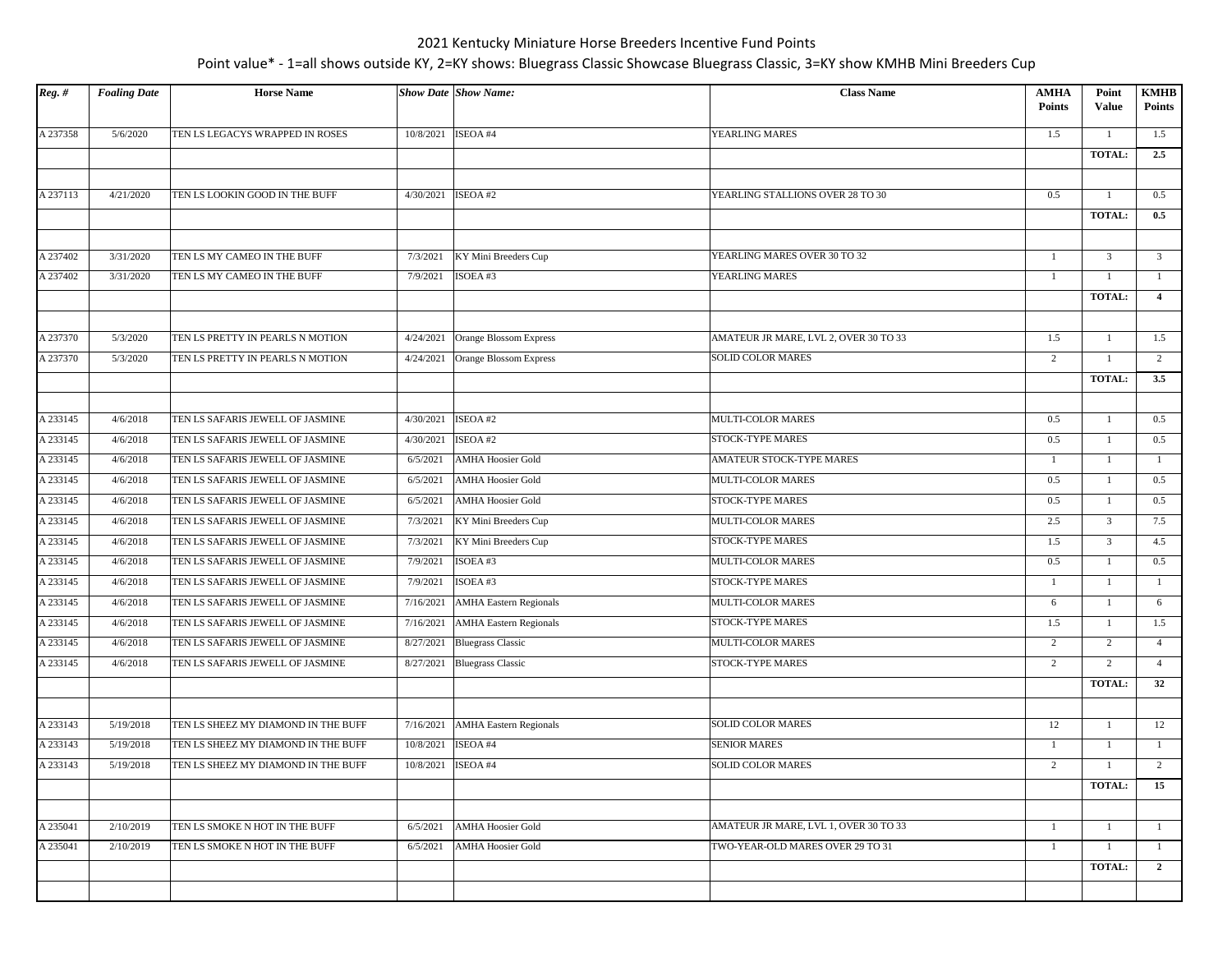| $Reg.$ # | <b>Foaling Date</b> | <b>Horse Name</b>                   |           | <b>Show Date Show Name:</b>   | <b>Class Name</b>                     | <b>AMHA</b><br><b>Points</b> | Point<br>Value | <b>KMHB</b><br><b>Points</b> |
|----------|---------------------|-------------------------------------|-----------|-------------------------------|---------------------------------------|------------------------------|----------------|------------------------------|
| A 237358 | 5/6/2020            | TEN LS LEGACYS WRAPPED IN ROSES     | 10/8/2021 | ISEOA #4                      | YEARLING MARES                        | 1.5                          | $\mathbf{1}$   | 1.5                          |
|          |                     |                                     |           |                               |                                       |                              | TOTAL:         | 2.5                          |
|          |                     |                                     |           |                               |                                       |                              |                |                              |
| A 237113 | 4/21/2020           | TEN LS LOOKIN GOOD IN THE BUFF      | 4/30/2021 | ISEOA#2                       | YEARLING STALLIONS OVER 28 TO 30      | 0.5                          | $\mathbf{1}$   | 0.5                          |
|          |                     |                                     |           |                               |                                       |                              | TOTAL:         | 0.5                          |
|          |                     |                                     |           |                               |                                       |                              |                |                              |
| A 237402 | 3/31/2020           | TEN LS MY CAMEO IN THE BUFF         | 7/3/2021  | KY Mini Breeders Cup          | YEARLING MARES OVER 30 TO 32          | $\mathbf{1}$                 | $\overline{3}$ | $\overline{3}$               |
| A 237402 | 3/31/2020           | TEN LS MY CAMEO IN THE BUFF         | 7/9/2021  | ISOEA#3                       | YEARLING MARES                        | 1                            |                | 1                            |
|          |                     |                                     |           |                               |                                       |                              | <b>TOTAL:</b>  | $\overline{4}$               |
|          |                     |                                     |           |                               |                                       |                              |                |                              |
| A 237370 | 5/3/2020            | TEN LS PRETTY IN PEARLS N MOTION    | 4/24/2021 | Orange Blossom Express        | AMATEUR JR MARE, LVL 2, OVER 30 TO 33 | 1.5                          | $\mathbf{1}$   | 1.5                          |
| A 237370 | 5/3/2020            | TEN LS PRETTY IN PEARLS N MOTION    | 4/24/2021 | <b>Orange Blossom Express</b> | SOLID COLOR MARES                     | 2                            | 1              | 2                            |
|          |                     |                                     |           |                               |                                       |                              | <b>TOTAL:</b>  | 3.5                          |
|          |                     |                                     |           |                               |                                       |                              |                |                              |
| A 233145 | 4/6/2018            | TEN LS SAFARIS JEWELL OF JASMINE    | 4/30/2021 | ISEOA#2                       | MULTI-COLOR MARES                     | 0.5                          | 1              | 0.5                          |
| A 233145 | 4/6/2018            | TEN LS SAFARIS JEWELL OF JASMINE    | 4/30/2021 | ISEOA #2                      | STOCK-TYPE MARES                      | 0.5                          | $\mathbf{1}$   | 0.5                          |
| A 233145 | 4/6/2018            | TEN LS SAFARIS JEWELL OF JASMINE    | 6/5/2021  | <b>AMHA Hoosier Gold</b>      | AMATEUR STOCK-TYPE MARES              | $\mathbf{1}$                 | -1             | $\mathbf{1}$                 |
| A 233145 | 4/6/2018            | TEN LS SAFARIS JEWELL OF JASMINE    | 6/5/2021  | <b>AMHA Hoosier Gold</b>      | <b>MULTI-COLOR MARES</b>              | 0.5                          | 1              | 0.5                          |
| A 233145 | 4/6/2018            | TEN LS SAFARIS JEWELL OF JASMINE    | 6/5/2021  | <b>AMHA Hoosier Gold</b>      | STOCK-TYPE MARES                      | 0.5                          | $\mathbf{1}$   | 0.5                          |
| A 233145 | 4/6/2018            | TEN LS SAFARIS JEWELL OF JASMINE    | 7/3/2021  | KY Mini Breeders Cup          | MULTI-COLOR MARES                     | 2.5                          | $\overline{3}$ | 7.5                          |
| A 233145 | 4/6/2018            | TEN LS SAFARIS JEWELL OF JASMINE    | 7/3/2021  | KY Mini Breeders Cup          | STOCK-TYPE MARES                      | 1.5                          | $\overline{3}$ | 4.5                          |
| A 233145 | 4/6/2018            | TEN LS SAFARIS JEWELL OF JASMINE    | 7/9/2021  | ISOEA #3                      | MULTI-COLOR MARES                     | 0.5                          | 1              | 0.5                          |
| A 233145 | 4/6/2018            | TEN LS SAFARIS JEWELL OF JASMINE    | 7/9/2021  | ISOEA #3                      | STOCK-TYPE MARES                      | $\mathbf{1}$                 | 1              | 1                            |
| A 233145 | 4/6/2018            | TEN LS SAFARIS JEWELL OF JASMINE    | 7/16/2021 | <b>AMHA Eastern Regionals</b> | MULTI-COLOR MARES                     | 6                            | -1             | 6                            |
| A 233145 | 4/6/2018            | TEN LS SAFARIS JEWELL OF JASMINE    | 7/16/2021 | <b>AMHA Eastern Regionals</b> | STOCK-TYPE MARES                      | 1.5                          | $\overline{1}$ | 1.5                          |
| A 233145 | 4/6/2018            | TEN LS SAFARIS JEWELL OF JASMINE    | 8/27/2021 | <b>Bluegrass Classic</b>      | MULTI-COLOR MARES                     | 2                            | 2              | $\overline{4}$               |
| A 233145 | 4/6/2018            | TEN LS SAFARIS JEWELL OF JASMINE    | 8/27/2021 | <b>Bluegrass Classic</b>      | STOCK-TYPE MARES                      | $\overline{2}$               | 2              | $\overline{4}$               |
|          |                     |                                     |           |                               |                                       |                              | <b>TOTAL:</b>  | 32                           |
|          |                     |                                     |           |                               |                                       |                              |                |                              |
| A 233143 | 5/19/2018           | TEN LS SHEEZ MY DIAMOND IN THE BUFF | 7/16/2021 | <b>AMHA Eastern Regionals</b> | <b>SOLID COLOR MARES</b>              | 12                           | $\mathbf{1}$   | 12                           |
| A 233143 | 5/19/2018           | TEN LS SHEEZ MY DIAMOND IN THE BUFF | 10/8/2021 | ISEOA #4                      | <b>SENIOR MARES</b>                   | $\mathbf{1}$                 | 1              | $\mathbf{1}$                 |
| A 233143 | 5/19/2018           | TEN LS SHEEZ MY DIAMOND IN THE BUFF | 10/8/2021 | ISEOA #4                      | <b>SOLID COLOR MARES</b>              | 2                            |                | 2                            |
|          |                     |                                     |           |                               |                                       |                              | <b>TOTAL:</b>  | 15                           |
|          |                     |                                     |           |                               |                                       |                              |                |                              |
| A 235041 | 2/10/2019           | TEN LS SMOKE N HOT IN THE BUFF      | 6/5/2021  | <b>AMHA Hoosier Gold</b>      | AMATEUR JR MARE, LVL 1, OVER 30 TO 33 | -1                           |                | -1                           |
| A 235041 | 2/10/2019           | TEN LS SMOKE N HOT IN THE BUFF      | 6/5/2021  | <b>AMHA Hoosier Gold</b>      | TWO-YEAR-OLD MARES OVER 29 TO 31      | 1                            | $\overline{1}$ | -1                           |
|          |                     |                                     |           |                               |                                       |                              | <b>TOTAL:</b>  | $\overline{2}$               |
|          |                     |                                     |           |                               |                                       |                              |                |                              |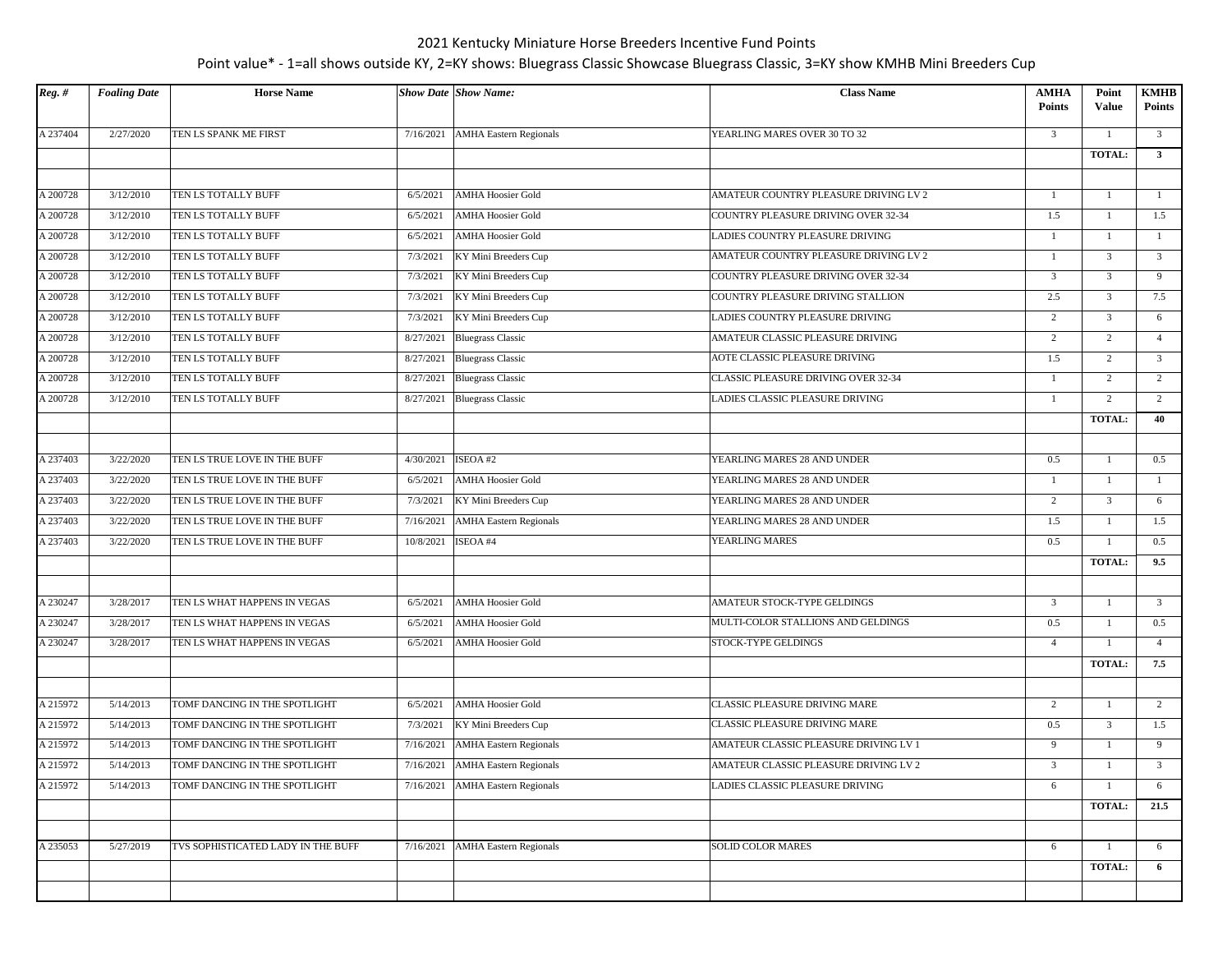| $Reg.$ # | <b>Foaling Date</b> | <b>Horse Name</b>                  |           | <b>Show Date Show Name:</b>        | <b>Class Name</b>                     | <b>AMHA</b><br><b>Points</b> | Point<br>Value | <b>KMHB</b><br><b>Points</b> |
|----------|---------------------|------------------------------------|-----------|------------------------------------|---------------------------------------|------------------------------|----------------|------------------------------|
| A 237404 | 2/27/2020           | TEN LS SPANK ME FIRST              | 7/16/2021 | <b>AMHA Eastern Regionals</b>      | YEARLING MARES OVER 30 TO 32          | 3                            |                | $\overline{3}$               |
|          |                     |                                    |           |                                    |                                       |                              | <b>TOTAL:</b>  | $\overline{\mathbf{3}}$      |
|          |                     |                                    |           |                                    |                                       |                              |                |                              |
| A 200728 | 3/12/2010           | TEN LS TOTALLY BUFF                | 6/5/2021  | <b>AMHA Hoosier Gold</b>           | AMATEUR COUNTRY PLEASURE DRIVING LV 2 | $\mathbf{1}$                 | 1              | -1                           |
| A 200728 | 3/12/2010           | TEN LS TOTALLY BUFF                | 6/5/2021  | <b>AMHA Hoosier Gold</b>           | COUNTRY PLEASURE DRIVING OVER 32-34   | 1.5                          | 1              | 1.5                          |
| A 200728 | 3/12/2010           | TEN LS TOTALLY BUFF                | 6/5/2021  | <b>AMHA Hoosier Gold</b>           | LADIES COUNTRY PLEASURE DRIVING       | $\mathbf{1}$                 | 1              | $\mathbf{1}$                 |
| A 200728 | 3/12/2010           | TEN LS TOTALLY BUFF                | 7/3/2021  | KY Mini Breeders Cup               | AMATEUR COUNTRY PLEASURE DRIVING LV 2 | $\mathbf{1}$                 | $\overline{3}$ | $\overline{3}$               |
| A 200728 | 3/12/2010           | TEN LS TOTALLY BUFF                | 7/3/2021  | KY Mini Breeders Cup               | COUNTRY PLEASURE DRIVING OVER 32-34   | 3                            | $\overline{3}$ | 9                            |
| A 200728 | 3/12/2010           | TEN LS TOTALLY BUFF                | 7/3/2021  | KY Mini Breeders Cup               | COUNTRY PLEASURE DRIVING STALLION     | 2.5                          | $\overline{3}$ | 7.5                          |
| A 200728 | 3/12/2010           | TEN LS TOTALLY BUFF                | 7/3/2021  | KY Mini Breeders Cup               | LADIES COUNTRY PLEASURE DRIVING       | 2                            | $\overline{3}$ | 6                            |
| A 200728 | 3/12/2010           | TEN LS TOTALLY BUFF                | 8/27/2021 | <b>Bluegrass Classic</b>           | AMATEUR CLASSIC PLEASURE DRIVING      | $\overline{2}$               | 2              | $\overline{4}$               |
| A 200728 | 3/12/2010           | TEN LS TOTALLY BUFF                | 8/27/2021 | <b>Bluegrass Classic</b>           | AOTE CLASSIC PLEASURE DRIVING         | 1.5                          | 2              | $\overline{\mathbf{3}}$      |
| A 200728 | 3/12/2010           | TEN LS TOTALLY BUFF                | 8/27/2021 | <b>Bluegrass Classic</b>           | CLASSIC PLEASURE DRIVING OVER 32-34   | 1                            | 2              | 2                            |
| A 200728 | 3/12/2010           | TEN LS TOTALLY BUFF                |           | 8/27/2021 Bluegrass Classic        | LADIES CLASSIC PLEASURE DRIVING       | $\mathbf{1}$                 | $\overline{2}$ | 2                            |
|          |                     |                                    |           |                                    |                                       |                              | <b>TOTAL:</b>  | 40                           |
|          |                     |                                    |           |                                    |                                       |                              |                |                              |
| A 237403 | 3/22/2020           | TEN LS TRUE LOVE IN THE BUFF       | 4/30/2021 | ISEOA #2                           | YEARLING MARES 28 AND UNDER           | 0.5                          | -1             | 0.5                          |
| A 237403 | 3/22/2020           | TEN LS TRUE LOVE IN THE BUFF       | 6/5/2021  | <b>AMHA Hoosier Gold</b>           | YEARLING MARES 28 AND UNDER           | -1                           | 1              | $\mathbf{1}$                 |
| A 237403 | 3/22/2020           | TEN LS TRUE LOVE IN THE BUFF       | 7/3/2021  | KY Mini Breeders Cup               | YEARLING MARES 28 AND UNDER           | $\overline{2}$               | $\overline{3}$ | 6                            |
| A 237403 | 3/22/2020           | TEN LS TRUE LOVE IN THE BUFF       | 7/16/2021 | <b>AMHA</b> Eastern Regionals      | YEARLING MARES 28 AND UNDER           | 1.5                          | $\mathbf{1}$   | 1.5                          |
| A 237403 | 3/22/2020           | TEN LS TRUE LOVE IN THE BUFF       | 10/8/2021 | ISEOA #4                           | YEARLING MARES                        | 0.5                          |                | 0.5                          |
|          |                     |                                    |           |                                    |                                       |                              | <b>TOTAL:</b>  | 9.5                          |
|          |                     |                                    |           |                                    |                                       |                              |                |                              |
| A 230247 | 3/28/2017           | TEN LS WHAT HAPPENS IN VEGAS       | 6/5/2021  | <b>AMHA Hoosier Gold</b>           | AMATEUR STOCK-TYPE GELDINGS           | 3                            |                | $\overline{\mathbf{3}}$      |
| A 230247 | 3/28/2017           | TEN LS WHAT HAPPENS IN VEGAS       | 6/5/2021  | <b>AMHA Hoosier Gold</b>           | MULTI-COLOR STALLIONS AND GELDINGS    | 0.5                          | $\mathbf{1}$   | 0.5                          |
| A 230247 | 3/28/2017           | TEN LS WHAT HAPPENS IN VEGAS       | 6/5/2021  | <b>AMHA Hoosier Gold</b>           | STOCK-TYPE GELDINGS                   | $\overline{4}$               |                | $\overline{4}$               |
|          |                     |                                    |           |                                    |                                       |                              | <b>TOTAL:</b>  | 7.5                          |
|          |                     |                                    |           |                                    |                                       |                              |                |                              |
| A 215972 | 5/14/2013           | TOMF DANCING IN THE SPOTLIGHT      | 6/5/2021  | <b>AMHA Hoosier Gold</b>           | CLASSIC PLEASURE DRIVING MARE         | $\overline{c}$               |                | 2                            |
| A 215972 | 5/14/2013           | TOMF DANCING IN THE SPOTLIGHT      | 7/3/2021  | KY Mini Breeders Cup               | CLASSIC PLEASURE DRIVING MARE         | 0.5                          | $\overline{3}$ | 1.5                          |
| A 215972 | 5/14/2013           | TOMF DANCING IN THE SPOTLIGHT      | 7/16/2021 | <b>AMHA</b> Eastern Regionals      | AMATEUR CLASSIC PLEASURE DRIVING LV 1 | 9                            | -1             | 9                            |
| A 215972 | 5/14/2013           | TOMF DANCING IN THE SPOTLIGHT      | 7/16/2021 | <b>AMHA</b> Eastern Regionals      | AMATEUR CLASSIC PLEASURE DRIVING LV 2 | 3                            |                | $\overline{3}$               |
| A 215972 | 5/14/2013           | TOMF DANCING IN THE SPOTLIGHT      |           | 7/16/2021   AMHA Eastern Regionals | LADIES CLASSIC PLEASURE DRIVING       | 6                            | 1              | 6                            |
|          |                     |                                    |           |                                    |                                       |                              | <b>TOTAL:</b>  | 21.5                         |
|          |                     |                                    |           |                                    |                                       |                              |                |                              |
| A 235053 | 5/27/2019           | TVS SOPHISTICATED LADY IN THE BUFF | 7/16/2021 | <b>AMHA</b> Eastern Regionals      | SOLID COLOR MARES                     | 6                            | -1             | 6                            |
|          |                     |                                    |           |                                    |                                       |                              | TOTAL:         | 6                            |
|          |                     |                                    |           |                                    |                                       |                              |                |                              |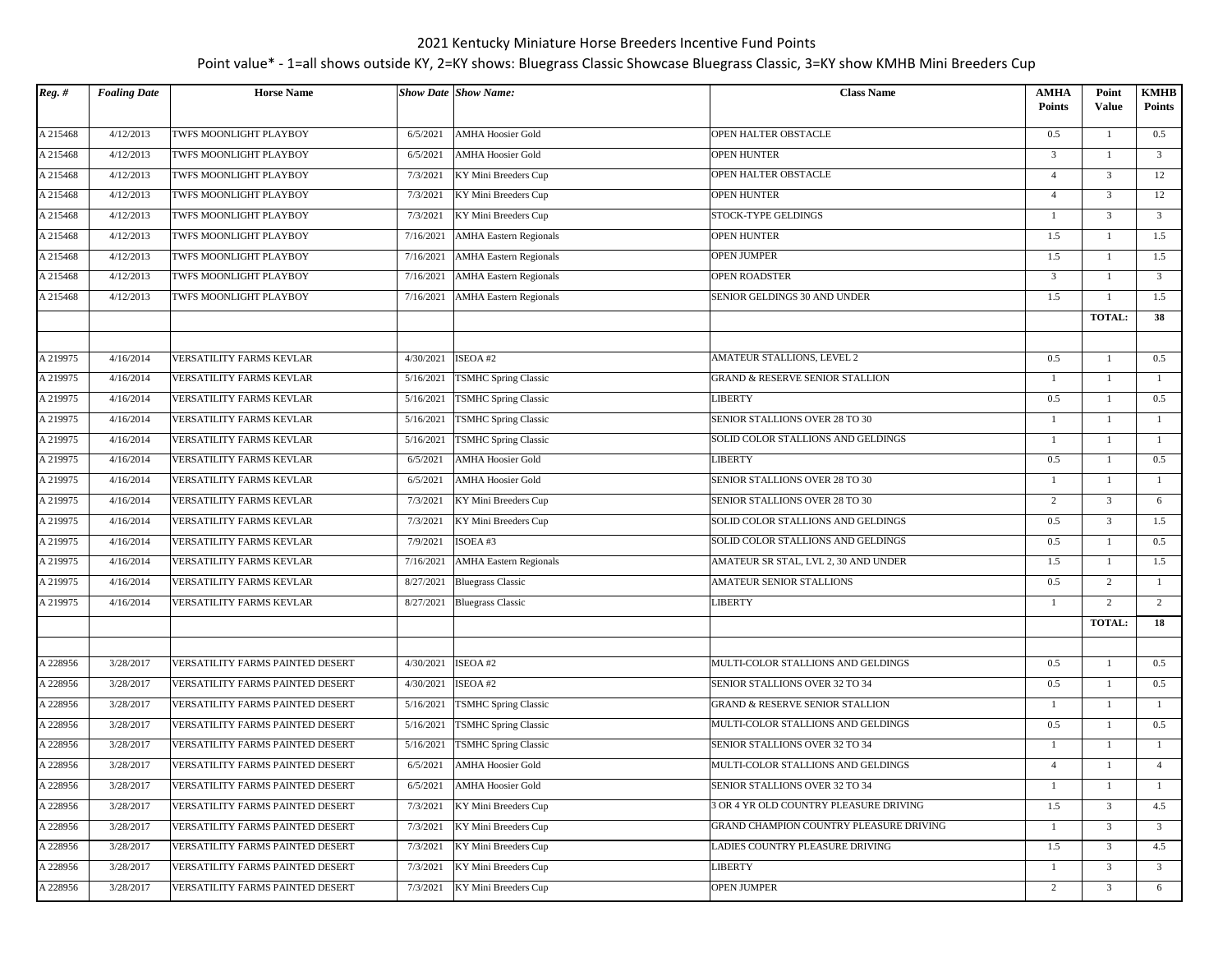| $Reg.$ # | <b>Foaling Date</b> | <b>Horse Name</b>                |           | <b>Show Date Show Name:</b>   | <b>Class Name</b>                       | AMHA<br><b>Points</b> | Point<br><b>Value</b> | <b>KMHB</b><br><b>Points</b> |
|----------|---------------------|----------------------------------|-----------|-------------------------------|-----------------------------------------|-----------------------|-----------------------|------------------------------|
| A 215468 | 4/12/2013           | TWFS MOONLIGHT PLAYBOY           | 6/5/2021  | <b>AMHA Hoosier Gold</b>      | OPEN HALTER OBSTACLE                    | 0.5                   | 1                     | 0.5                          |
| A 215468 | 4/12/2013           | TWFS MOONLIGHT PLAYBOY           | 6/5/2021  | <b>AMHA Hoosier Gold</b>      | <b>OPEN HUNTER</b>                      | 3                     | 1                     | $\overline{3}$               |
| A 215468 | 4/12/2013           | TWFS MOONLIGHT PLAYBOY           | 7/3/2021  | KY Mini Breeders Cup          | OPEN HALTER OBSTACLE                    | $\overline{4}$        | $\overline{3}$        | 12                           |
| A 215468 | 4/12/2013           | TWFS MOONLIGHT PLAYBOY           | 7/3/2021  | KY Mini Breeders Cup          | <b>OPEN HUNTER</b>                      | $\overline{4}$        | $\overline{3}$        | 12                           |
| A 215468 | 4/12/2013           | TWFS MOONLIGHT PLAYBOY           | 7/3/2021  | KY Mini Breeders Cup          | STOCK-TYPE GELDINGS                     | $\mathbf{1}$          | $\mathfrak{Z}$        | $\overline{3}$               |
| A 215468 | 4/12/2013           | TWFS MOONLIGHT PLAYBOY           | 7/16/2021 | <b>AMHA Eastern Regionals</b> | <b>OPEN HUNTER</b>                      | 1.5                   | 1                     | 1.5                          |
| A 215468 | 4/12/2013           | TWFS MOONLIGHT PLAYBOY           | 7/16/2021 | <b>AMHA Eastern Regionals</b> | <b>OPEN JUMPER</b>                      | 1.5                   | $\mathbf{1}$          | 1.5                          |
| A 215468 | 4/12/2013           | TWFS MOONLIGHT PLAYBOY           | 7/16/2021 | <b>AMHA</b> Eastern Regionals | OPEN ROADSTER                           | $\overline{3}$        | $\overline{1}$        | $\overline{3}$               |
| A 215468 | 4/12/2013           | TWFS MOONLIGHT PLAYBOY           | 7/16/2021 | <b>AMHA</b> Eastern Regionals | SENIOR GELDINGS 30 AND UNDER            | 1.5                   | 1                     | 1.5                          |
|          |                     |                                  |           |                               |                                         |                       | TOTAL:                | 38                           |
|          |                     |                                  |           |                               |                                         |                       |                       |                              |
| A 219975 | 4/16/2014           | VERSATILITY FARMS KEVLAR         | 4/30/2021 | ISEOA#2                       | AMATEUR STALLIONS, LEVEL 2              | 0.5                   |                       | 0.5                          |
| A 219975 | 4/16/2014           | VERSATILITY FARMS KEVLAR         | 5/16/2021 | <b>TSMHC Spring Classic</b>   | GRAND & RESERVE SENIOR STALLION         | -1                    | -1                    | -1                           |
| A 219975 | 4/16/2014           | VERSATILITY FARMS KEVLAR         | 5/16/2021 | <b>TSMHC Spring Classic</b>   | LIBERTY                                 | 0.5                   | 1                     | 0.5                          |
| A 219975 | 4/16/2014           | VERSATILITY FARMS KEVLAR         | 5/16/2021 | <b>TSMHC Spring Classic</b>   | SENIOR STALLIONS OVER 28 TO 30          | $\mathbf{1}$          |                       | -1                           |
| A 219975 | 4/16/2014           | VERSATILITY FARMS KEVLAR         | 5/16/2021 | TSMHC Spring Classic          | SOLID COLOR STALLIONS AND GELDINGS      | $\mathbf{1}$          | 1                     | $\mathbf{1}$                 |
| A 219975 | 4/16/2014           | VERSATILITY FARMS KEVLAR         | 6/5/2021  | <b>AMHA Hoosier Gold</b>      | LIBERTY                                 | 0.5                   | 1                     | 0.5                          |
| A 219975 | 4/16/2014           | VERSATILITY FARMS KEVLAR         | 6/5/2021  | <b>AMHA Hoosier Gold</b>      | SENIOR STALLIONS OVER 28 TO 30          | 1                     | 1                     | 1                            |
| A 219975 | 4/16/2014           | VERSATILITY FARMS KEVLAR         | 7/3/2021  | KY Mini Breeders Cup          | SENIOR STALLIONS OVER 28 TO 30          | 2                     | $\mathfrak{Z}$        | 6                            |
| A 219975 | 4/16/2014           | VERSATILITY FARMS KEVLAR         | 7/3/2021  | KY Mini Breeders Cup          | SOLID COLOR STALLIONS AND GELDINGS      | 0.5                   | $\overline{3}$        | 1.5                          |
| A 219975 | 4/16/2014           | VERSATILITY FARMS KEVLAR         | 7/9/2021  | ISOEA#3                       | SOLID COLOR STALLIONS AND GELDINGS      | 0.5                   | $\mathbf{1}$          | 0.5                          |
| A 219975 | 4/16/2014           | VERSATILITY FARMS KEVLAR         | 7/16/2021 | <b>AMHA Eastern Regionals</b> | AMATEUR SR STAL, LVL 2, 30 AND UNDER    | 1.5                   | $\mathbf{1}$          | 1.5                          |
| A 219975 | 4/16/2014           | VERSATILITY FARMS KEVLAR         | 8/27/2021 | <b>Bluegrass Classic</b>      | AMATEUR SENIOR STALLIONS                | 0.5                   | 2                     | 1                            |
| A 219975 | 4/16/2014           | VERSATILITY FARMS KEVLAR         |           | 8/27/2021 Bluegrass Classic   | LIBERTY                                 | $\mathbf{1}$          | $\overline{2}$        | 2                            |
|          |                     |                                  |           |                               |                                         |                       | TOTAL:                | 18                           |
|          |                     |                                  |           |                               |                                         |                       |                       |                              |
| A 228956 | 3/28/2017           | VERSATILITY FARMS PAINTED DESERT | 4/30/2021 | ISEOA #2                      | MULTI-COLOR STALLIONS AND GELDINGS      | 0.5                   | 1                     | 0.5                          |
| A 228956 | 3/28/2017           | VERSATILITY FARMS PAINTED DESERT | 4/30/2021 | ISEOA#2                       | SENIOR STALLIONS OVER 32 TO 34          | 0.5                   | 1                     | 0.5                          |
| A 228956 | 3/28/2017           | VERSATILITY FARMS PAINTED DESERT | 5/16/2021 | <b>TSMHC Spring Classic</b>   | GRAND & RESERVE SENIOR STALLION         | $\mathbf{1}$          | $\mathbf{1}$          | -1                           |
| A 228956 | 3/28/2017           | VERSATILITY FARMS PAINTED DESERT | 5/16/2021 | <b>TSMHC Spring Classic</b>   | MULTI-COLOR STALLIONS AND GELDINGS      | 0.5                   | $\mathbf{1}$          | 0.5                          |
| A 228956 | 3/28/2017           | VERSATILITY FARMS PAINTED DESERT | 5/16/2021 | <b>TSMHC Spring Classic</b>   | SENIOR STALLIONS OVER 32 TO 34          | $\mathbf{1}$          |                       | $\overline{1}$               |
| A 228956 | 3/28/2017           | VERSATILITY FARMS PAINTED DESERT | 6/5/2021  | <b>AMHA Hoosier Gold</b>      | MULTI-COLOR STALLIONS AND GELDINGS      | $\overline{4}$        | 1                     | $\overline{4}$               |
| A 228956 | 3/28/2017           | VERSATILITY FARMS PAINTED DESERT | 6/5/2021  | <b>AMHA Hoosier Gold</b>      | SENIOR STALLIONS OVER 32 TO 34          | -1                    | $\mathbf{1}$          | -1                           |
| A 228956 | 3/28/2017           | VERSATILITY FARMS PAINTED DESERT | 7/3/2021  | KY Mini Breeders Cup          | 3 OR 4 YR OLD COUNTRY PLEASURE DRIVING  | 1.5                   | $\overline{3}$        | 4.5                          |
| A 228956 | 3/28/2017           | VERSATILITY FARMS PAINTED DESERT | 7/3/2021  | KY Mini Breeders Cup          | GRAND CHAMPION COUNTRY PLEASURE DRIVING | 1                     | $\overline{3}$        | $\overline{3}$               |
| A 228956 | 3/28/2017           | VERSATILITY FARMS PAINTED DESERT | 7/3/2021  | KY Mini Breeders Cup          | LADIES COUNTRY PLEASURE DRIVING         | 1.5                   | $\overline{3}$        | 4.5                          |
| A 228956 | 3/28/2017           | VERSATILITY FARMS PAINTED DESERT | 7/3/2021  | KY Mini Breeders Cup          | LIBERTY                                 | $\mathbf{1}$          | $\mathbf{3}$          | $\overline{3}$               |
| A 228956 | 3/28/2017           | VERSATILITY FARMS PAINTED DESERT | 7/3/2021  | KY Mini Breeders Cup          | <b>OPEN JUMPER</b>                      | $\overline{c}$        | $\mathfrak{Z}$        | 6                            |